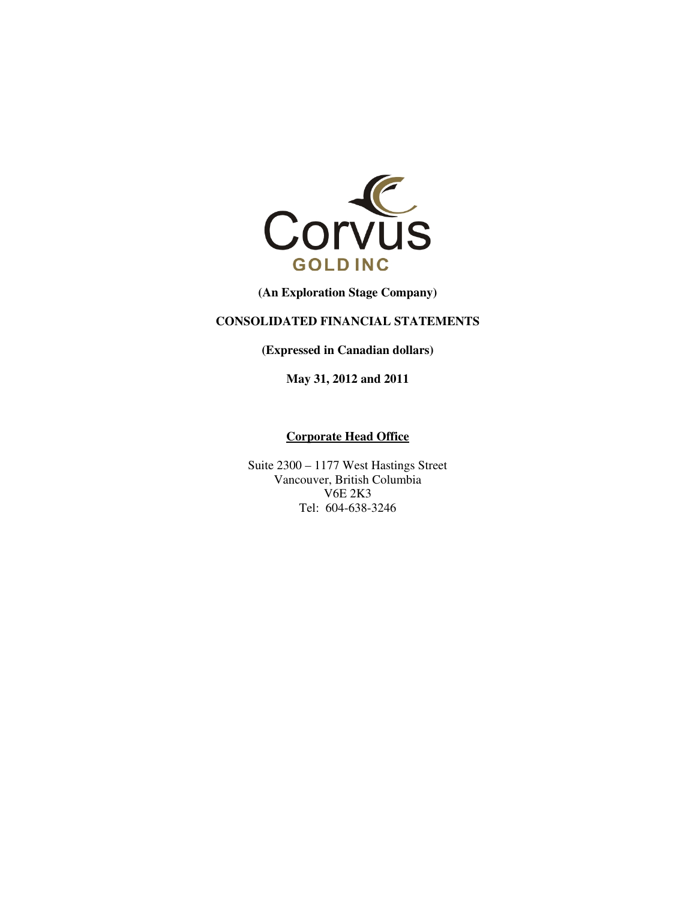

**(An Exploration Stage Company)** 

#### **CONSOLIDATED FINANCIAL STATEMENTS**

**(Expressed in Canadian dollars)** 

**May 31, 2012 and 2011** 

#### **Corporate Head Office**

Suite 2300 – 1177 West Hastings Street Vancouver, British Columbia V6E 2K3 Tel: 604-638-3246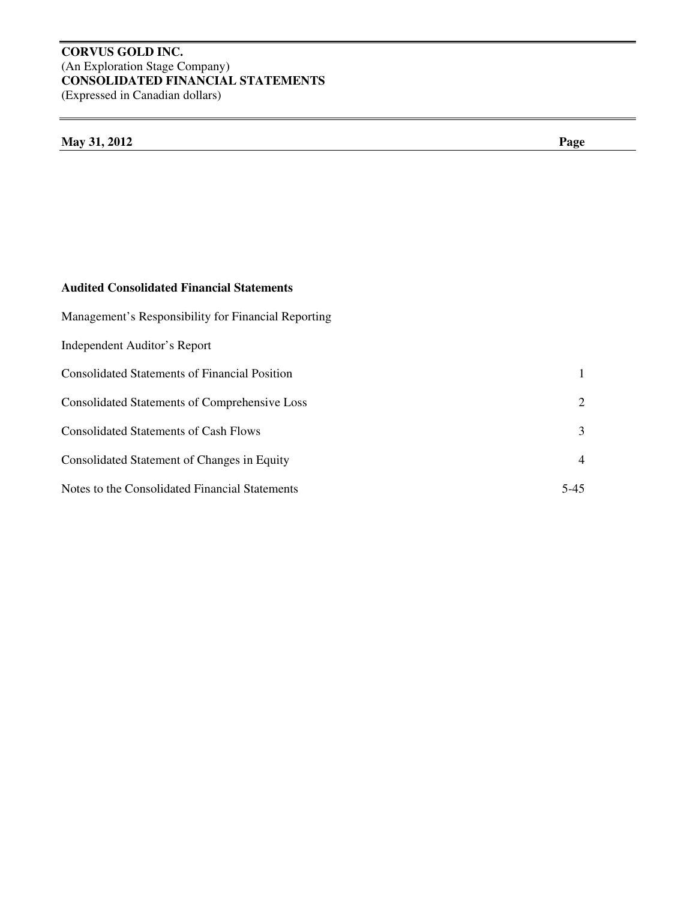#### **CORVUS GOLD INC.**  (An Exploration Stage Company) **CONSOLIDATED FINANCIAL STATEMENTS**  (Expressed in Canadian dollars)

## **May 31, 2012 Page**

### **Audited Consolidated Financial Statements**

| Management's Responsibility for Financial Reporting  |                |
|------------------------------------------------------|----------------|
| Independent Auditor's Report                         |                |
| <b>Consolidated Statements of Financial Position</b> | $\mathbf{1}$   |
| <b>Consolidated Statements of Comprehensive Loss</b> | 2              |
| <b>Consolidated Statements of Cash Flows</b>         | 3              |
| Consolidated Statement of Changes in Equity          | $\overline{4}$ |
| Notes to the Consolidated Financial Statements       | 5-45           |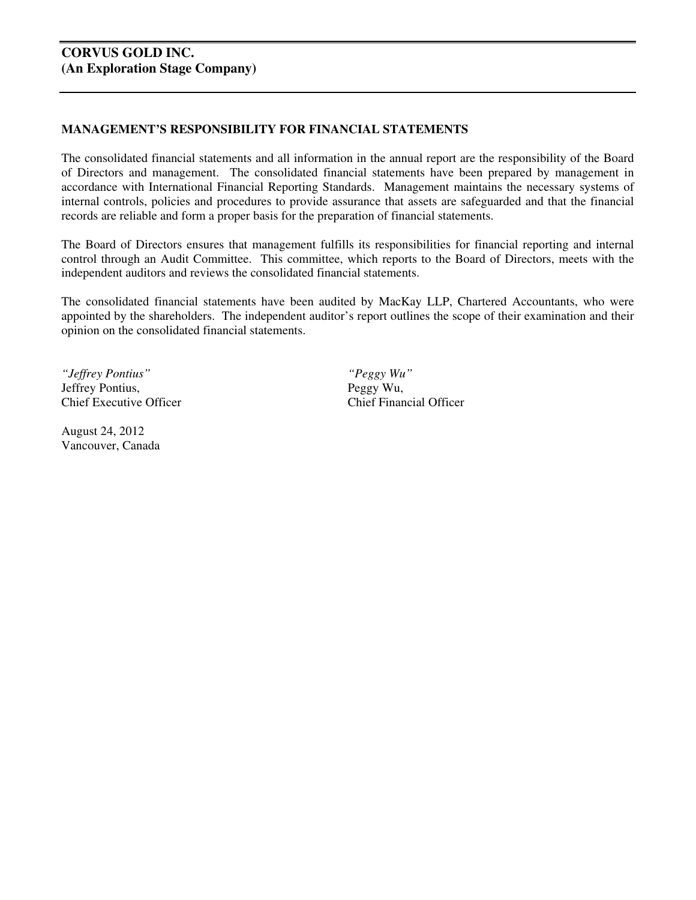#### **MANAGEMENT'S RESPONSIBILITY FOR FINANCIAL STATEMENTS**

The consolidated financial statements and all information in the annual report are the responsibility of the Board of Directors and management. The consolidated financial statements have been prepared by management in accordance with International Financial Reporting Standards. Management maintains the necessary systems of internal controls, policies and procedures to provide assurance that assets are safeguarded and that the financial records are reliable and form a proper basis for the preparation of financial statements.

The Board of Directors ensures that management fulfills its responsibilities for financial reporting and internal control through an Audit Committee. This committee, which reports to the Board of Directors, meets with the independent auditors and reviews the consolidated financial statements.

The consolidated financial statements have been audited by MacKay LLP, Chartered Accountants, who were appointed by the shareholders. The independent auditor's report outlines the scope of their examination and their opinion on the consolidated financial statements.

*"Jeffrey Pontius" "Peggy Wu"*  Jeffrey Pontius, Peggy Wu, Chief Executive Officer Chief Financial Officer

August 24, 2012 Vancouver, Canada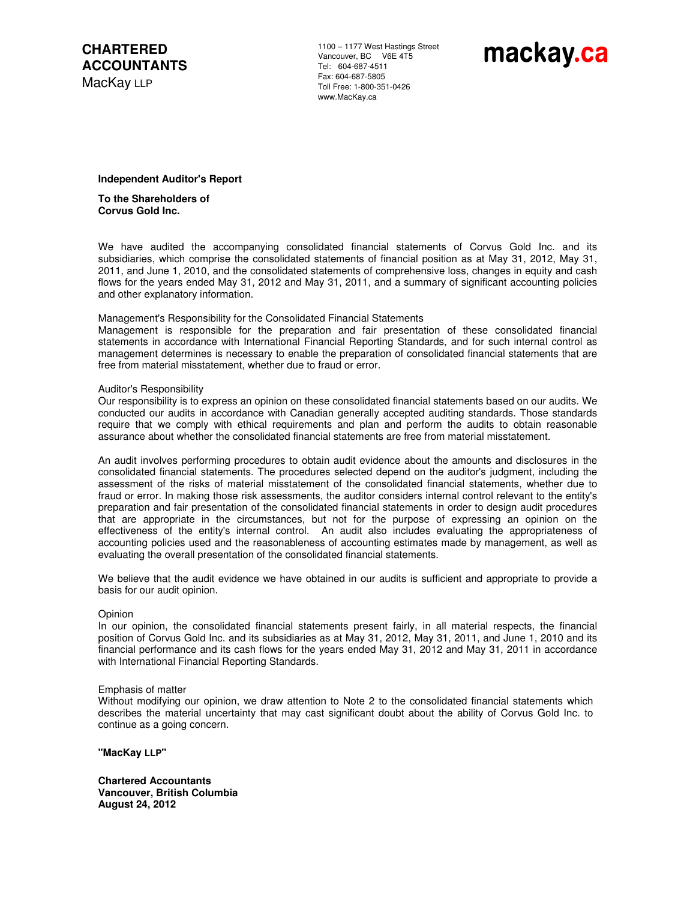**CHARTERED ACCOUNTANTS**  MacKay LLP

1100 – 1177 West Hastings Street Vancouver, BC V6E 4T5 Tel: 604-687-4511 Fax: 604-687-5805 Toll Free: 1-800-351-0426 www.MacKay.ca

# mackay.ca

#### **Independent Auditor's Report**

 **To the Shareholders of Corvus Gold Inc.** 

 We have audited the accompanying consolidated financial statements of Corvus Gold Inc. and its subsidiaries, which comprise the consolidated statements of financial position as at May 31, 2012, May 31, 2011, and June 1, 2010, and the consolidated statements of comprehensive loss, changes in equity and cash flows for the years ended May 31, 2012 and May 31, 2011, and a summary of significant accounting policies and other explanatory information.

#### Management's Responsibility for the Consolidated Financial Statements

 Management is responsible for the preparation and fair presentation of these consolidated financial statements in accordance with International Financial Reporting Standards, and for such internal control as management determines is necessary to enable the preparation of consolidated financial statements that are free from material misstatement, whether due to fraud or error.

#### Auditor's Responsibility

 Our responsibility is to express an opinion on these consolidated financial statements based on our audits. We conducted our audits in accordance with Canadian generally accepted auditing standards. Those standards require that we comply with ethical requirements and plan and perform the audits to obtain reasonable assurance about whether the consolidated financial statements are free from material misstatement.

 An audit involves performing procedures to obtain audit evidence about the amounts and disclosures in the consolidated financial statements. The procedures selected depend on the auditor's judgment, including the assessment of the risks of material misstatement of the consolidated financial statements, whether due to fraud or error. In making those risk assessments, the auditor considers internal control relevant to the entity's preparation and fair presentation of the consolidated financial statements in order to design audit procedures that are appropriate in the circumstances, but not for the purpose of expressing an opinion on the effectiveness of the entity's internal control. An audit also includes evaluating the appropriateness of accounting policies used and the reasonableness of accounting estimates made by management, as well as evaluating the overall presentation of the consolidated financial statements.

We believe that the audit evidence we have obtained in our audits is sufficient and appropriate to provide a basis for our audit opinion.

#### Opinion

 In our opinion, the consolidated financial statements present fairly, in all material respects, the financial position of Corvus Gold Inc. and its subsidiaries as at May 31, 2012, May 31, 2011, and June 1, 2010 and its financial performance and its cash flows for the years ended May 31, 2012 and May 31, 2011 in accordance with International Financial Reporting Standards.

#### Emphasis of matter

Without modifying our opinion, we draw attention to Note 2 to the consolidated financial statements which describes the material uncertainty that may cast significant doubt about the ability of Corvus Gold Inc. to continue as a going concern.

**"MacKay LLP"**

 **Chartered Accountants Vancouver, British Columbia August 24, 2012**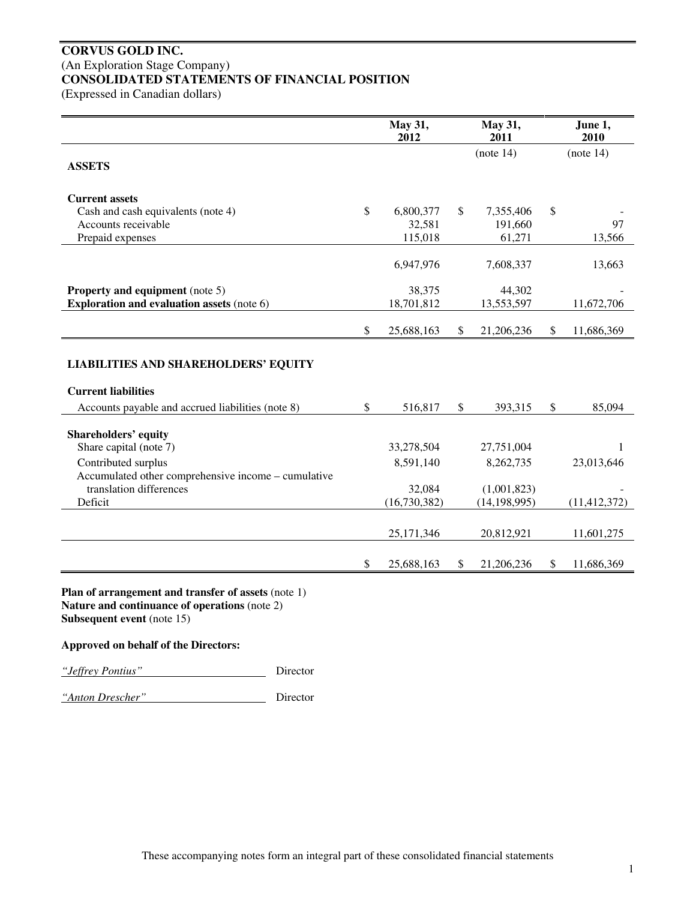# **CORVUS GOLD INC.**  (An Exploration Stage Company) **CONSOLIDATED STATEMENTS OF FINANCIAL POSITION**

(Expressed in Canadian dollars)

|                                                                                                                                                                                                                                                                                                                                                         |              | May 31,<br>2012 | May 31,<br>2011  | June 1,<br>2010  |
|---------------------------------------------------------------------------------------------------------------------------------------------------------------------------------------------------------------------------------------------------------------------------------------------------------------------------------------------------------|--------------|-----------------|------------------|------------------|
| <b>ASSETS</b>                                                                                                                                                                                                                                                                                                                                           |              |                 | (note 14)        | (note 14)        |
|                                                                                                                                                                                                                                                                                                                                                         |              |                 |                  |                  |
| <b>Current assets</b>                                                                                                                                                                                                                                                                                                                                   |              |                 |                  |                  |
| Cash and cash equivalents (note 4)                                                                                                                                                                                                                                                                                                                      | \$           | 6,800,377       | \$<br>7,355,406  | \$               |
| Accounts receivable                                                                                                                                                                                                                                                                                                                                     |              | 32,581          | 191,660          | 97               |
| Prepaid expenses                                                                                                                                                                                                                                                                                                                                        |              | 115,018         | 61,271           | 13,566           |
|                                                                                                                                                                                                                                                                                                                                                         |              | 6,947,976       | 7,608,337        | 13,663           |
| <b>Property and equipment</b> (note 5)                                                                                                                                                                                                                                                                                                                  |              | 38,375          | 44,302           |                  |
| <b>Exploration and evaluation assets (note 6)</b>                                                                                                                                                                                                                                                                                                       |              | 18,701,812      | 13,553,597       | 11,672,706       |
|                                                                                                                                                                                                                                                                                                                                                         | \$           | 25,688,163      | \$<br>21,206,236 | \$<br>11,686,369 |
|                                                                                                                                                                                                                                                                                                                                                         |              |                 |                  |                  |
| <b>LIABILITIES AND SHAREHOLDERS' EQUITY</b>                                                                                                                                                                                                                                                                                                             |              |                 |                  |                  |
| <b>Current liabilities</b>                                                                                                                                                                                                                                                                                                                              |              |                 |                  |                  |
| Accounts payable and accrued liabilities (note 8)                                                                                                                                                                                                                                                                                                       | $\mathbb{S}$ | 516,817         | \$<br>393,315    | \$<br>85,094     |
| <b>Shareholders' equity</b>                                                                                                                                                                                                                                                                                                                             |              |                 |                  |                  |
| Share capital (note 7)                                                                                                                                                                                                                                                                                                                                  |              | 33,278,504      | 27,751,004       | $\mathbf{1}$     |
| Contributed surplus                                                                                                                                                                                                                                                                                                                                     |              | 8,591,140       | 8,262,735        | 23,013,646       |
| Accumulated other comprehensive income - cumulative                                                                                                                                                                                                                                                                                                     |              |                 |                  |                  |
| translation differences                                                                                                                                                                                                                                                                                                                                 |              | 32,084          | (1,001,823)      |                  |
| Deficit                                                                                                                                                                                                                                                                                                                                                 |              | (16,730,382)    | (14, 198, 995)   | (11, 412, 372)   |
|                                                                                                                                                                                                                                                                                                                                                         |              |                 |                  |                  |
|                                                                                                                                                                                                                                                                                                                                                         |              | 25,171,346      | 20,812,921       | 11,601,275       |
|                                                                                                                                                                                                                                                                                                                                                         | $\mathbb{S}$ | 25,688,163      | \$<br>21,206,236 | \$<br>11,686,369 |
|                                                                                                                                                                                                                                                                                                                                                         |              |                 |                  |                  |
| Plan of arrangement and transfer of assets (note 1)<br>$\mathbf{M}$ and $\mathbf{M}$ and $\mathbf{M}$ and $\mathbf{M}$ and $\mathbf{M}$ and $\mathbf{M}$ and $\mathbf{M}$ and $\mathbf{M}$ and $\mathbf{M}$ and $\mathbf{M}$ and $\mathbf{M}$ and $\mathbf{M}$ and $\mathbf{M}$ and $\mathbf{M}$ and $\mathbf{M}$ and $\mathbf{M}$ and $\mathbf{M}$ and |              |                 |                  |                  |

**Nature and continuance of operations** (note 2) **Subsequent event** (note 15)

#### **Approved on behalf of the Directors:**

*"Jeffrey Pontius"* Director

*"Anton Drescher"* Director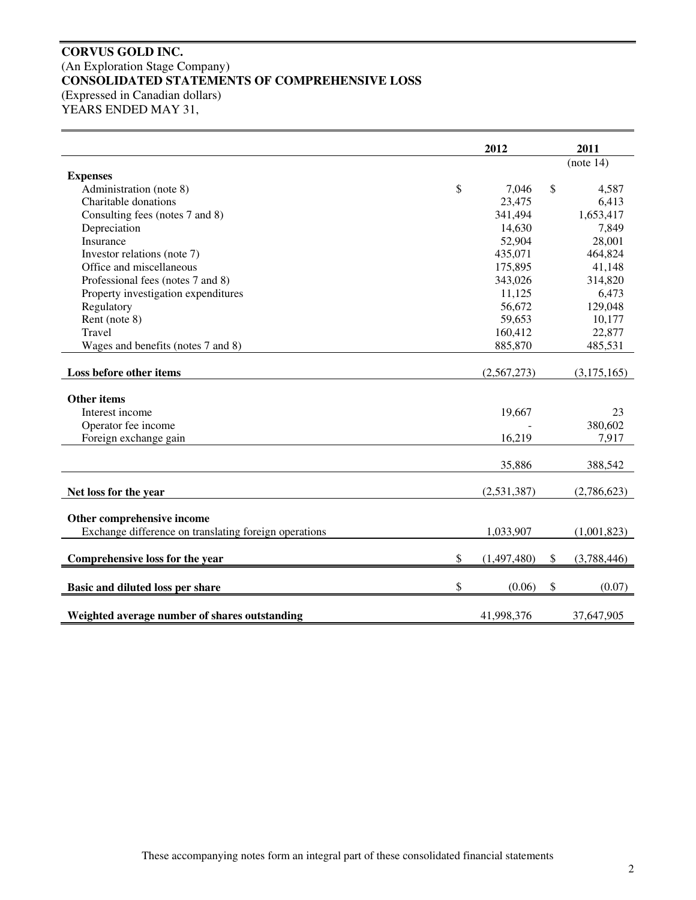#### **CORVUS GOLD INC.**  (An Exploration Stage Company) **CONSOLIDATED STATEMENTS OF COMPREHENSIVE LOSS**  (Expressed in Canadian dollars) YEARS ENDED MAY 31,

|                                                       | 2012              | 2011              |
|-------------------------------------------------------|-------------------|-------------------|
|                                                       |                   | (note 14)         |
| <b>Expenses</b>                                       |                   |                   |
| Administration (note 8)                               | \$<br>7,046       | \$<br>4,587       |
| Charitable donations                                  | 23,475            | 6,413             |
| Consulting fees (notes 7 and 8)                       | 341,494           | 1,653,417         |
| Depreciation                                          | 14,630            | 7,849             |
| Insurance                                             | 52,904            | 28,001            |
| Investor relations (note 7)                           | 435,071           | 464,824           |
| Office and miscellaneous                              | 175,895           | 41,148            |
| Professional fees (notes 7 and 8)                     | 343,026           | 314,820           |
| Property investigation expenditures                   | 11,125            | 6,473             |
| Regulatory                                            | 56,672            | 129,048           |
| Rent (note 8)                                         | 59,653            | 10,177            |
| Travel                                                | 160,412           | 22,877            |
| Wages and benefits (notes 7 and 8)                    | 885,870           | 485,531           |
| Loss before other items                               | (2,567,273)       | (3,175,165)       |
| <b>Other items</b>                                    |                   |                   |
| Interest income                                       | 19,667            | 23                |
| Operator fee income                                   |                   | 380,602           |
| Foreign exchange gain                                 | 16,219            | 7,917             |
|                                                       |                   |                   |
|                                                       | 35,886            | 388,542           |
|                                                       |                   |                   |
| Net loss for the year                                 | (2,531,387)       | (2,786,623)       |
| Other comprehensive income                            |                   |                   |
| Exchange difference on translating foreign operations | 1,033,907         | (1,001,823)       |
|                                                       |                   |                   |
| Comprehensive loss for the year                       | \$<br>(1,497,480) | \$<br>(3,788,446) |
| Basic and diluted loss per share                      | \$<br>(0.06)      | \$<br>(0.07)      |
|                                                       |                   |                   |
| Weighted average number of shares outstanding         | 41,998,376        | 37,647,905        |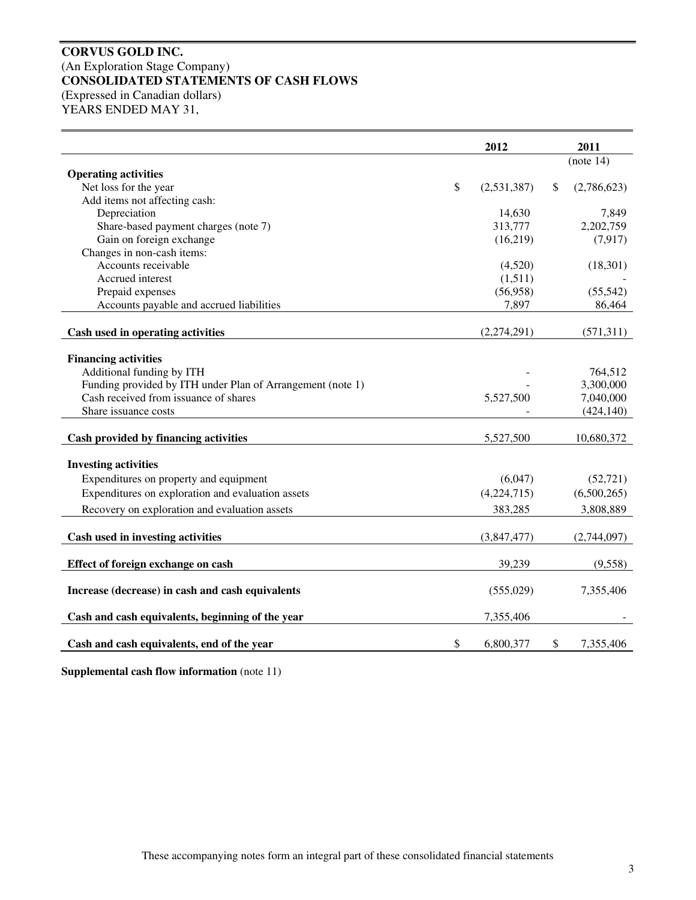#### **CORVUS GOLD INC.**  (An Exploration Stage Company) **CONSOLIDATED STATEMENTS OF CASH FLOWS**  (Expressed in Canadian dollars) YEARS ENDED MAY 31,

**2012 2011**  (note 14) **Operating activities**  Net loss for the year  $\frac{(2,531,387)}{8}$  (2,786,623) Add items not affecting cash: Depreciation 14,630 7,849 Share-based payment charges (note 7) 313,777 2,202,759 Gain on foreign exchange (16,219) (7,917) Changes in non-cash items: Accounts receivable (4,520) (18,301) Accrued interest (1,511) Prepaid expenses (56,958) (55,542) Accounts payable and accrued liabilities 1.897 86,464 **Cash used in operating activities** (2,274,291) (571,311) **Financing activities**  Additional funding by ITH  $\frac{764,512}{2}$ Funding provided by ITH under Plan of Arrangement (note 1)  $\qquad \qquad$  - 3,300,000 Cash received from issuance of shares 5,527,500 7,040,000 Share issuance costs  $(424,140)$ **Cash provided by financing activities**  $5,527,500$  10,680,372 **Investing activities**  Expenditures on property and equipment (6,047) (52,721) Expenditures on exploration and evaluation assets (4,224,715) (6,500,265) Recovery on exploration and evaluation assets 383,285 3,808,889 **Cash used in investing activities** (3,847,477) (2,744,097) **Effect of foreign exchange on cash** 39,239 (9,558) **Increase (decrease) in cash and cash equivalents** (555,029) 7,355,406 **Cash and cash equivalents, beginning of the year**  $7,355,406$ **Cash and cash equivalents, end of the year** \$ 6,800,377 \$ 7,355,406

**Supplemental cash flow information** (note 11)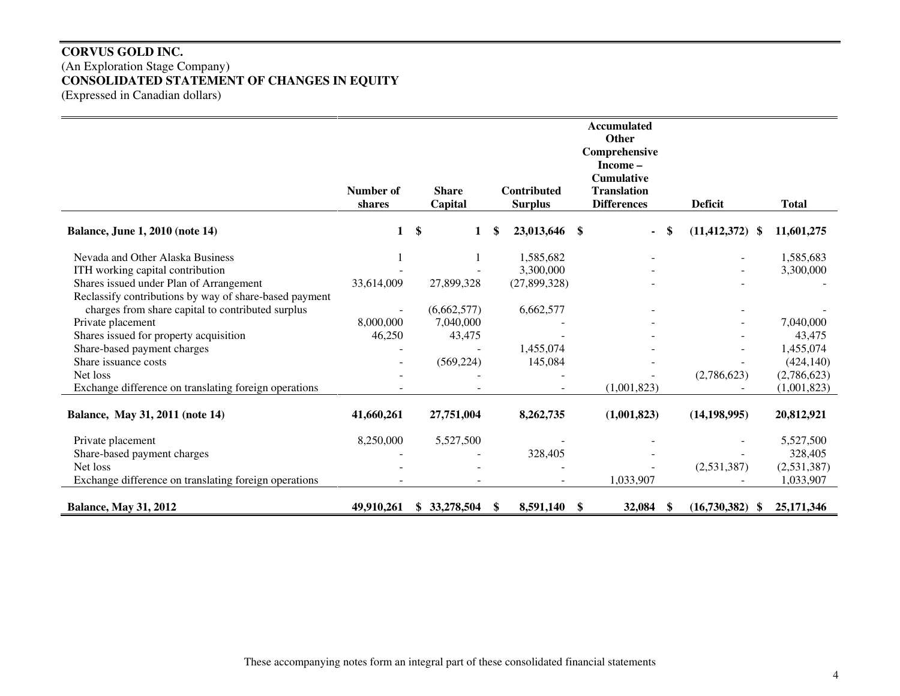# **CORVUS GOLD INC.**  (An Exploration Stage Company) **CONSOLIDATED STATEMENT OF CHANGES IN EQUITY**  (Expressed in Canadian dollars)

|                                                        | <b>Accumulated</b><br><b>Other</b><br>Comprehensive<br>Income- |               |                         |    |                                      |    |                                                               |    |                     |              |
|--------------------------------------------------------|----------------------------------------------------------------|---------------|-------------------------|----|--------------------------------------|----|---------------------------------------------------------------|----|---------------------|--------------|
|                                                        | Number of<br>shares                                            |               | <b>Share</b><br>Capital |    | <b>Contributed</b><br><b>Surplus</b> |    | <b>Cumulative</b><br><b>Translation</b><br><b>Differences</b> |    | <b>Deficit</b>      | <b>Total</b> |
| <b>Balance, June 1, 2010 (note 14)</b>                 | 1                                                              | $\mathbf{\$}$ | 1                       |    | 23,013,646 \$                        |    | $\blacksquare$                                                | S  | $(11, 412, 372)$ \$ | 11,601,275   |
| Nevada and Other Alaska Business                       |                                                                |               |                         |    | 1,585,682                            |    |                                                               |    |                     | 1,585,683    |
| ITH working capital contribution                       |                                                                |               |                         |    | 3,300,000                            |    |                                                               |    |                     | 3,300,000    |
| Shares issued under Plan of Arrangement                | 33,614,009                                                     |               | 27,899,328              |    | (27,899,328)                         |    |                                                               |    |                     |              |
| Reclassify contributions by way of share-based payment |                                                                |               |                         |    |                                      |    |                                                               |    |                     |              |
| charges from share capital to contributed surplus      |                                                                |               | (6,662,577)             |    | 6,662,577                            |    |                                                               |    |                     |              |
| Private placement                                      | 8,000,000                                                      |               | 7,040,000               |    |                                      |    |                                                               |    |                     | 7,040,000    |
| Shares issued for property acquisition                 | 46,250                                                         |               | 43,475                  |    |                                      |    |                                                               |    |                     | 43,475       |
| Share-based payment charges                            |                                                                |               |                         |    | 1,455,074                            |    |                                                               |    |                     | 1,455,074    |
| Share issuance costs                                   |                                                                |               | (569, 224)              |    | 145,084                              |    |                                                               |    |                     | (424, 140)   |
| Net loss                                               |                                                                |               |                         |    |                                      |    |                                                               |    | (2,786,623)         | (2,786,623)  |
| Exchange difference on translating foreign operations  |                                                                |               |                         |    |                                      |    | (1,001,823)                                                   |    |                     | (1,001,823)  |
| Balance, May 31, 2011 (note 14)                        | 41,660,261                                                     |               | 27,751,004              |    | 8,262,735                            |    | (1,001,823)                                                   |    | (14, 198, 995)      | 20,812,921   |
| Private placement                                      | 8,250,000                                                      |               | 5,527,500               |    |                                      |    |                                                               |    |                     | 5,527,500    |
| Share-based payment charges                            |                                                                |               |                         |    | 328,405                              |    |                                                               |    |                     | 328,405      |
| Net loss                                               |                                                                |               |                         |    |                                      |    |                                                               |    | (2,531,387)         | (2,531,387)  |
| Exchange difference on translating foreign operations  |                                                                |               |                         |    |                                      |    | 1,033,907                                                     |    |                     | 1,033,907    |
| <b>Balance, May 31, 2012</b>                           | 49,910,261                                                     |               | \$33,278,504            | \$ | 8,591,140                            | \$ | 32,084                                                        | \$ | (16,730,382)<br>-S  | 25,171,346   |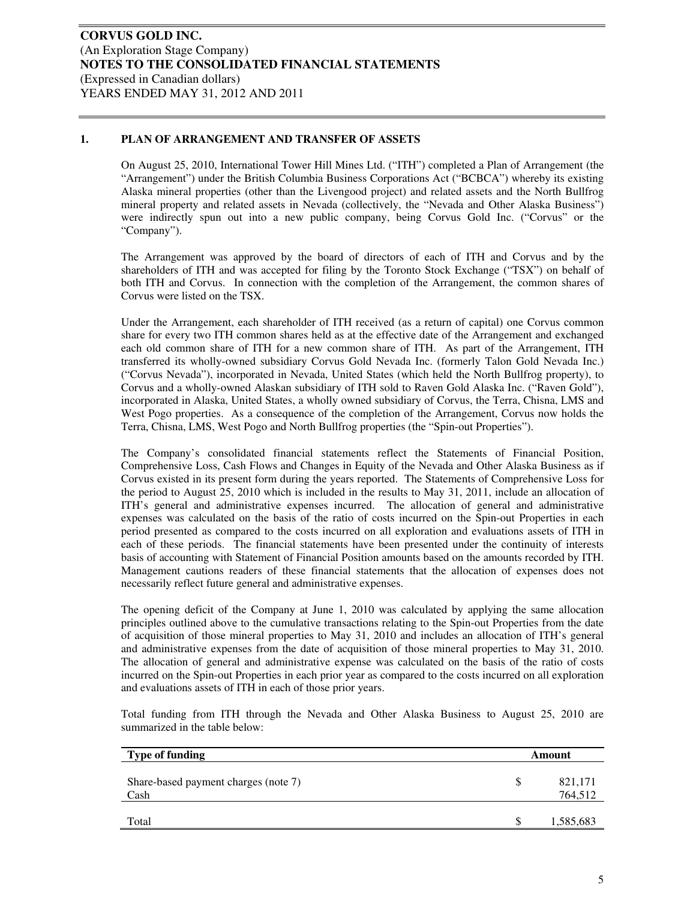#### **1. PLAN OF ARRANGEMENT AND TRANSFER OF ASSETS**

On August 25, 2010, International Tower Hill Mines Ltd. ("ITH") completed a Plan of Arrangement (the "Arrangement") under the British Columbia Business Corporations Act ("BCBCA") whereby its existing Alaska mineral properties (other than the Livengood project) and related assets and the North Bullfrog mineral property and related assets in Nevada (collectively, the "Nevada and Other Alaska Business") were indirectly spun out into a new public company, being Corvus Gold Inc. ("Corvus" or the "Company").

The Arrangement was approved by the board of directors of each of ITH and Corvus and by the shareholders of ITH and was accepted for filing by the Toronto Stock Exchange ("TSX") on behalf of both ITH and Corvus. In connection with the completion of the Arrangement, the common shares of Corvus were listed on the TSX.

Under the Arrangement, each shareholder of ITH received (as a return of capital) one Corvus common share for every two ITH common shares held as at the effective date of the Arrangement and exchanged each old common share of ITH for a new common share of ITH. As part of the Arrangement, ITH transferred its wholly-owned subsidiary Corvus Gold Nevada Inc. (formerly Talon Gold Nevada Inc.) ("Corvus Nevada"), incorporated in Nevada, United States (which held the North Bullfrog property), to Corvus and a wholly-owned Alaskan subsidiary of ITH sold to Raven Gold Alaska Inc. ("Raven Gold"), incorporated in Alaska, United States, a wholly owned subsidiary of Corvus, the Terra, Chisna, LMS and West Pogo properties. As a consequence of the completion of the Arrangement, Corvus now holds the Terra, Chisna, LMS, West Pogo and North Bullfrog properties (the "Spin-out Properties").

The Company's consolidated financial statements reflect the Statements of Financial Position, Comprehensive Loss, Cash Flows and Changes in Equity of the Nevada and Other Alaska Business as if Corvus existed in its present form during the years reported. The Statements of Comprehensive Loss for the period to August 25, 2010 which is included in the results to May 31, 2011, include an allocation of ITH's general and administrative expenses incurred. The allocation of general and administrative expenses was calculated on the basis of the ratio of costs incurred on the Spin-out Properties in each period presented as compared to the costs incurred on all exploration and evaluations assets of ITH in each of these periods. The financial statements have been presented under the continuity of interests basis of accounting with Statement of Financial Position amounts based on the amounts recorded by ITH. Management cautions readers of these financial statements that the allocation of expenses does not necessarily reflect future general and administrative expenses.

The opening deficit of the Company at June 1, 2010 was calculated by applying the same allocation principles outlined above to the cumulative transactions relating to the Spin-out Properties from the date of acquisition of those mineral properties to May 31, 2010 and includes an allocation of ITH's general and administrative expenses from the date of acquisition of those mineral properties to May 31, 2010. The allocation of general and administrative expense was calculated on the basis of the ratio of costs incurred on the Spin-out Properties in each prior year as compared to the costs incurred on all exploration and evaluations assets of ITH in each of those prior years.

Total funding from ITH through the Nevada and Other Alaska Business to August 25, 2010 are summarized in the table below:

| <b>Type of funding</b>                       |    | Amount             |
|----------------------------------------------|----|--------------------|
| Share-based payment charges (note 7)<br>Cash | \$ | 821,171<br>764,512 |
| Total                                        | S  | 1,585,683          |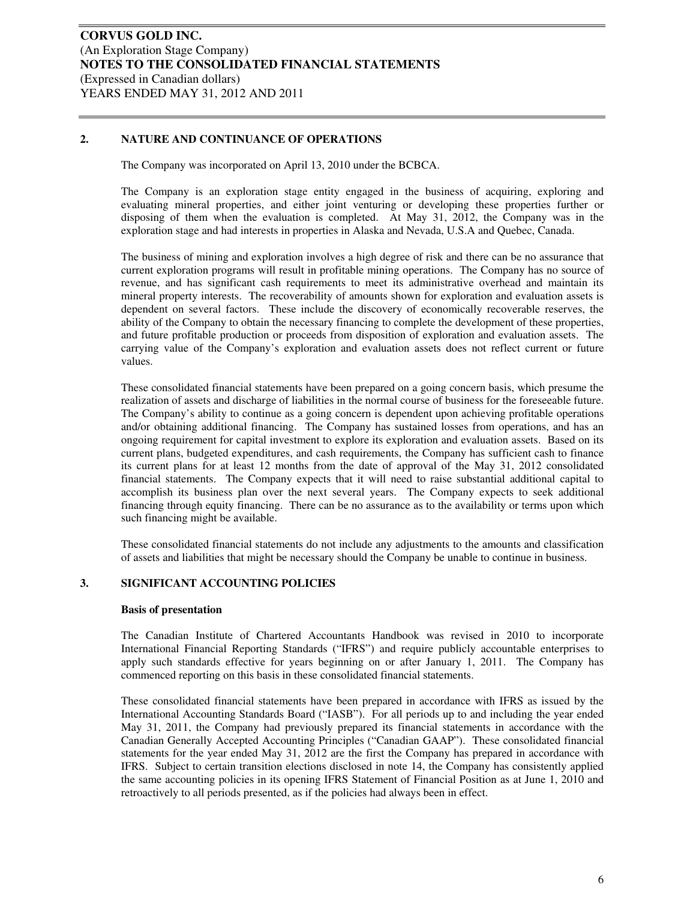#### **2. NATURE AND CONTINUANCE OF OPERATIONS**

The Company was incorporated on April 13, 2010 under the BCBCA.

The Company is an exploration stage entity engaged in the business of acquiring, exploring and evaluating mineral properties, and either joint venturing or developing these properties further or disposing of them when the evaluation is completed. At May 31, 2012, the Company was in the exploration stage and had interests in properties in Alaska and Nevada, U.S.A and Quebec, Canada.

The business of mining and exploration involves a high degree of risk and there can be no assurance that current exploration programs will result in profitable mining operations. The Company has no source of revenue, and has significant cash requirements to meet its administrative overhead and maintain its mineral property interests. The recoverability of amounts shown for exploration and evaluation assets is dependent on several factors. These include the discovery of economically recoverable reserves, the ability of the Company to obtain the necessary financing to complete the development of these properties, and future profitable production or proceeds from disposition of exploration and evaluation assets. The carrying value of the Company's exploration and evaluation assets does not reflect current or future values.

These consolidated financial statements have been prepared on a going concern basis, which presume the realization of assets and discharge of liabilities in the normal course of business for the foreseeable future. The Company's ability to continue as a going concern is dependent upon achieving profitable operations and/or obtaining additional financing. The Company has sustained losses from operations, and has an ongoing requirement for capital investment to explore its exploration and evaluation assets. Based on its current plans, budgeted expenditures, and cash requirements, the Company has sufficient cash to finance its current plans for at least 12 months from the date of approval of the May 31, 2012 consolidated financial statements. The Company expects that it will need to raise substantial additional capital to accomplish its business plan over the next several years. The Company expects to seek additional financing through equity financing. There can be no assurance as to the availability or terms upon which such financing might be available.

These consolidated financial statements do not include any adjustments to the amounts and classification of assets and liabilities that might be necessary should the Company be unable to continue in business.

#### **3. SIGNIFICANT ACCOUNTING POLICIES**

#### **Basis of presentation**

The Canadian Institute of Chartered Accountants Handbook was revised in 2010 to incorporate International Financial Reporting Standards ("IFRS") and require publicly accountable enterprises to apply such standards effective for years beginning on or after January 1, 2011. The Company has commenced reporting on this basis in these consolidated financial statements.

These consolidated financial statements have been prepared in accordance with IFRS as issued by the International Accounting Standards Board ("IASB"). For all periods up to and including the year ended May 31, 2011, the Company had previously prepared its financial statements in accordance with the Canadian Generally Accepted Accounting Principles ("Canadian GAAP"). These consolidated financial statements for the year ended May 31, 2012 are the first the Company has prepared in accordance with IFRS. Subject to certain transition elections disclosed in note 14, the Company has consistently applied the same accounting policies in its opening IFRS Statement of Financial Position as at June 1, 2010 and retroactively to all periods presented, as if the policies had always been in effect.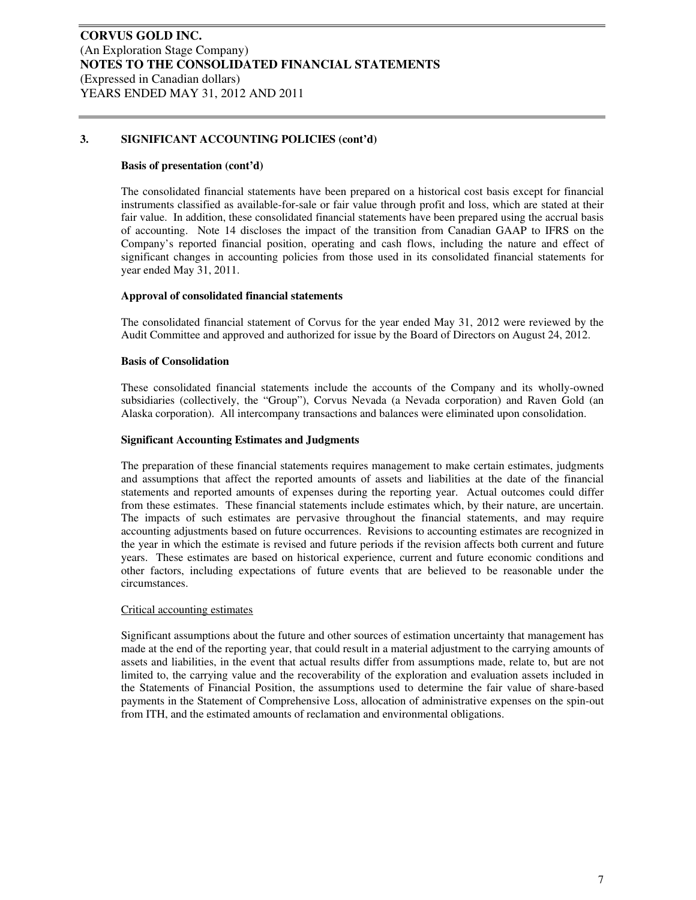#### **Basis of presentation (cont'd)**

The consolidated financial statements have been prepared on a historical cost basis except for financial instruments classified as available-for-sale or fair value through profit and loss, which are stated at their fair value. In addition, these consolidated financial statements have been prepared using the accrual basis of accounting. Note 14 discloses the impact of the transition from Canadian GAAP to IFRS on the Company's reported financial position, operating and cash flows, including the nature and effect of significant changes in accounting policies from those used in its consolidated financial statements for year ended May 31, 2011.

#### **Approval of consolidated financial statements**

The consolidated financial statement of Corvus for the year ended May 31, 2012 were reviewed by the Audit Committee and approved and authorized for issue by the Board of Directors on August 24, 2012.

#### **Basis of Consolidation**

These consolidated financial statements include the accounts of the Company and its wholly-owned subsidiaries (collectively, the "Group"), Corvus Nevada (a Nevada corporation) and Raven Gold (an Alaska corporation). All intercompany transactions and balances were eliminated upon consolidation.

#### **Significant Accounting Estimates and Judgments**

The preparation of these financial statements requires management to make certain estimates, judgments and assumptions that affect the reported amounts of assets and liabilities at the date of the financial statements and reported amounts of expenses during the reporting year. Actual outcomes could differ from these estimates. These financial statements include estimates which, by their nature, are uncertain. The impacts of such estimates are pervasive throughout the financial statements, and may require accounting adjustments based on future occurrences. Revisions to accounting estimates are recognized in the year in which the estimate is revised and future periods if the revision affects both current and future years. These estimates are based on historical experience, current and future economic conditions and other factors, including expectations of future events that are believed to be reasonable under the circumstances.

#### Critical accounting estimates

Significant assumptions about the future and other sources of estimation uncertainty that management has made at the end of the reporting year, that could result in a material adjustment to the carrying amounts of assets and liabilities, in the event that actual results differ from assumptions made, relate to, but are not limited to, the carrying value and the recoverability of the exploration and evaluation assets included in the Statements of Financial Position, the assumptions used to determine the fair value of share-based payments in the Statement of Comprehensive Loss, allocation of administrative expenses on the spin-out from ITH, and the estimated amounts of reclamation and environmental obligations.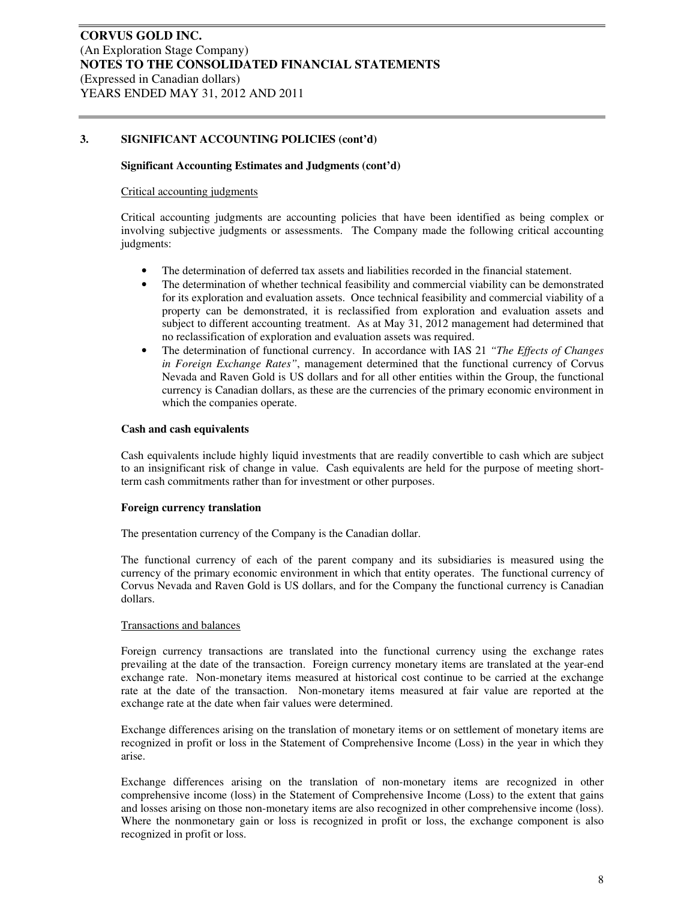#### **Significant Accounting Estimates and Judgments (cont'd)**

#### Critical accounting judgments

Critical accounting judgments are accounting policies that have been identified as being complex or involving subjective judgments or assessments. The Company made the following critical accounting judgments:

- The determination of deferred tax assets and liabilities recorded in the financial statement.
- The determination of whether technical feasibility and commercial viability can be demonstrated for its exploration and evaluation assets. Once technical feasibility and commercial viability of a property can be demonstrated, it is reclassified from exploration and evaluation assets and subject to different accounting treatment. As at May 31, 2012 management had determined that no reclassification of exploration and evaluation assets was required.
- The determination of functional currency. In accordance with IAS 21 *"The Effects of Changes in Foreign Exchange Rates"*, management determined that the functional currency of Corvus Nevada and Raven Gold is US dollars and for all other entities within the Group, the functional currency is Canadian dollars, as these are the currencies of the primary economic environment in which the companies operate.

#### **Cash and cash equivalents**

Cash equivalents include highly liquid investments that are readily convertible to cash which are subject to an insignificant risk of change in value. Cash equivalents are held for the purpose of meeting shortterm cash commitments rather than for investment or other purposes.

#### **Foreign currency translation**

The presentation currency of the Company is the Canadian dollar.

The functional currency of each of the parent company and its subsidiaries is measured using the currency of the primary economic environment in which that entity operates. The functional currency of Corvus Nevada and Raven Gold is US dollars, and for the Company the functional currency is Canadian dollars.

#### Transactions and balances

Foreign currency transactions are translated into the functional currency using the exchange rates prevailing at the date of the transaction. Foreign currency monetary items are translated at the year-end exchange rate. Non-monetary items measured at historical cost continue to be carried at the exchange rate at the date of the transaction. Non-monetary items measured at fair value are reported at the exchange rate at the date when fair values were determined.

Exchange differences arising on the translation of monetary items or on settlement of monetary items are recognized in profit or loss in the Statement of Comprehensive Income (Loss) in the year in which they arise.

Exchange differences arising on the translation of non-monetary items are recognized in other comprehensive income (loss) in the Statement of Comprehensive Income (Loss) to the extent that gains and losses arising on those non-monetary items are also recognized in other comprehensive income (loss). Where the nonmonetary gain or loss is recognized in profit or loss, the exchange component is also recognized in profit or loss.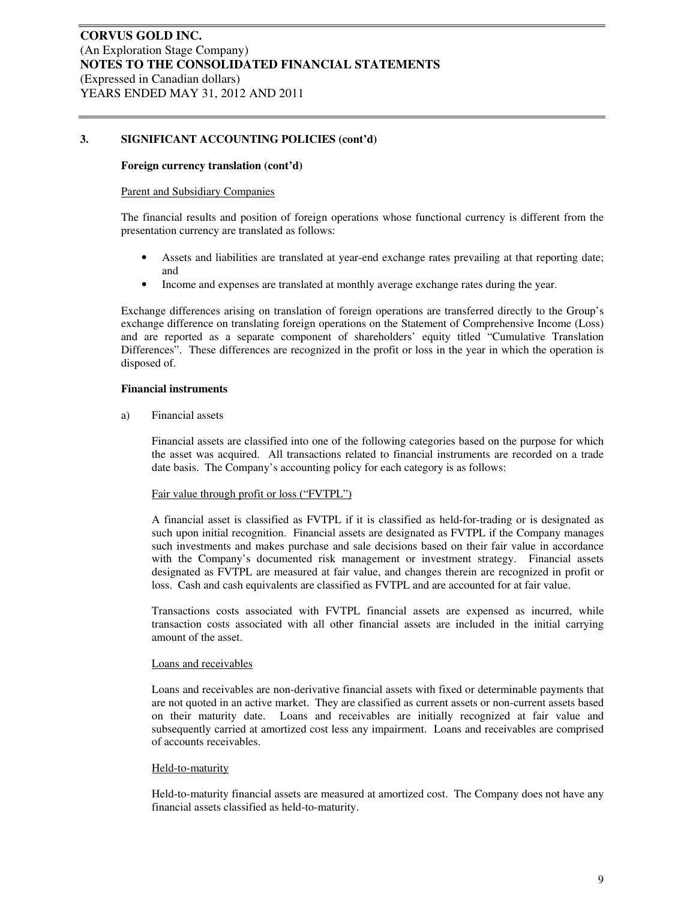#### **Foreign currency translation (cont'd)**

#### Parent and Subsidiary Companies

The financial results and position of foreign operations whose functional currency is different from the presentation currency are translated as follows:

- Assets and liabilities are translated at year-end exchange rates prevailing at that reporting date; and
- Income and expenses are translated at monthly average exchange rates during the year.

Exchange differences arising on translation of foreign operations are transferred directly to the Group's exchange difference on translating foreign operations on the Statement of Comprehensive Income (Loss) and are reported as a separate component of shareholders' equity titled "Cumulative Translation Differences". These differences are recognized in the profit or loss in the year in which the operation is disposed of.

#### **Financial instruments**

a) Financial assets

Financial assets are classified into one of the following categories based on the purpose for which the asset was acquired. All transactions related to financial instruments are recorded on a trade date basis. The Company's accounting policy for each category is as follows:

#### Fair value through profit or loss ("FVTPL")

A financial asset is classified as FVTPL if it is classified as held-for-trading or is designated as such upon initial recognition. Financial assets are designated as FVTPL if the Company manages such investments and makes purchase and sale decisions based on their fair value in accordance with the Company's documented risk management or investment strategy. Financial assets designated as FVTPL are measured at fair value, and changes therein are recognized in profit or loss. Cash and cash equivalents are classified as FVTPL and are accounted for at fair value.

Transactions costs associated with FVTPL financial assets are expensed as incurred, while transaction costs associated with all other financial assets are included in the initial carrying amount of the asset.

#### Loans and receivables

Loans and receivables are non-derivative financial assets with fixed or determinable payments that are not quoted in an active market. They are classified as current assets or non-current assets based on their maturity date. Loans and receivables are initially recognized at fair value and subsequently carried at amortized cost less any impairment. Loans and receivables are comprised of accounts receivables.

#### Held-to-maturity

Held-to-maturity financial assets are measured at amortized cost. The Company does not have any financial assets classified as held-to-maturity.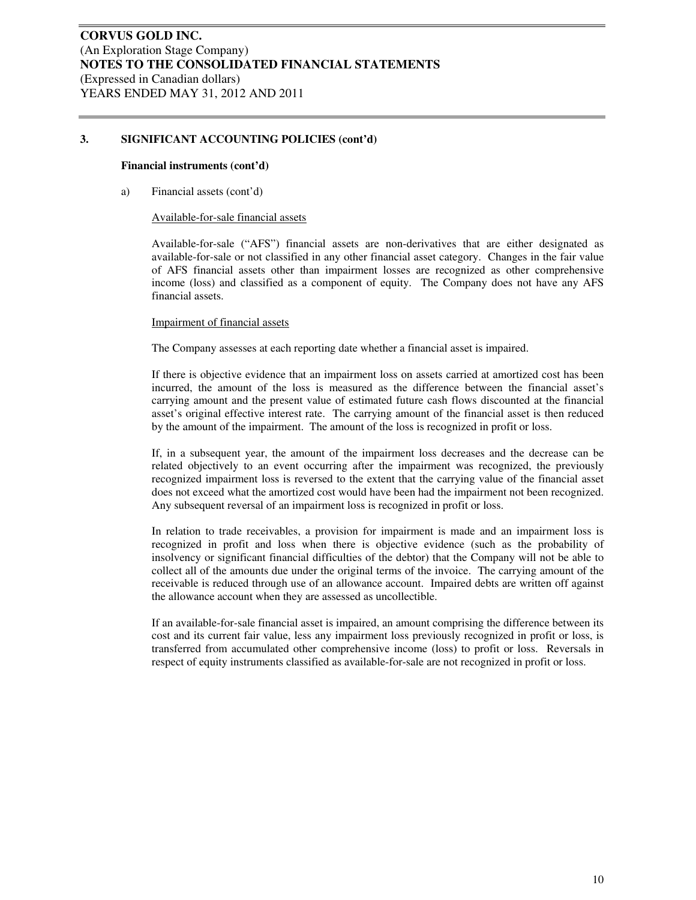#### **Financial instruments (cont'd)**

a) Financial assets (cont'd)

#### Available-for-sale financial assets

Available-for-sale ("AFS") financial assets are non-derivatives that are either designated as available-for-sale or not classified in any other financial asset category. Changes in the fair value of AFS financial assets other than impairment losses are recognized as other comprehensive income (loss) and classified as a component of equity. The Company does not have any AFS financial assets.

#### Impairment of financial assets

The Company assesses at each reporting date whether a financial asset is impaired.

If there is objective evidence that an impairment loss on assets carried at amortized cost has been incurred, the amount of the loss is measured as the difference between the financial asset's carrying amount and the present value of estimated future cash flows discounted at the financial asset's original effective interest rate. The carrying amount of the financial asset is then reduced by the amount of the impairment. The amount of the loss is recognized in profit or loss.

If, in a subsequent year, the amount of the impairment loss decreases and the decrease can be related objectively to an event occurring after the impairment was recognized, the previously recognized impairment loss is reversed to the extent that the carrying value of the financial asset does not exceed what the amortized cost would have been had the impairment not been recognized. Any subsequent reversal of an impairment loss is recognized in profit or loss.

In relation to trade receivables, a provision for impairment is made and an impairment loss is recognized in profit and loss when there is objective evidence (such as the probability of insolvency or significant financial difficulties of the debtor) that the Company will not be able to collect all of the amounts due under the original terms of the invoice. The carrying amount of the receivable is reduced through use of an allowance account. Impaired debts are written off against the allowance account when they are assessed as uncollectible.

If an available-for-sale financial asset is impaired, an amount comprising the difference between its cost and its current fair value, less any impairment loss previously recognized in profit or loss, is transferred from accumulated other comprehensive income (loss) to profit or loss. Reversals in respect of equity instruments classified as available-for-sale are not recognized in profit or loss.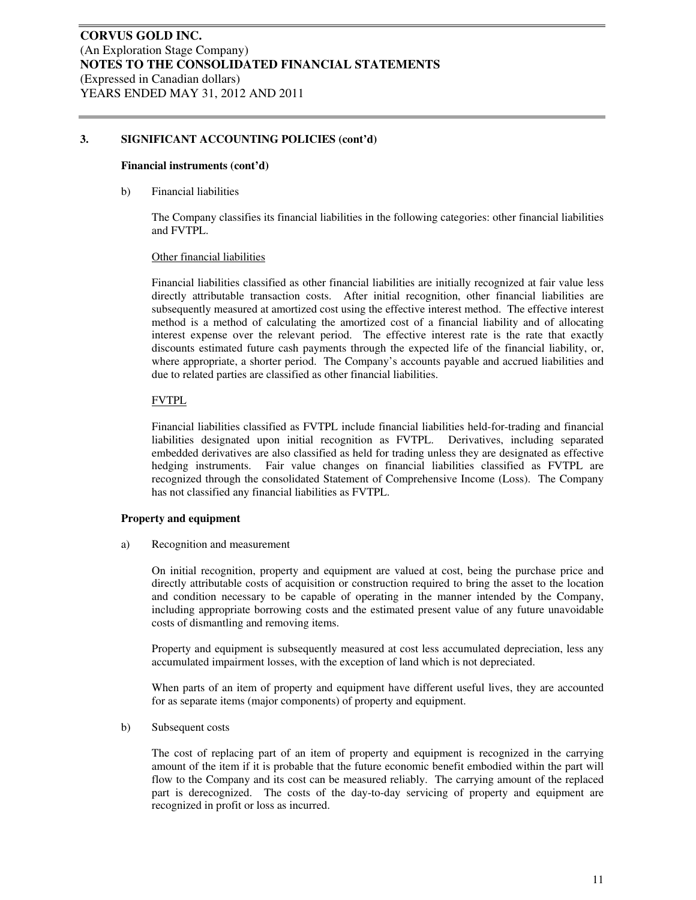#### **Financial instruments (cont'd)**

b) Financial liabilities

The Company classifies its financial liabilities in the following categories: other financial liabilities and FVTPL.

#### Other financial liabilities

Financial liabilities classified as other financial liabilities are initially recognized at fair value less directly attributable transaction costs. After initial recognition, other financial liabilities are subsequently measured at amortized cost using the effective interest method. The effective interest method is a method of calculating the amortized cost of a financial liability and of allocating interest expense over the relevant period. The effective interest rate is the rate that exactly discounts estimated future cash payments through the expected life of the financial liability, or, where appropriate, a shorter period. The Company's accounts payable and accrued liabilities and due to related parties are classified as other financial liabilities.

#### FVTPL

Financial liabilities classified as FVTPL include financial liabilities held-for-trading and financial liabilities designated upon initial recognition as FVTPL. Derivatives, including separated embedded derivatives are also classified as held for trading unless they are designated as effective hedging instruments. Fair value changes on financial liabilities classified as FVTPL are recognized through the consolidated Statement of Comprehensive Income (Loss). The Company has not classified any financial liabilities as FVTPL.

#### **Property and equipment**

a) Recognition and measurement

On initial recognition, property and equipment are valued at cost, being the purchase price and directly attributable costs of acquisition or construction required to bring the asset to the location and condition necessary to be capable of operating in the manner intended by the Company, including appropriate borrowing costs and the estimated present value of any future unavoidable costs of dismantling and removing items.

Property and equipment is subsequently measured at cost less accumulated depreciation, less any accumulated impairment losses, with the exception of land which is not depreciated.

When parts of an item of property and equipment have different useful lives, they are accounted for as separate items (major components) of property and equipment.

#### b) Subsequent costs

The cost of replacing part of an item of property and equipment is recognized in the carrying amount of the item if it is probable that the future economic benefit embodied within the part will flow to the Company and its cost can be measured reliably. The carrying amount of the replaced part is derecognized. The costs of the day-to-day servicing of property and equipment are recognized in profit or loss as incurred.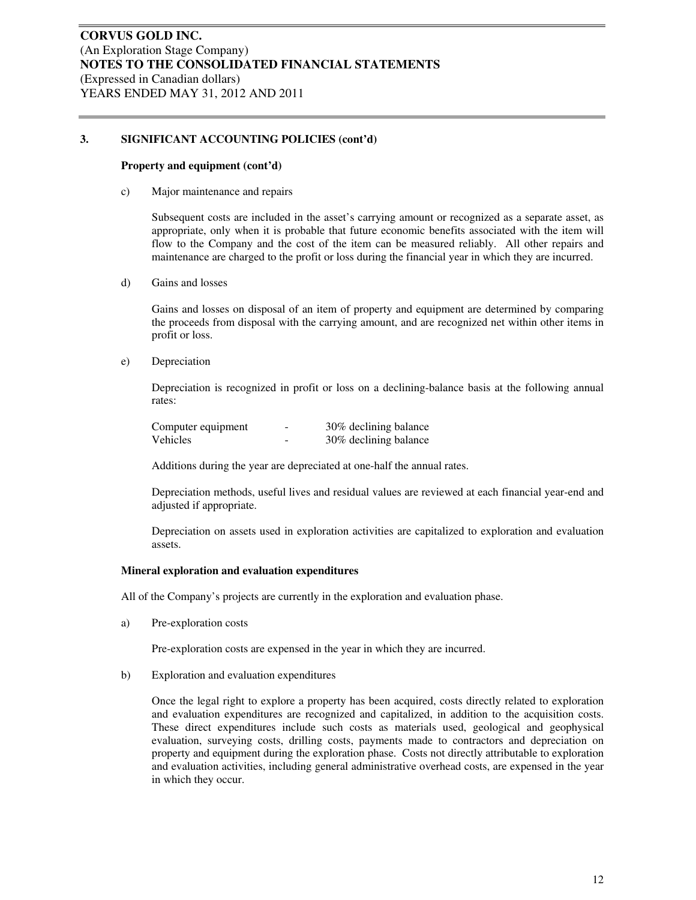#### **Property and equipment (cont'd)**

c) Major maintenance and repairs

Subsequent costs are included in the asset's carrying amount or recognized as a separate asset, as appropriate, only when it is probable that future economic benefits associated with the item will flow to the Company and the cost of the item can be measured reliably. All other repairs and maintenance are charged to the profit or loss during the financial year in which they are incurred.

d) Gains and losses

Gains and losses on disposal of an item of property and equipment are determined by comparing the proceeds from disposal with the carrying amount, and are recognized net within other items in profit or loss.

e) Depreciation

Depreciation is recognized in profit or loss on a declining-balance basis at the following annual rates:

| Computer equipment | $\overline{\phantom{a}}$ | 30% declining balance |
|--------------------|--------------------------|-----------------------|
| Vehicles           | -                        | 30% declining balance |

Additions during the year are depreciated at one-half the annual rates.

Depreciation methods, useful lives and residual values are reviewed at each financial year-end and adjusted if appropriate.

Depreciation on assets used in exploration activities are capitalized to exploration and evaluation assets.

#### **Mineral exploration and evaluation expenditures**

All of the Company's projects are currently in the exploration and evaluation phase.

a) Pre-exploration costs

Pre-exploration costs are expensed in the year in which they are incurred.

b) Exploration and evaluation expenditures

Once the legal right to explore a property has been acquired, costs directly related to exploration and evaluation expenditures are recognized and capitalized, in addition to the acquisition costs. These direct expenditures include such costs as materials used, geological and geophysical evaluation, surveying costs, drilling costs, payments made to contractors and depreciation on property and equipment during the exploration phase. Costs not directly attributable to exploration and evaluation activities, including general administrative overhead costs, are expensed in the year in which they occur.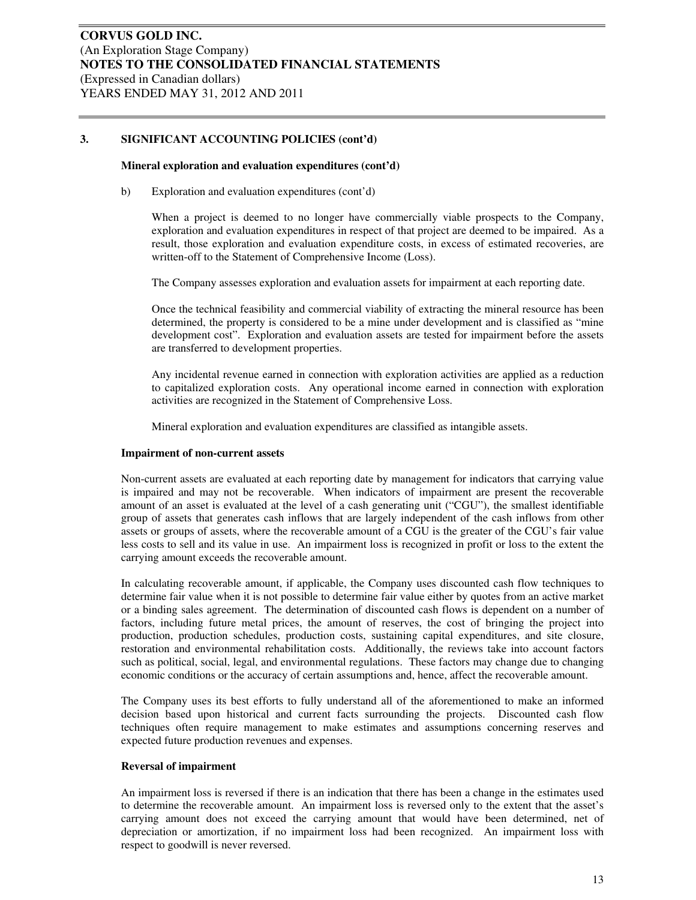#### **Mineral exploration and evaluation expenditures (cont'd)**

b) Exploration and evaluation expenditures (cont'd)

When a project is deemed to no longer have commercially viable prospects to the Company, exploration and evaluation expenditures in respect of that project are deemed to be impaired. As a result, those exploration and evaluation expenditure costs, in excess of estimated recoveries, are written-off to the Statement of Comprehensive Income (Loss).

The Company assesses exploration and evaluation assets for impairment at each reporting date.

Once the technical feasibility and commercial viability of extracting the mineral resource has been determined, the property is considered to be a mine under development and is classified as "mine development cost". Exploration and evaluation assets are tested for impairment before the assets are transferred to development properties.

Any incidental revenue earned in connection with exploration activities are applied as a reduction to capitalized exploration costs. Any operational income earned in connection with exploration activities are recognized in the Statement of Comprehensive Loss.

Mineral exploration and evaluation expenditures are classified as intangible assets.

#### **Impairment of non-current assets**

Non-current assets are evaluated at each reporting date by management for indicators that carrying value is impaired and may not be recoverable. When indicators of impairment are present the recoverable amount of an asset is evaluated at the level of a cash generating unit ("CGU"), the smallest identifiable group of assets that generates cash inflows that are largely independent of the cash inflows from other assets or groups of assets, where the recoverable amount of a CGU is the greater of the CGU's fair value less costs to sell and its value in use. An impairment loss is recognized in profit or loss to the extent the carrying amount exceeds the recoverable amount.

In calculating recoverable amount, if applicable, the Company uses discounted cash flow techniques to determine fair value when it is not possible to determine fair value either by quotes from an active market or a binding sales agreement. The determination of discounted cash flows is dependent on a number of factors, including future metal prices, the amount of reserves, the cost of bringing the project into production, production schedules, production costs, sustaining capital expenditures, and site closure, restoration and environmental rehabilitation costs. Additionally, the reviews take into account factors such as political, social, legal, and environmental regulations. These factors may change due to changing economic conditions or the accuracy of certain assumptions and, hence, affect the recoverable amount.

The Company uses its best efforts to fully understand all of the aforementioned to make an informed decision based upon historical and current facts surrounding the projects. Discounted cash flow techniques often require management to make estimates and assumptions concerning reserves and expected future production revenues and expenses.

#### **Reversal of impairment**

An impairment loss is reversed if there is an indication that there has been a change in the estimates used to determine the recoverable amount. An impairment loss is reversed only to the extent that the asset's carrying amount does not exceed the carrying amount that would have been determined, net of depreciation or amortization, if no impairment loss had been recognized. An impairment loss with respect to goodwill is never reversed.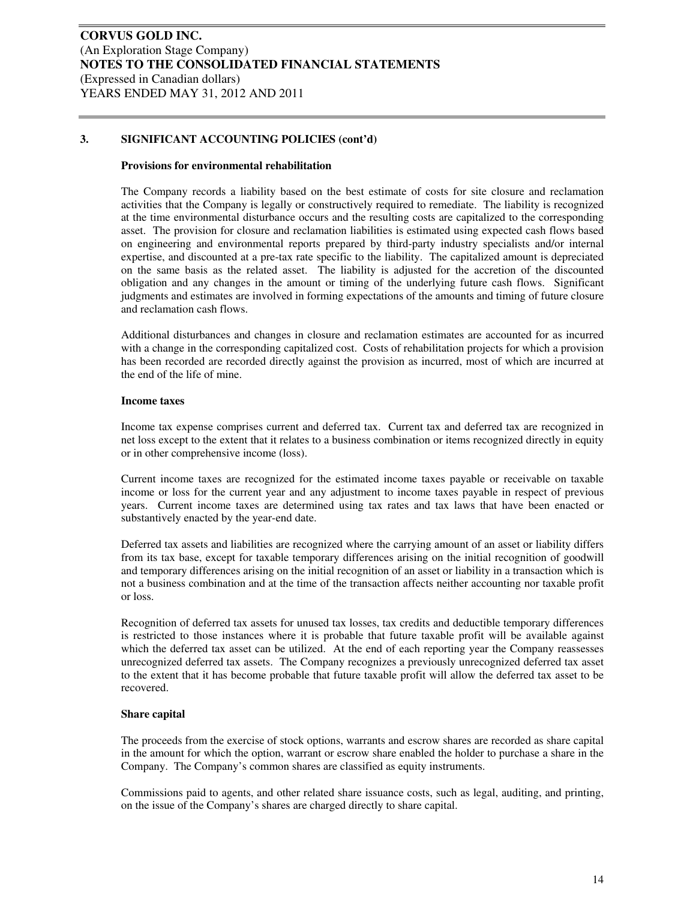#### **Provisions for environmental rehabilitation**

The Company records a liability based on the best estimate of costs for site closure and reclamation activities that the Company is legally or constructively required to remediate. The liability is recognized at the time environmental disturbance occurs and the resulting costs are capitalized to the corresponding asset. The provision for closure and reclamation liabilities is estimated using expected cash flows based on engineering and environmental reports prepared by third-party industry specialists and/or internal expertise, and discounted at a pre-tax rate specific to the liability. The capitalized amount is depreciated on the same basis as the related asset. The liability is adjusted for the accretion of the discounted obligation and any changes in the amount or timing of the underlying future cash flows. Significant judgments and estimates are involved in forming expectations of the amounts and timing of future closure and reclamation cash flows.

Additional disturbances and changes in closure and reclamation estimates are accounted for as incurred with a change in the corresponding capitalized cost. Costs of rehabilitation projects for which a provision has been recorded are recorded directly against the provision as incurred, most of which are incurred at the end of the life of mine.

#### **Income taxes**

Income tax expense comprises current and deferred tax. Current tax and deferred tax are recognized in net loss except to the extent that it relates to a business combination or items recognized directly in equity or in other comprehensive income (loss).

Current income taxes are recognized for the estimated income taxes payable or receivable on taxable income or loss for the current year and any adjustment to income taxes payable in respect of previous years. Current income taxes are determined using tax rates and tax laws that have been enacted or substantively enacted by the year-end date.

Deferred tax assets and liabilities are recognized where the carrying amount of an asset or liability differs from its tax base, except for taxable temporary differences arising on the initial recognition of goodwill and temporary differences arising on the initial recognition of an asset or liability in a transaction which is not a business combination and at the time of the transaction affects neither accounting nor taxable profit or loss.

Recognition of deferred tax assets for unused tax losses, tax credits and deductible temporary differences is restricted to those instances where it is probable that future taxable profit will be available against which the deferred tax asset can be utilized. At the end of each reporting year the Company reassesses unrecognized deferred tax assets. The Company recognizes a previously unrecognized deferred tax asset to the extent that it has become probable that future taxable profit will allow the deferred tax asset to be recovered.

#### **Share capital**

The proceeds from the exercise of stock options, warrants and escrow shares are recorded as share capital in the amount for which the option, warrant or escrow share enabled the holder to purchase a share in the Company. The Company's common shares are classified as equity instruments.

Commissions paid to agents, and other related share issuance costs, such as legal, auditing, and printing, on the issue of the Company's shares are charged directly to share capital.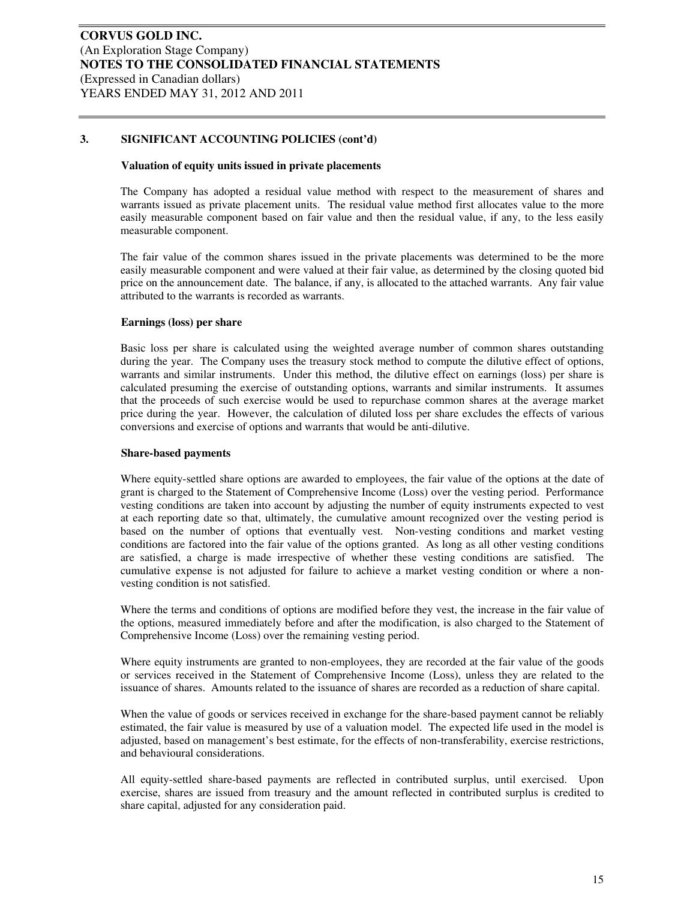#### **Valuation of equity units issued in private placements**

The Company has adopted a residual value method with respect to the measurement of shares and warrants issued as private placement units. The residual value method first allocates value to the more easily measurable component based on fair value and then the residual value, if any, to the less easily measurable component.

The fair value of the common shares issued in the private placements was determined to be the more easily measurable component and were valued at their fair value, as determined by the closing quoted bid price on the announcement date. The balance, if any, is allocated to the attached warrants. Any fair value attributed to the warrants is recorded as warrants.

#### **Earnings (loss) per share**

Basic loss per share is calculated using the weighted average number of common shares outstanding during the year. The Company uses the treasury stock method to compute the dilutive effect of options, warrants and similar instruments. Under this method, the dilutive effect on earnings (loss) per share is calculated presuming the exercise of outstanding options, warrants and similar instruments. It assumes that the proceeds of such exercise would be used to repurchase common shares at the average market price during the year. However, the calculation of diluted loss per share excludes the effects of various conversions and exercise of options and warrants that would be anti-dilutive.

#### **Share-based payments**

Where equity-settled share options are awarded to employees, the fair value of the options at the date of grant is charged to the Statement of Comprehensive Income (Loss) over the vesting period. Performance vesting conditions are taken into account by adjusting the number of equity instruments expected to vest at each reporting date so that, ultimately, the cumulative amount recognized over the vesting period is based on the number of options that eventually vest. Non-vesting conditions and market vesting conditions are factored into the fair value of the options granted. As long as all other vesting conditions are satisfied, a charge is made irrespective of whether these vesting conditions are satisfied. The cumulative expense is not adjusted for failure to achieve a market vesting condition or where a nonvesting condition is not satisfied.

Where the terms and conditions of options are modified before they vest, the increase in the fair value of the options, measured immediately before and after the modification, is also charged to the Statement of Comprehensive Income (Loss) over the remaining vesting period.

Where equity instruments are granted to non-employees, they are recorded at the fair value of the goods or services received in the Statement of Comprehensive Income (Loss), unless they are related to the issuance of shares. Amounts related to the issuance of shares are recorded as a reduction of share capital.

When the value of goods or services received in exchange for the share-based payment cannot be reliably estimated, the fair value is measured by use of a valuation model. The expected life used in the model is adjusted, based on management's best estimate, for the effects of non-transferability, exercise restrictions, and behavioural considerations.

All equity-settled share-based payments are reflected in contributed surplus, until exercised. Upon exercise, shares are issued from treasury and the amount reflected in contributed surplus is credited to share capital, adjusted for any consideration paid.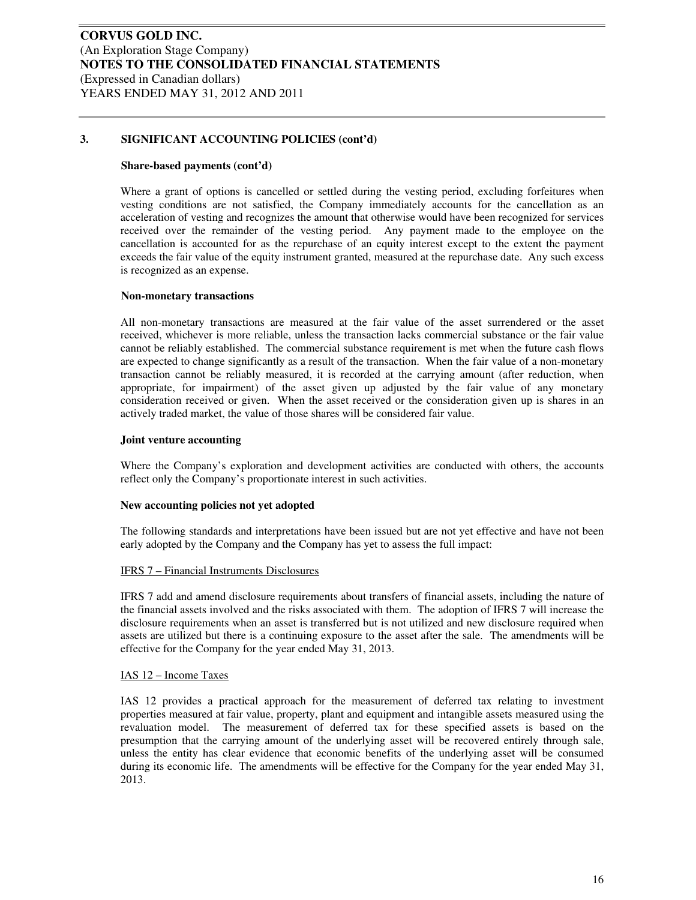#### **Share-based payments (cont'd)**

Where a grant of options is cancelled or settled during the vesting period, excluding forfeitures when vesting conditions are not satisfied, the Company immediately accounts for the cancellation as an acceleration of vesting and recognizes the amount that otherwise would have been recognized for services received over the remainder of the vesting period. Any payment made to the employee on the cancellation is accounted for as the repurchase of an equity interest except to the extent the payment exceeds the fair value of the equity instrument granted, measured at the repurchase date. Any such excess is recognized as an expense.

#### **Non-monetary transactions**

All non-monetary transactions are measured at the fair value of the asset surrendered or the asset received, whichever is more reliable, unless the transaction lacks commercial substance or the fair value cannot be reliably established. The commercial substance requirement is met when the future cash flows are expected to change significantly as a result of the transaction. When the fair value of a non-monetary transaction cannot be reliably measured, it is recorded at the carrying amount (after reduction, when appropriate, for impairment) of the asset given up adjusted by the fair value of any monetary consideration received or given. When the asset received or the consideration given up is shares in an actively traded market, the value of those shares will be considered fair value.

#### **Joint venture accounting**

Where the Company's exploration and development activities are conducted with others, the accounts reflect only the Company's proportionate interest in such activities.

#### **New accounting policies not yet adopted**

The following standards and interpretations have been issued but are not yet effective and have not been early adopted by the Company and the Company has yet to assess the full impact:

#### IFRS 7 – Financial Instruments Disclosures

IFRS 7 add and amend disclosure requirements about transfers of financial assets, including the nature of the financial assets involved and the risks associated with them. The adoption of IFRS 7 will increase the disclosure requirements when an asset is transferred but is not utilized and new disclosure required when assets are utilized but there is a continuing exposure to the asset after the sale. The amendments will be effective for the Company for the year ended May 31, 2013.

#### IAS 12 – Income Taxes

IAS 12 provides a practical approach for the measurement of deferred tax relating to investment properties measured at fair value, property, plant and equipment and intangible assets measured using the revaluation model. The measurement of deferred tax for these specified assets is based on the presumption that the carrying amount of the underlying asset will be recovered entirely through sale, unless the entity has clear evidence that economic benefits of the underlying asset will be consumed during its economic life. The amendments will be effective for the Company for the year ended May 31, 2013.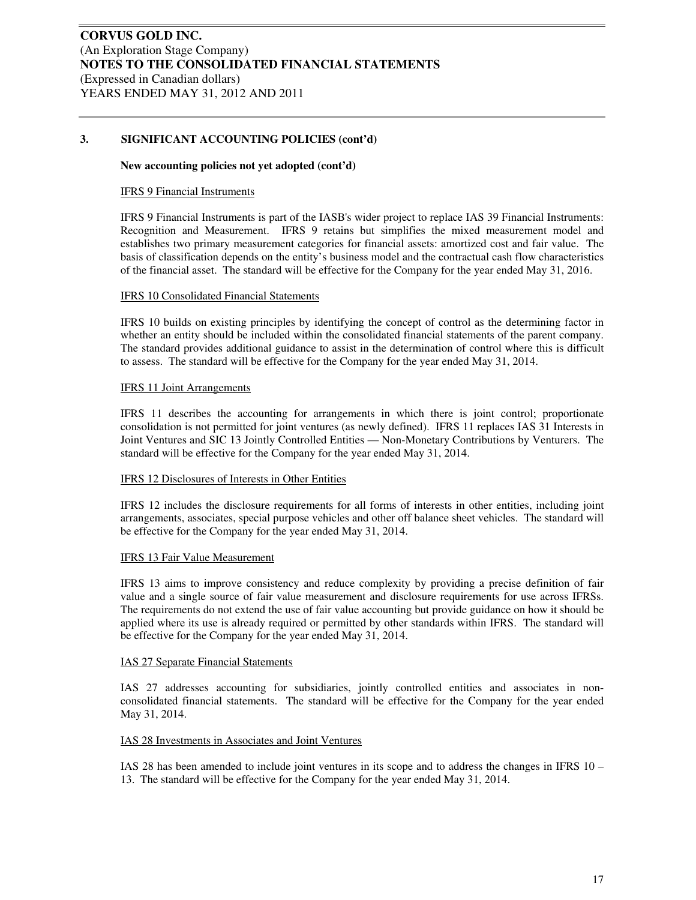#### **New accounting policies not yet adopted (cont'd)**

#### IFRS 9 Financial Instruments

IFRS 9 Financial Instruments is part of the IASB's wider project to replace IAS 39 Financial Instruments: Recognition and Measurement. IFRS 9 retains but simplifies the mixed measurement model and establishes two primary measurement categories for financial assets: amortized cost and fair value. The basis of classification depends on the entity's business model and the contractual cash flow characteristics of the financial asset. The standard will be effective for the Company for the year ended May 31, 2016.

#### IFRS 10 Consolidated Financial Statements

IFRS 10 builds on existing principles by identifying the concept of control as the determining factor in whether an entity should be included within the consolidated financial statements of the parent company. The standard provides additional guidance to assist in the determination of control where this is difficult to assess. The standard will be effective for the Company for the year ended May 31, 2014.

#### IFRS 11 Joint Arrangements

IFRS 11 describes the accounting for arrangements in which there is joint control; proportionate consolidation is not permitted for joint ventures (as newly defined). IFRS 11 replaces IAS 31 Interests in Joint Ventures and SIC 13 Jointly Controlled Entities — Non-Monetary Contributions by Venturers. The standard will be effective for the Company for the year ended May 31, 2014.

#### IFRS 12 Disclosures of Interests in Other Entities

IFRS 12 includes the disclosure requirements for all forms of interests in other entities, including joint arrangements, associates, special purpose vehicles and other off balance sheet vehicles. The standard will be effective for the Company for the year ended May 31, 2014.

#### IFRS 13 Fair Value Measurement

IFRS 13 aims to improve consistency and reduce complexity by providing a precise definition of fair value and a single source of fair value measurement and disclosure requirements for use across IFRSs. The requirements do not extend the use of fair value accounting but provide guidance on how it should be applied where its use is already required or permitted by other standards within IFRS. The standard will be effective for the Company for the year ended May 31, 2014.

#### IAS 27 Separate Financial Statements

IAS 27 addresses accounting for subsidiaries, jointly controlled entities and associates in nonconsolidated financial statements. The standard will be effective for the Company for the year ended May 31, 2014.

#### IAS 28 Investments in Associates and Joint Ventures

IAS 28 has been amended to include joint ventures in its scope and to address the changes in IFRS 10 – 13. The standard will be effective for the Company for the year ended May 31, 2014.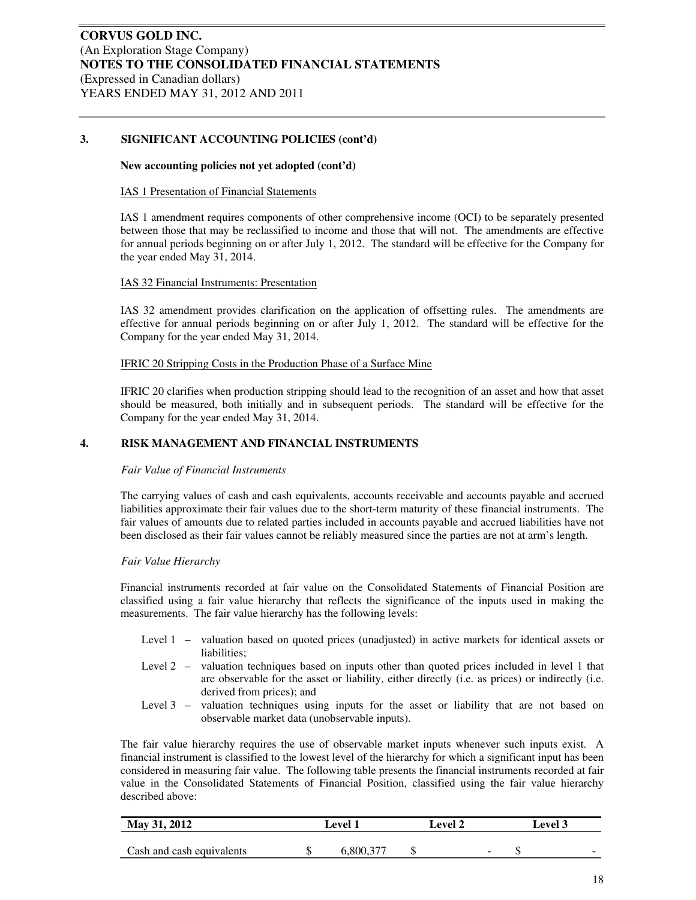#### **New accounting policies not yet adopted (cont'd)**

#### IAS 1 Presentation of Financial Statements

IAS 1 amendment requires components of other comprehensive income (OCI) to be separately presented between those that may be reclassified to income and those that will not. The amendments are effective for annual periods beginning on or after July 1, 2012. The standard will be effective for the Company for the year ended May 31, 2014.

#### IAS 32 Financial Instruments: Presentation

IAS 32 amendment provides clarification on the application of offsetting rules. The amendments are effective for annual periods beginning on or after July 1, 2012. The standard will be effective for the Company for the year ended May 31, 2014.

#### IFRIC 20 Stripping Costs in the Production Phase of a Surface Mine

IFRIC 20 clarifies when production stripping should lead to the recognition of an asset and how that asset should be measured, both initially and in subsequent periods. The standard will be effective for the Company for the year ended May 31, 2014.

#### **4. RISK MANAGEMENT AND FINANCIAL INSTRUMENTS**

#### *Fair Value of Financial Instruments*

The carrying values of cash and cash equivalents, accounts receivable and accounts payable and accrued liabilities approximate their fair values due to the short-term maturity of these financial instruments. The fair values of amounts due to related parties included in accounts payable and accrued liabilities have not been disclosed as their fair values cannot be reliably measured since the parties are not at arm's length.

#### *Fair Value Hierarchy*

Financial instruments recorded at fair value on the Consolidated Statements of Financial Position are classified using a fair value hierarchy that reflects the significance of the inputs used in making the measurements. The fair value hierarchy has the following levels:

- Level 1 valuation based on quoted prices (unadjusted) in active markets for identical assets or liabilities:
- Level 2 valuation techniques based on inputs other than quoted prices included in level 1 that are observable for the asset or liability, either directly (i.e. as prices) or indirectly (i.e. derived from prices); and
- Level 3 valuation techniques using inputs for the asset or liability that are not based on observable market data (unobservable inputs).

The fair value hierarchy requires the use of observable market inputs whenever such inputs exist. A financial instrument is classified to the lowest level of the hierarchy for which a significant input has been considered in measuring fair value. The following table presents the financial instruments recorded at fair value in the Consolidated Statements of Financial Position, classified using the fair value hierarchy described above:

| May 31, 2012              | ∟evel 1 |           |  | Level 2 | evel 3 |  |                          |  |
|---------------------------|---------|-----------|--|---------|--------|--|--------------------------|--|
|                           |         |           |  |         |        |  |                          |  |
| Cash and cash equivalents |         | 6,800,377 |  |         | -      |  | $\overline{\phantom{a}}$ |  |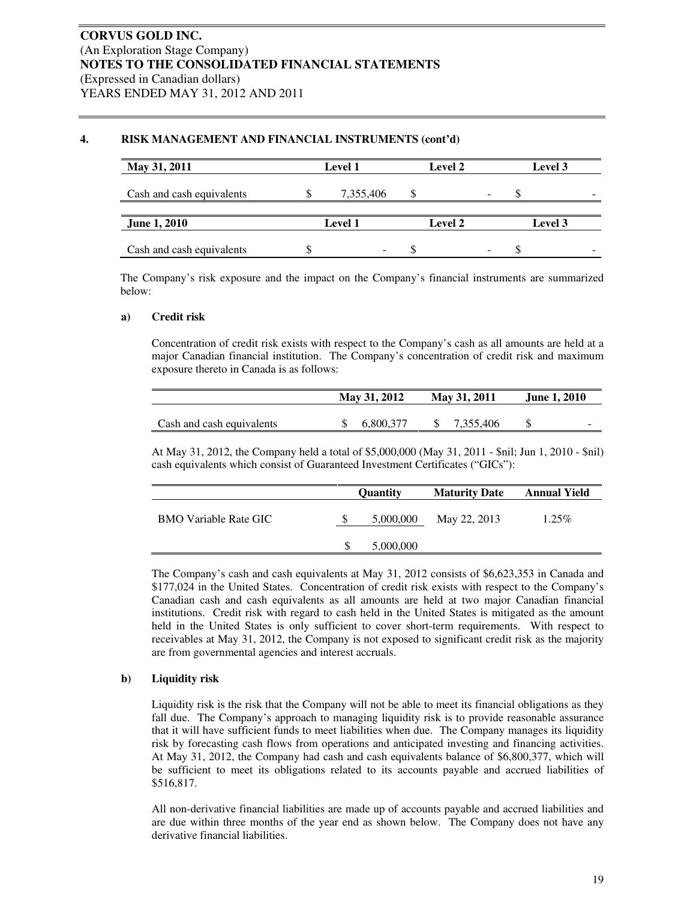#### **4. RISK MANAGEMENT AND FINANCIAL INSTRUMENTS (cont'd)**

| May 31, 2011              |    | <b>Level 1</b> | Level 2        | Level 3 |
|---------------------------|----|----------------|----------------|---------|
| Cash and cash equivalents | ۰D | 7,355,406      |                |         |
| <b>June 1, 2010</b>       |    | <b>Level 1</b> | <b>Level 2</b> | Level 3 |
| Cash and cash equivalents |    | -              |                |         |

The Company's risk exposure and the impact on the Company's financial instruments are summarized below:

#### **a) Credit risk**

Concentration of credit risk exists with respect to the Company's cash as all amounts are held at a major Canadian financial institution. The Company's concentration of credit risk and maximum exposure thereto in Canada is as follows:

|                           | May 31, 2012 | May 31, 2011 | <b>June 1, 2010</b>      |
|---------------------------|--------------|--------------|--------------------------|
|                           |              |              |                          |
| Cash and cash equivalents | 6.800.377    | 7.355.406    | $\overline{\phantom{a}}$ |

At May 31, 2012, the Company held a total of \$5,000,000 (May 31, 2011 - \$nil; Jun 1, 2010 - \$nil) cash equivalents which consist of Guaranteed Investment Certificates ("GICs"):

|                              | <b>Ouantity</b> | <b>Maturity Date</b> | Annual Yield |
|------------------------------|-----------------|----------------------|--------------|
| <b>BMO</b> Variable Rate GIC | 5,000,000       | May 22, 2013         | $1.25\%$     |
|                              | 5,000,000       |                      |              |

The Company's cash and cash equivalents at May 31, 2012 consists of \$6,623,353 in Canada and \$177,024 in the United States. Concentration of credit risk exists with respect to the Company's Canadian cash and cash equivalents as all amounts are held at two major Canadian financial institutions. Credit risk with regard to cash held in the United States is mitigated as the amount held in the United States is only sufficient to cover short-term requirements. With respect to receivables at May 31, 2012, the Company is not exposed to significant credit risk as the majority are from governmental agencies and interest accruals.

#### **b) Liquidity risk**

Liquidity risk is the risk that the Company will not be able to meet its financial obligations as they fall due. The Company's approach to managing liquidity risk is to provide reasonable assurance that it will have sufficient funds to meet liabilities when due. The Company manages its liquidity risk by forecasting cash flows from operations and anticipated investing and financing activities. At May 31, 2012, the Company had cash and cash equivalents balance of \$6,800,377, which will be sufficient to meet its obligations related to its accounts payable and accrued liabilities of \$516,817.

All non-derivative financial liabilities are made up of accounts payable and accrued liabilities and are due within three months of the year end as shown below. The Company does not have any derivative financial liabilities.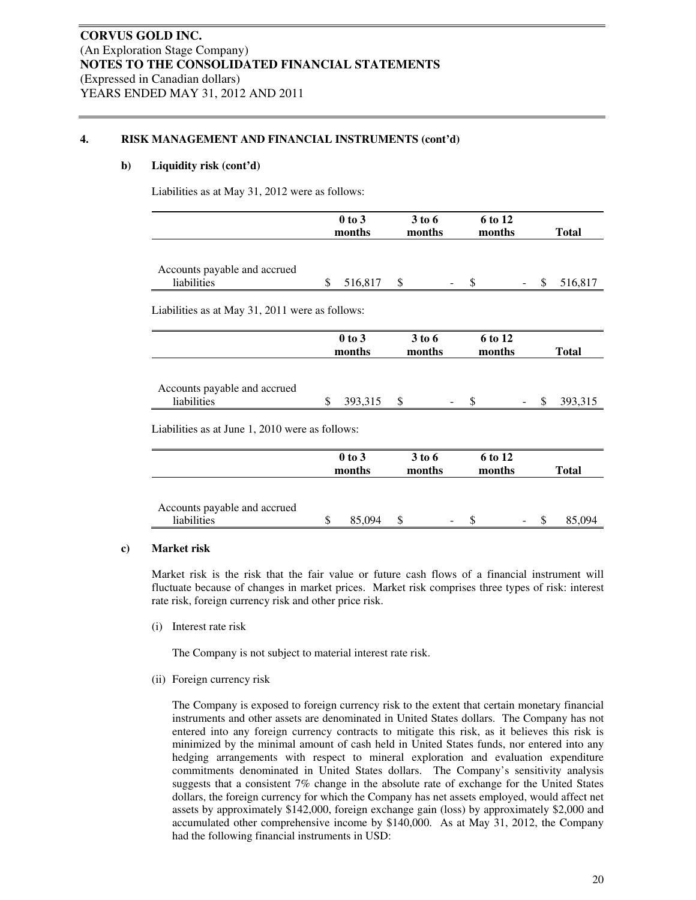#### **4. RISK MANAGEMENT AND FINANCIAL INSTRUMENTS (cont'd)**

#### **b) Liquidity risk (cont'd)**

Liabilities as at May 31, 2012 were as follows:

|                                                 | $0$ to $3$<br>months |  | 3 to 6<br>months |                   | 6 to 12<br>months |               | <b>Total</b> |  |
|-------------------------------------------------|----------------------|--|------------------|-------------------|-------------------|---------------|--------------|--|
|                                                 |                      |  |                  |                   |                   |               |              |  |
| Accounts payable and accrued                    |                      |  |                  |                   |                   |               |              |  |
| liabilities                                     | \$<br>516,817 \$     |  |                  | <sup>\$</sup>     |                   | $\mathcal{S}$ | 516,817      |  |
|                                                 |                      |  |                  |                   |                   |               |              |  |
| Liabilities as at May 31, 2011 were as follows: |                      |  |                  |                   |                   |               |              |  |
|                                                 |                      |  |                  |                   |                   |               |              |  |
|                                                 | $0$ to $3$<br>months |  | 3 to 6<br>months | 6 to 12<br>months |                   | <b>Total</b>  |              |  |
|                                                 |                      |  |                  |                   |                   |               |              |  |
| Accounts payable and accrued                    |                      |  |                  |                   |                   |               |              |  |
| liabilities                                     | \$<br>393,315 \$     |  |                  | \$.               |                   | <sup>S</sup>  | 393,315      |  |
|                                                 |                      |  |                  |                   |                   |               |              |  |
| Liabilities as at June 1, 2010 were as follows: |                      |  |                  |                   |                   |               |              |  |
|                                                 | $0$ to $3$           |  | 3 to 6           |                   | 6 to 12           |               |              |  |
|                                                 | months               |  | months           |                   | months            |               | <b>Total</b> |  |
|                                                 |                      |  |                  |                   |                   |               |              |  |

| Accounts payable and accrued |     |        |        |       |
|------------------------------|-----|--------|--------|-------|
| liabilities                  | 094 | $\sim$ | $\sim$ | ፣ በ94 |
|                              |     |        |        |       |

#### **c) Market risk**

Market risk is the risk that the fair value or future cash flows of a financial instrument will fluctuate because of changes in market prices. Market risk comprises three types of risk: interest rate risk, foreign currency risk and other price risk.

(i) Interest rate risk

The Company is not subject to material interest rate risk.

(ii) Foreign currency risk

The Company is exposed to foreign currency risk to the extent that certain monetary financial instruments and other assets are denominated in United States dollars. The Company has not entered into any foreign currency contracts to mitigate this risk, as it believes this risk is minimized by the minimal amount of cash held in United States funds, nor entered into any hedging arrangements with respect to mineral exploration and evaluation expenditure commitments denominated in United States dollars. The Company's sensitivity analysis suggests that a consistent 7% change in the absolute rate of exchange for the United States dollars, the foreign currency for which the Company has net assets employed, would affect net assets by approximately \$142,000, foreign exchange gain (loss) by approximately \$2,000 and accumulated other comprehensive income by \$140,000. As at May 31, 2012, the Company had the following financial instruments in USD: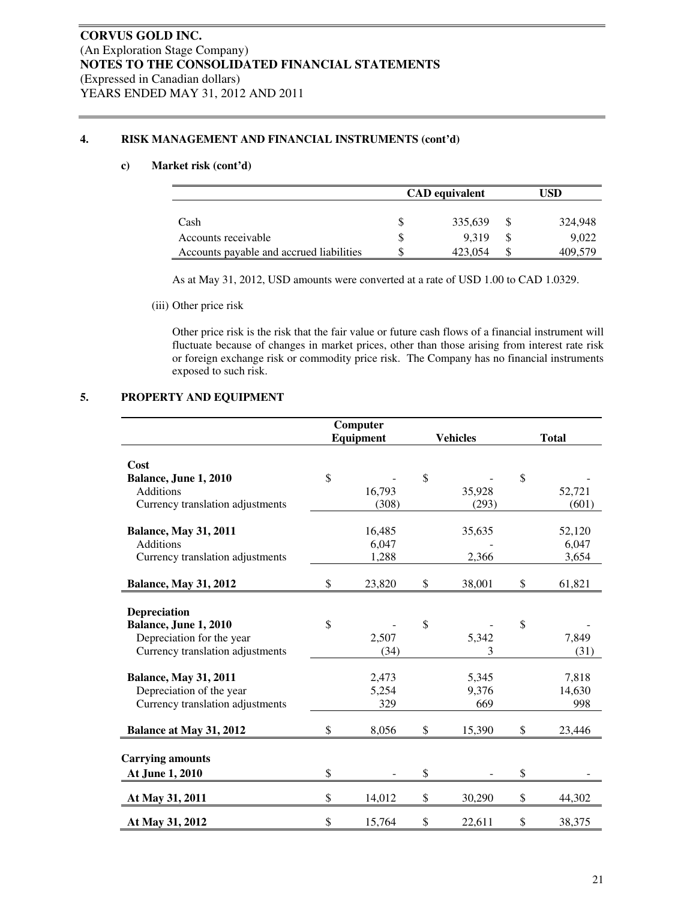#### **4. RISK MANAGEMENT AND FINANCIAL INSTRUMENTS (cont'd)**

#### **c) Market risk (cont'd)**

|                                          | <b>CAD</b> equivalent |         |  | USD     |  |  |
|------------------------------------------|-----------------------|---------|--|---------|--|--|
|                                          |                       |         |  |         |  |  |
| Cash                                     |                       | 335,639 |  | 324,948 |  |  |
| Accounts receivable                      |                       | 9.319   |  | 9,022   |  |  |
| Accounts payable and accrued liabilities |                       | 423.054 |  | 409,579 |  |  |

As at May 31, 2012, USD amounts were converted at a rate of USD 1.00 to CAD 1.0329.

(iii) Other price risk

Other price risk is the risk that the fair value or future cash flows of a financial instrument will fluctuate because of changes in market prices, other than those arising from interest rate risk or foreign exchange risk or commodity price risk. The Company has no financial instruments exposed to such risk.

#### **5. PROPERTY AND EQUIPMENT**

|              |                                                                                                     |          |                                                                                     | <b>Total</b> |
|--------------|-----------------------------------------------------------------------------------------------------|----------|-------------------------------------------------------------------------------------|--------------|
|              |                                                                                                     |          |                                                                                     |              |
|              |                                                                                                     |          |                                                                                     |              |
|              |                                                                                                     |          |                                                                                     | 52,721       |
|              |                                                                                                     |          |                                                                                     | (601)        |
|              |                                                                                                     |          |                                                                                     |              |
|              |                                                                                                     |          |                                                                                     | 52,120       |
| 6,047        |                                                                                                     |          |                                                                                     | 6,047        |
| 1,288        |                                                                                                     | 2,366    |                                                                                     | 3,654        |
|              |                                                                                                     |          |                                                                                     |              |
| \$<br>23,820 | \$                                                                                                  | 38,001   | \$                                                                                  | 61,821       |
|              |                                                                                                     |          |                                                                                     |              |
|              |                                                                                                     |          |                                                                                     |              |
|              |                                                                                                     |          |                                                                                     |              |
|              |                                                                                                     |          |                                                                                     | 7,849        |
|              |                                                                                                     |          |                                                                                     | (31)         |
|              |                                                                                                     |          |                                                                                     | 7,818        |
|              |                                                                                                     |          |                                                                                     | 14,630       |
|              |                                                                                                     |          |                                                                                     | 998          |
|              |                                                                                                     |          |                                                                                     |              |
| \$<br>8,056  | \$                                                                                                  | 15,390   | \$                                                                                  | 23,446       |
|              |                                                                                                     |          |                                                                                     |              |
|              |                                                                                                     |          |                                                                                     |              |
| \$           | \$                                                                                                  |          | \$                                                                                  |              |
| \$<br>14,012 | \$                                                                                                  | 30,290   | \$                                                                                  | 44,302       |
| \$<br>15,764 | \$                                                                                                  | 22,611   | \$                                                                                  | 38,375       |
| \$<br>\$     | Computer<br><b>Equipment</b><br>16,793<br>(308)<br>16,485<br>2,507<br>(34)<br>2,473<br>5,254<br>329 | \$<br>\$ | <b>Vehicles</b><br>35,928<br>(293)<br>35,635<br>5,342<br>3<br>5,345<br>9,376<br>669 | \$<br>\$     |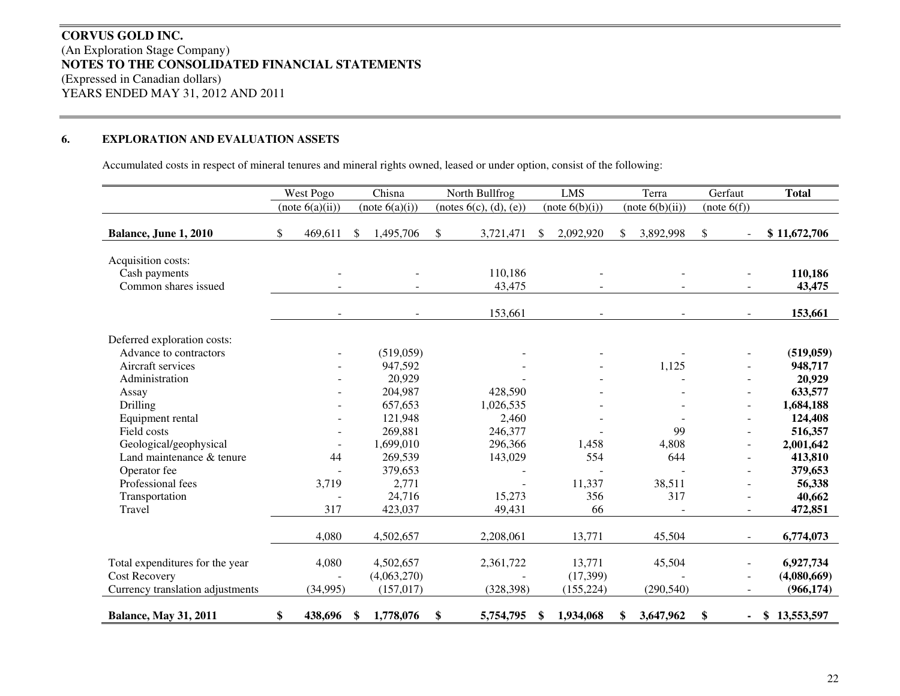# **CORVUS GOLD INC.** (An Exploration Stage Company) **NOTES TO THE CONSOLIDATED FINANCIAL STATEMENTS** (Expressed in Canadian dollars) YEARS ENDED MAY 31, 2012 AND 2011

#### **6.EXPLORATION AND EVALUATION ASSETS**

Accumulated costs in respect of mineral tenures and mineral rights owned, leased or under option, consist of the following:

|                                                             | West Pogo                |    | Chisna         | North Bullfrog                   |               | <b>LMS</b>     | Terra           | Gerfaut      | <b>Total</b>      |
|-------------------------------------------------------------|--------------------------|----|----------------|----------------------------------|---------------|----------------|-----------------|--------------|-------------------|
|                                                             | (note 6(a)(ii))          |    | (note 6(a)(i)) | $(\text{notes } 6(c), (d), (e))$ |               | (note 6(b)(i)) | (note 6(b)(ii)) | (note 6(f))  |                   |
| Balance, June 1, 2010                                       | \$<br>469,611            | \$ | 1,495,706      | \$<br>3,721,471                  | <sup>\$</sup> | 2,092,920      | \$<br>3,892,998 | \$           | \$11,672,706      |
| Acquisition costs:<br>Cash payments<br>Common shares issued |                          |    |                | 110,186<br>43,475                |               |                |                 |              | 110,186<br>43,475 |
|                                                             | $\overline{\phantom{a}}$ |    | $\blacksquare$ | 153,661                          |               | $\sim$         |                 | $\sim$       | 153,661           |
| Deferred exploration costs:                                 |                          |    |                |                                  |               |                |                 |              |                   |
| Advance to contractors                                      |                          |    | (519,059)      |                                  |               |                |                 |              | (519, 059)        |
| Aircraft services                                           |                          |    | 947,592        |                                  |               |                | 1,125           |              | 948,717           |
| Administration                                              |                          |    | 20,929         |                                  |               |                |                 |              | 20,929            |
| Assay                                                       |                          |    | 204,987        | 428,590                          |               |                |                 |              | 633,577           |
| Drilling                                                    |                          |    | 657,653        | 1,026,535                        |               |                |                 |              | 1,684,188         |
| Equipment rental                                            |                          |    | 121,948        | 2,460                            |               |                |                 |              | 124,408           |
| Field costs                                                 |                          |    | 269,881        | 246,377                          |               |                | 99              |              | 516,357           |
| Geological/geophysical                                      |                          |    | 1,699,010      | 296,366                          |               | 1,458          | 4,808           |              | 2,001,642         |
| Land maintenance & tenure                                   | 44                       |    | 269,539        | 143,029                          |               | 554            | 644             |              | 413,810           |
| Operator fee                                                |                          |    | 379,653        |                                  |               |                |                 |              | 379,653           |
| Professional fees                                           | 3,719                    |    | 2,771          |                                  |               | 11,337         | 38,511          |              | 56,338            |
| Transportation                                              |                          |    | 24,716         | 15,273                           |               | 356            | 317             |              | 40,662            |
| Travel                                                      | 317                      |    | 423,037        | 49,431                           |               | 66             |                 |              | 472,851           |
|                                                             | 4,080                    |    | 4,502,657      | 2,208,061                        |               | 13,771         | 45,504          | $\sim$       | 6,774,073         |
|                                                             |                          |    |                |                                  |               |                |                 |              |                   |
| Total expenditures for the year                             | 4,080                    |    | 4,502,657      | 2,361,722                        |               | 13,771         | 45,504          |              | 6,927,734         |
| <b>Cost Recovery</b>                                        |                          |    | (4,063,270)    |                                  |               | (17,399)       |                 |              | (4,080,669)       |
| Currency translation adjustments                            | (34,995)                 |    | (157, 017)     | (328, 398)                       |               | (155, 224)     | (290, 540)      |              | (966, 174)        |
| <b>Balance, May 31, 2011</b>                                | \$<br>438,696            | -S | 1,778,076      | \$<br>5,754,795                  | S.            | 1,934,068      | \$<br>3,647,962 | \$<br>$\sim$ | \$13,553,597      |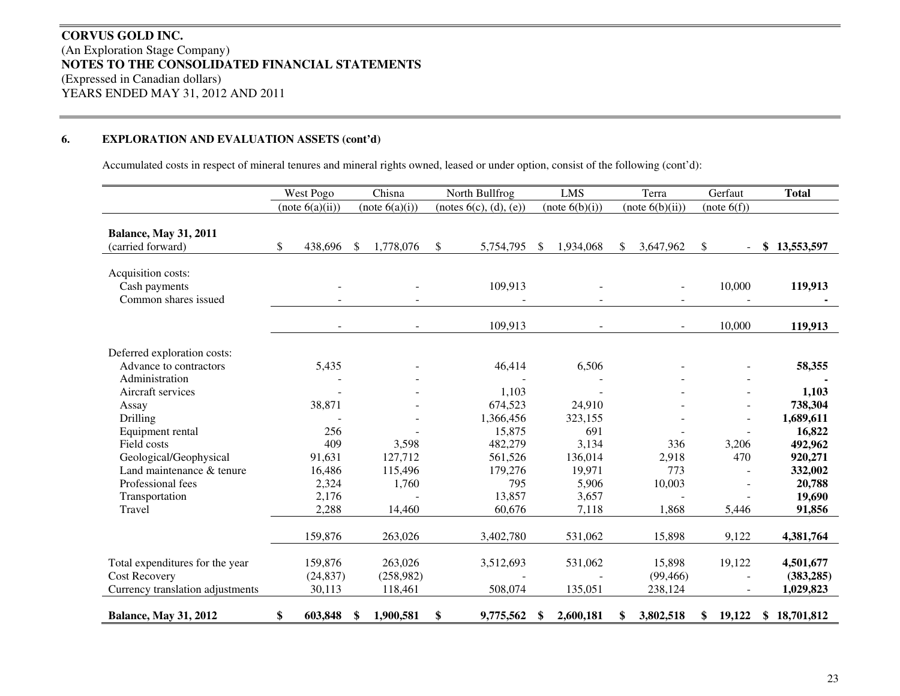# **CORVUS GOLD INC.** (An Exploration Stage Company) **NOTES TO THE CONSOLIDATED FINANCIAL STATEMENTS** (Expressed in Canadian dollars) YEARS ENDED MAY 31, 2012 AND 2011

#### **6. EXPLORATION AND EVALUATION ASSETS (cont'd)**

Accumulated costs in respect of mineral tenures and mineral rights owned, leased or under option, consist of the following (cont'd):

|                                                             | West Pogo       |               | Chisna         | North Bullfrog         |               | <b>LMS</b>     |               | Terra           | Gerfaut      | <b>Total</b>     |
|-------------------------------------------------------------|-----------------|---------------|----------------|------------------------|---------------|----------------|---------------|-----------------|--------------|------------------|
|                                                             | (note 6(a)(ii)) |               | (note 6(a)(i)) | (notes 6(c), (d), (e)) |               | (note 6(b)(i)) |               | (note 6(b)(ii)) | (note 6(f))  |                  |
| <b>Balance, May 31, 2011</b><br>(carried forward)           | \$<br>438,696   | <sup>\$</sup> | 1,778,076      | \$<br>5,754,795        | <sup>\$</sup> | 1,934,068      | <sup>\$</sup> | 3,647,962       | \$           | \$<br>13,553,597 |
| Acquisition costs:<br>Cash payments<br>Common shares issued |                 |               |                | 109,913                |               |                |               |                 | 10,000       | 119,913          |
|                                                             |                 |               | $\blacksquare$ | 109,913                |               |                |               |                 | 10,000       | 119,913          |
| Deferred exploration costs:                                 |                 |               |                |                        |               |                |               |                 |              |                  |
| Advance to contractors<br>Administration                    | 5,435           |               |                | 46,414                 |               | 6,506          |               |                 |              | 58,355           |
| Aircraft services                                           |                 |               |                | 1,103                  |               |                |               |                 |              | 1,103            |
| Assay                                                       | 38,871          |               |                | 674,523                |               | 24,910         |               |                 |              | 738,304          |
| Drilling                                                    |                 |               |                | 1,366,456              |               | 323,155        |               |                 |              | 1,689,611        |
| Equipment rental                                            | 256             |               |                | 15,875                 |               | 691            |               |                 |              | 16,822           |
| Field costs                                                 | 409             |               | 3,598          | 482,279                |               | 3,134          |               | 336             | 3,206        | 492,962          |
| Geological/Geophysical                                      | 91,631          |               | 127,712        | 561,526                |               | 136,014        |               | 2,918           | 470          | 920,271          |
| Land maintenance & tenure                                   | 16,486          |               | 115,496        | 179,276                |               | 19,971         |               | 773             |              | 332,002          |
| Professional fees                                           | 2,324           |               | 1,760          | 795                    |               | 5,906          |               | 10,003          |              | 20,788           |
| Transportation                                              | 2,176           |               |                | 13,857                 |               | 3,657          |               |                 |              | 19,690           |
| Travel                                                      | 2,288           |               | 14,460         | 60,676                 |               | 7,118          |               | 1,868           | 5,446        | 91,856           |
|                                                             |                 |               |                |                        |               |                |               |                 |              |                  |
|                                                             | 159,876         |               | 263,026        | 3,402,780              |               | 531,062        |               | 15,898          | 9,122        | 4,381,764        |
| Total expenditures for the year                             | 159,876         |               | 263,026        | 3,512,693              |               | 531,062        |               | 15,898          | 19,122       | 4,501,677        |
| <b>Cost Recovery</b>                                        | (24, 837)       |               | (258, 982)     |                        |               |                |               | (99, 466)       |              | (383, 285)       |
| Currency translation adjustments                            | 30,113          |               | 118,461        | 508,074                |               | 135,051        |               | 238,124         |              | 1,029,823        |
| <b>Balance, May 31, 2012</b>                                | \$<br>603,848   | <sup>\$</sup> | 1,900,581      | \$<br>9,775,562        | \$            | 2,600,181      | \$            | 3,802,518       | \$<br>19,122 | \$18,701,812     |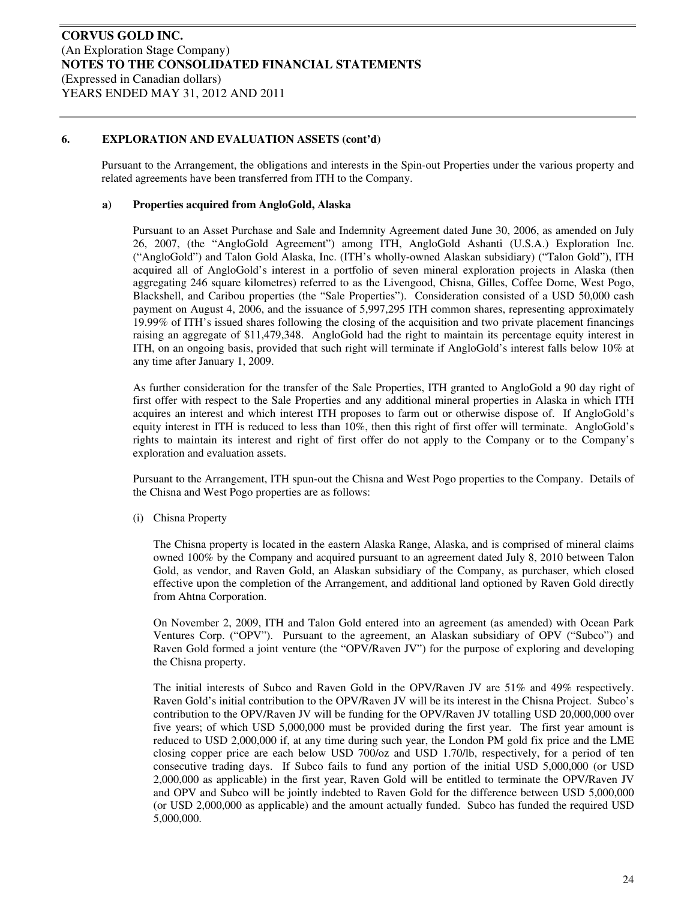Pursuant to the Arrangement, the obligations and interests in the Spin-out Properties under the various property and related agreements have been transferred from ITH to the Company.

#### **a) Properties acquired from AngloGold, Alaska**

Pursuant to an Asset Purchase and Sale and Indemnity Agreement dated June 30, 2006, as amended on July 26, 2007, (the "AngloGold Agreement") among ITH, AngloGold Ashanti (U.S.A.) Exploration Inc. ("AngloGold") and Talon Gold Alaska, Inc. (ITH's wholly-owned Alaskan subsidiary) ("Talon Gold"), ITH acquired all of AngloGold's interest in a portfolio of seven mineral exploration projects in Alaska (then aggregating 246 square kilometres) referred to as the Livengood, Chisna, Gilles, Coffee Dome, West Pogo, Blackshell, and Caribou properties (the "Sale Properties"). Consideration consisted of a USD 50,000 cash payment on August 4, 2006, and the issuance of 5,997,295 ITH common shares, representing approximately 19.99% of ITH's issued shares following the closing of the acquisition and two private placement financings raising an aggregate of \$11,479,348. AngloGold had the right to maintain its percentage equity interest in ITH, on an ongoing basis, provided that such right will terminate if AngloGold's interest falls below 10% at any time after January 1, 2009.

As further consideration for the transfer of the Sale Properties, ITH granted to AngloGold a 90 day right of first offer with respect to the Sale Properties and any additional mineral properties in Alaska in which ITH acquires an interest and which interest ITH proposes to farm out or otherwise dispose of. If AngloGold's equity interest in ITH is reduced to less than 10%, then this right of first offer will terminate. AngloGold's rights to maintain its interest and right of first offer do not apply to the Company or to the Company's exploration and evaluation assets.

Pursuant to the Arrangement, ITH spun-out the Chisna and West Pogo properties to the Company. Details of the Chisna and West Pogo properties are as follows:

(i) Chisna Property

The Chisna property is located in the eastern Alaska Range, Alaska, and is comprised of mineral claims owned 100% by the Company and acquired pursuant to an agreement dated July 8, 2010 between Talon Gold, as vendor, and Raven Gold, an Alaskan subsidiary of the Company, as purchaser, which closed effective upon the completion of the Arrangement, and additional land optioned by Raven Gold directly from Ahtna Corporation.

On November 2, 2009, ITH and Talon Gold entered into an agreement (as amended) with Ocean Park Ventures Corp. ("OPV"). Pursuant to the agreement, an Alaskan subsidiary of OPV ("Subco") and Raven Gold formed a joint venture (the "OPV/Raven JV") for the purpose of exploring and developing the Chisna property.

The initial interests of Subco and Raven Gold in the OPV/Raven JV are 51% and 49% respectively. Raven Gold's initial contribution to the OPV/Raven JV will be its interest in the Chisna Project. Subco's contribution to the OPV/Raven JV will be funding for the OPV/Raven JV totalling USD 20,000,000 over five years; of which USD 5,000,000 must be provided during the first year. The first year amount is reduced to USD 2,000,000 if, at any time during such year, the London PM gold fix price and the LME closing copper price are each below USD 700/oz and USD 1.70/lb, respectively, for a period of ten consecutive trading days. If Subco fails to fund any portion of the initial USD 5,000,000 (or USD 2,000,000 as applicable) in the first year, Raven Gold will be entitled to terminate the OPV/Raven JV and OPV and Subco will be jointly indebted to Raven Gold for the difference between USD 5,000,000 (or USD 2,000,000 as applicable) and the amount actually funded. Subco has funded the required USD 5,000,000.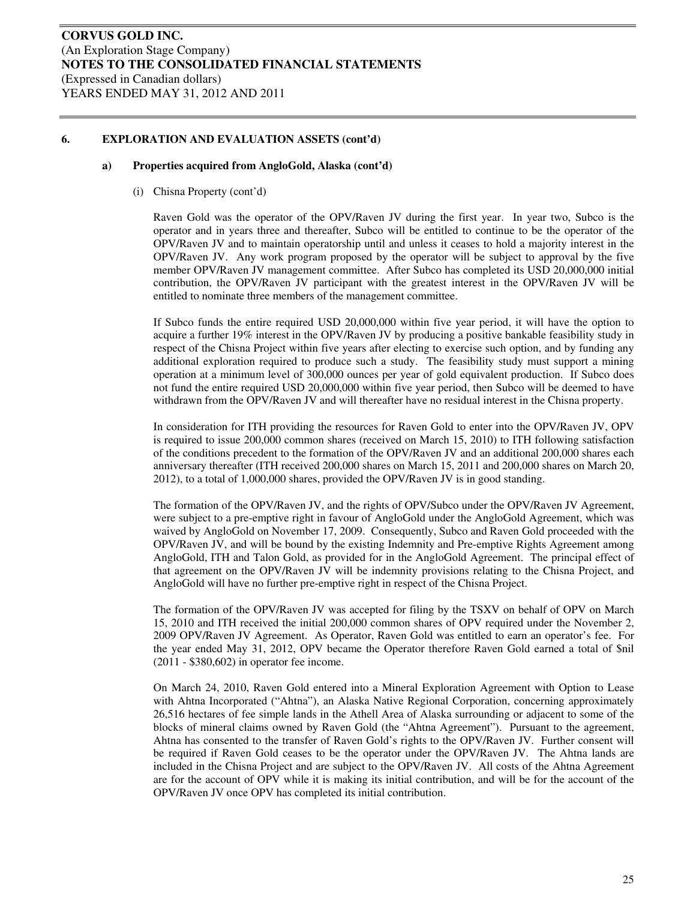#### **a) Properties acquired from AngloGold, Alaska (cont'd)**

(i) Chisna Property (cont'd)

Raven Gold was the operator of the OPV/Raven JV during the first year. In year two, Subco is the operator and in years three and thereafter, Subco will be entitled to continue to be the operator of the OPV/Raven JV and to maintain operatorship until and unless it ceases to hold a majority interest in the OPV/Raven JV. Any work program proposed by the operator will be subject to approval by the five member OPV/Raven JV management committee. After Subco has completed its USD 20,000,000 initial contribution, the OPV/Raven JV participant with the greatest interest in the OPV/Raven JV will be entitled to nominate three members of the management committee.

If Subco funds the entire required USD 20,000,000 within five year period, it will have the option to acquire a further 19% interest in the OPV/Raven JV by producing a positive bankable feasibility study in respect of the Chisna Project within five years after electing to exercise such option, and by funding any additional exploration required to produce such a study. The feasibility study must support a mining operation at a minimum level of 300,000 ounces per year of gold equivalent production. If Subco does not fund the entire required USD 20,000,000 within five year period, then Subco will be deemed to have withdrawn from the OPV/Raven JV and will thereafter have no residual interest in the Chisna property.

In consideration for ITH providing the resources for Raven Gold to enter into the OPV/Raven JV, OPV is required to issue 200,000 common shares (received on March 15, 2010) to ITH following satisfaction of the conditions precedent to the formation of the OPV/Raven JV and an additional 200,000 shares each anniversary thereafter (ITH received 200,000 shares on March 15, 2011 and 200,000 shares on March 20, 2012), to a total of 1,000,000 shares, provided the OPV/Raven JV is in good standing.

The formation of the OPV/Raven JV, and the rights of OPV/Subco under the OPV/Raven JV Agreement, were subject to a pre-emptive right in favour of AngloGold under the AngloGold Agreement, which was waived by AngloGold on November 17, 2009. Consequently, Subco and Raven Gold proceeded with the OPV/Raven JV, and will be bound by the existing Indemnity and Pre-emptive Rights Agreement among AngloGold, ITH and Talon Gold, as provided for in the AngloGold Agreement. The principal effect of that agreement on the OPV/Raven JV will be indemnity provisions relating to the Chisna Project, and AngloGold will have no further pre-emptive right in respect of the Chisna Project.

The formation of the OPV/Raven JV was accepted for filing by the TSXV on behalf of OPV on March 15, 2010 and ITH received the initial 200,000 common shares of OPV required under the November 2, 2009 OPV/Raven JV Agreement. As Operator, Raven Gold was entitled to earn an operator's fee. For the year ended May 31, 2012, OPV became the Operator therefore Raven Gold earned a total of \$nil (2011 - \$380,602) in operator fee income.

On March 24, 2010, Raven Gold entered into a Mineral Exploration Agreement with Option to Lease with Ahtna Incorporated ("Ahtna"), an Alaska Native Regional Corporation, concerning approximately 26,516 hectares of fee simple lands in the Athell Area of Alaska surrounding or adjacent to some of the blocks of mineral claims owned by Raven Gold (the "Ahtna Agreement"). Pursuant to the agreement, Ahtna has consented to the transfer of Raven Gold's rights to the OPV/Raven JV. Further consent will be required if Raven Gold ceases to be the operator under the OPV/Raven JV. The Ahtna lands are included in the Chisna Project and are subject to the OPV/Raven JV. All costs of the Ahtna Agreement are for the account of OPV while it is making its initial contribution, and will be for the account of the OPV/Raven JV once OPV has completed its initial contribution.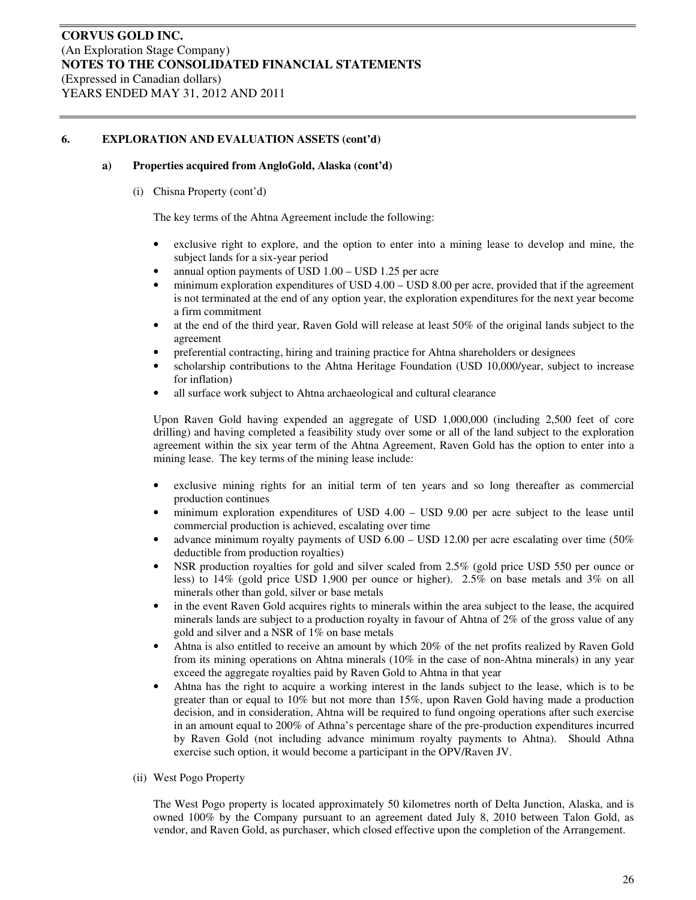#### **a) Properties acquired from AngloGold, Alaska (cont'd)**

(i) Chisna Property (cont'd)

The key terms of the Ahtna Agreement include the following:

- exclusive right to explore, and the option to enter into a mining lease to develop and mine, the subject lands for a six-year period
- annual option payments of USD 1.00 USD 1.25 per acre
- minimum exploration expenditures of USD 4.00 USD 8.00 per acre, provided that if the agreement is not terminated at the end of any option year, the exploration expenditures for the next year become a firm commitment
- at the end of the third year, Raven Gold will release at least 50% of the original lands subject to the agreement
- preferential contracting, hiring and training practice for Ahtna shareholders or designees
- scholarship contributions to the Ahtna Heritage Foundation (USD 10,000/year, subject to increase for inflation)
- all surface work subject to Ahtna archaeological and cultural clearance

Upon Raven Gold having expended an aggregate of USD 1,000,000 (including 2,500 feet of core drilling) and having completed a feasibility study over some or all of the land subject to the exploration agreement within the six year term of the Ahtna Agreement, Raven Gold has the option to enter into a mining lease. The key terms of the mining lease include:

- exclusive mining rights for an initial term of ten years and so long thereafter as commercial production continues
- minimum exploration expenditures of USD 4.00 USD 9.00 per acre subject to the lease until commercial production is achieved, escalating over time
- advance minimum royalty payments of USD  $6.00 -$  USD 12.00 per acre escalating over time (50%) deductible from production royalties)
- NSR production royalties for gold and silver scaled from 2.5% (gold price USD 550 per ounce or less) to 14% (gold price USD 1,900 per ounce or higher). 2.5% on base metals and 3% on all minerals other than gold, silver or base metals
- in the event Raven Gold acquires rights to minerals within the area subject to the lease, the acquired minerals lands are subject to a production royalty in favour of Ahtna of 2% of the gross value of any gold and silver and a NSR of 1% on base metals
- Ahtna is also entitled to receive an amount by which 20% of the net profits realized by Raven Gold from its mining operations on Ahtna minerals (10% in the case of non-Ahtna minerals) in any year exceed the aggregate royalties paid by Raven Gold to Ahtna in that year
- Ahtna has the right to acquire a working interest in the lands subject to the lease, which is to be greater than or equal to 10% but not more than 15%, upon Raven Gold having made a production decision, and in consideration, Ahtna will be required to fund ongoing operations after such exercise in an amount equal to 200% of Athna's percentage share of the pre-production expenditures incurred by Raven Gold (not including advance minimum royalty payments to Ahtna). Should Athna exercise such option, it would become a participant in the OPV/Raven JV.
- (ii) West Pogo Property

The West Pogo property is located approximately 50 kilometres north of Delta Junction, Alaska, and is owned 100% by the Company pursuant to an agreement dated July 8, 2010 between Talon Gold, as vendor, and Raven Gold, as purchaser, which closed effective upon the completion of the Arrangement.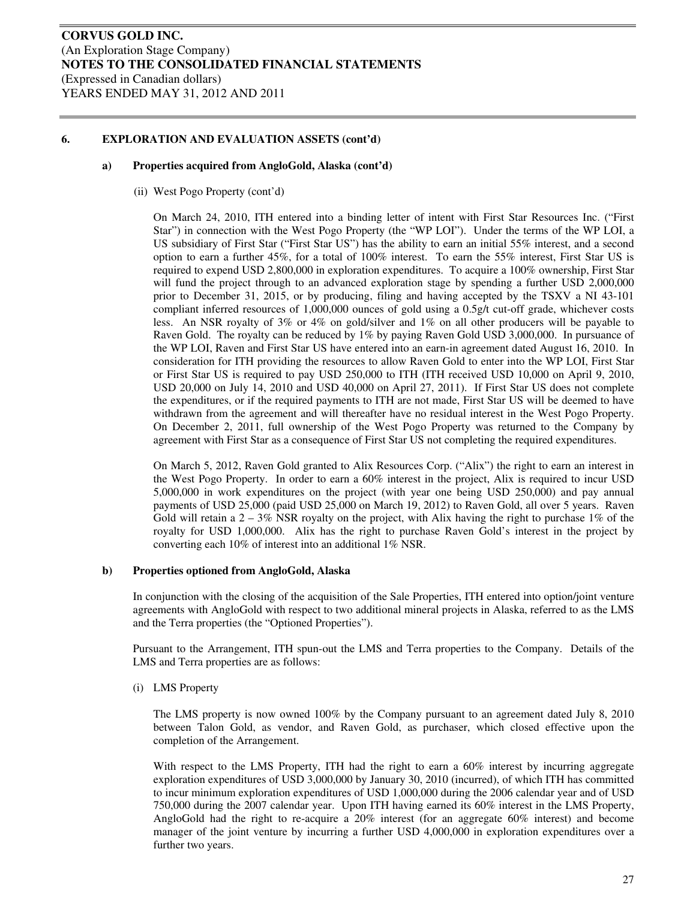#### **a) Properties acquired from AngloGold, Alaska (cont'd)**

(ii) West Pogo Property (cont'd)

On March 24, 2010, ITH entered into a binding letter of intent with First Star Resources Inc. ("First Star") in connection with the West Pogo Property (the "WP LOI"). Under the terms of the WP LOI, a US subsidiary of First Star ("First Star US") has the ability to earn an initial 55% interest, and a second option to earn a further 45%, for a total of 100% interest. To earn the 55% interest, First Star US is required to expend USD 2,800,000 in exploration expenditures. To acquire a 100% ownership, First Star will fund the project through to an advanced exploration stage by spending a further USD 2,000,000 prior to December 31, 2015, or by producing, filing and having accepted by the TSXV a NI 43-101 compliant inferred resources of 1,000,000 ounces of gold using a 0.5g/t cut-off grade, whichever costs less. An NSR royalty of 3% or 4% on gold/silver and 1% on all other producers will be payable to Raven Gold. The royalty can be reduced by 1% by paying Raven Gold USD 3,000,000. In pursuance of the WP LOI, Raven and First Star US have entered into an earn-in agreement dated August 16, 2010. In consideration for ITH providing the resources to allow Raven Gold to enter into the WP LOI, First Star or First Star US is required to pay USD 250,000 to ITH (ITH received USD 10,000 on April 9, 2010, USD 20,000 on July 14, 2010 and USD 40,000 on April 27, 2011). If First Star US does not complete the expenditures, or if the required payments to ITH are not made, First Star US will be deemed to have withdrawn from the agreement and will thereafter have no residual interest in the West Pogo Property. On December 2, 2011, full ownership of the West Pogo Property was returned to the Company by agreement with First Star as a consequence of First Star US not completing the required expenditures.

On March 5, 2012, Raven Gold granted to Alix Resources Corp. ("Alix") the right to earn an interest in the West Pogo Property. In order to earn a 60% interest in the project, Alix is required to incur USD 5,000,000 in work expenditures on the project (with year one being USD 250,000) and pay annual payments of USD 25,000 (paid USD 25,000 on March 19, 2012) to Raven Gold, all over 5 years. Raven Gold will retain a  $2 - 3\%$  NSR royalty on the project, with Alix having the right to purchase 1% of the royalty for USD 1,000,000. Alix has the right to purchase Raven Gold's interest in the project by converting each 10% of interest into an additional 1% NSR.

#### **b) Properties optioned from AngloGold, Alaska**

In conjunction with the closing of the acquisition of the Sale Properties, ITH entered into option/joint venture agreements with AngloGold with respect to two additional mineral projects in Alaska, referred to as the LMS and the Terra properties (the "Optioned Properties").

Pursuant to the Arrangement, ITH spun-out the LMS and Terra properties to the Company. Details of the LMS and Terra properties are as follows:

(i) LMS Property

The LMS property is now owned 100% by the Company pursuant to an agreement dated July 8, 2010 between Talon Gold, as vendor, and Raven Gold, as purchaser, which closed effective upon the completion of the Arrangement.

With respect to the LMS Property, ITH had the right to earn a 60% interest by incurring aggregate exploration expenditures of USD 3,000,000 by January 30, 2010 (incurred), of which ITH has committed to incur minimum exploration expenditures of USD 1,000,000 during the 2006 calendar year and of USD 750,000 during the 2007 calendar year. Upon ITH having earned its 60% interest in the LMS Property, AngloGold had the right to re-acquire a 20% interest (for an aggregate 60% interest) and become manager of the joint venture by incurring a further USD 4,000,000 in exploration expenditures over a further two years.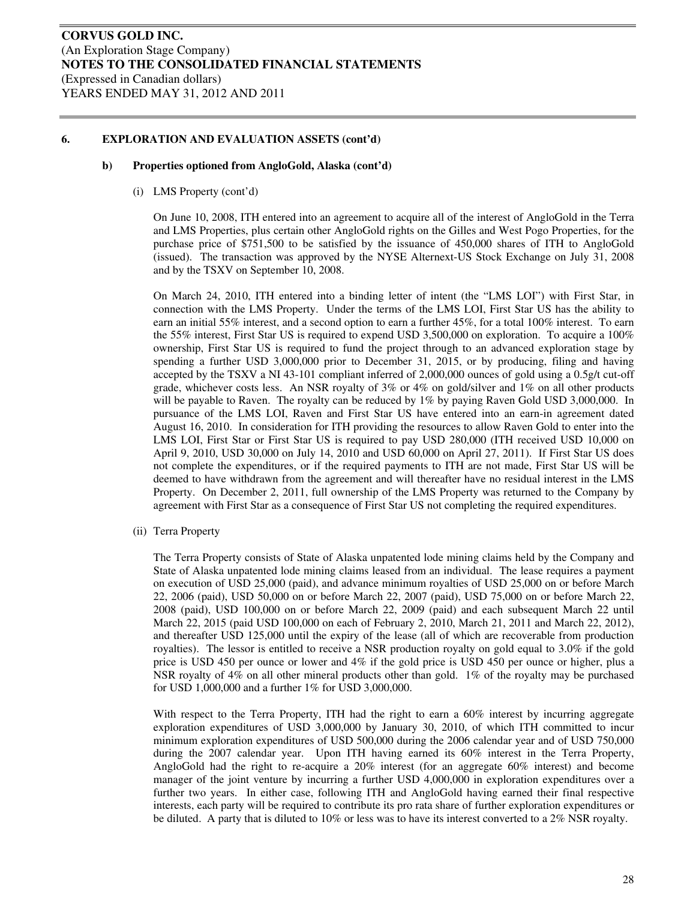#### **b) Properties optioned from AngloGold, Alaska (cont'd)**

(i) LMS Property (cont'd)

On June 10, 2008, ITH entered into an agreement to acquire all of the interest of AngloGold in the Terra and LMS Properties, plus certain other AngloGold rights on the Gilles and West Pogo Properties, for the purchase price of \$751,500 to be satisfied by the issuance of 450,000 shares of ITH to AngloGold (issued). The transaction was approved by the NYSE Alternext-US Stock Exchange on July 31, 2008 and by the TSXV on September 10, 2008.

On March 24, 2010, ITH entered into a binding letter of intent (the "LMS LOI") with First Star, in connection with the LMS Property. Under the terms of the LMS LOI, First Star US has the ability to earn an initial 55% interest, and a second option to earn a further 45%, for a total 100% interest. To earn the 55% interest, First Star US is required to expend USD 3,500,000 on exploration. To acquire a 100% ownership, First Star US is required to fund the project through to an advanced exploration stage by spending a further USD 3,000,000 prior to December 31, 2015, or by producing, filing and having accepted by the TSXV a NI 43-101 compliant inferred of 2,000,000 ounces of gold using a 0.5g/t cut-off grade, whichever costs less. An NSR royalty of 3% or 4% on gold/silver and 1% on all other products will be payable to Raven. The royalty can be reduced by  $1\%$  by paying Raven Gold USD 3,000,000. In pursuance of the LMS LOI, Raven and First Star US have entered into an earn-in agreement dated August 16, 2010. In consideration for ITH providing the resources to allow Raven Gold to enter into the LMS LOI, First Star or First Star US is required to pay USD 280,000 (ITH received USD 10,000 on April 9, 2010, USD 30,000 on July 14, 2010 and USD 60,000 on April 27, 2011). If First Star US does not complete the expenditures, or if the required payments to ITH are not made, First Star US will be deemed to have withdrawn from the agreement and will thereafter have no residual interest in the LMS Property. On December 2, 2011, full ownership of the LMS Property was returned to the Company by agreement with First Star as a consequence of First Star US not completing the required expenditures.

(ii) Terra Property

The Terra Property consists of State of Alaska unpatented lode mining claims held by the Company and State of Alaska unpatented lode mining claims leased from an individual. The lease requires a payment on execution of USD 25,000 (paid), and advance minimum royalties of USD 25,000 on or before March 22, 2006 (paid), USD 50,000 on or before March 22, 2007 (paid), USD 75,000 on or before March 22, 2008 (paid), USD 100,000 on or before March 22, 2009 (paid) and each subsequent March 22 until March 22, 2015 (paid USD 100,000 on each of February 2, 2010, March 21, 2011 and March 22, 2012), and thereafter USD 125,000 until the expiry of the lease (all of which are recoverable from production royalties). The lessor is entitled to receive a NSR production royalty on gold equal to 3.0% if the gold price is USD 450 per ounce or lower and 4% if the gold price is USD 450 per ounce or higher, plus a NSR royalty of 4% on all other mineral products other than gold. 1% of the royalty may be purchased for USD 1,000,000 and a further 1% for USD 3,000,000.

With respect to the Terra Property, ITH had the right to earn a 60% interest by incurring aggregate exploration expenditures of USD 3,000,000 by January 30, 2010, of which ITH committed to incur minimum exploration expenditures of USD 500,000 during the 2006 calendar year and of USD 750,000 during the 2007 calendar year. Upon ITH having earned its 60% interest in the Terra Property, AngloGold had the right to re-acquire a 20% interest (for an aggregate 60% interest) and become manager of the joint venture by incurring a further USD 4,000,000 in exploration expenditures over a further two years. In either case, following ITH and AngloGold having earned their final respective interests, each party will be required to contribute its pro rata share of further exploration expenditures or be diluted. A party that is diluted to 10% or less was to have its interest converted to a 2% NSR royalty.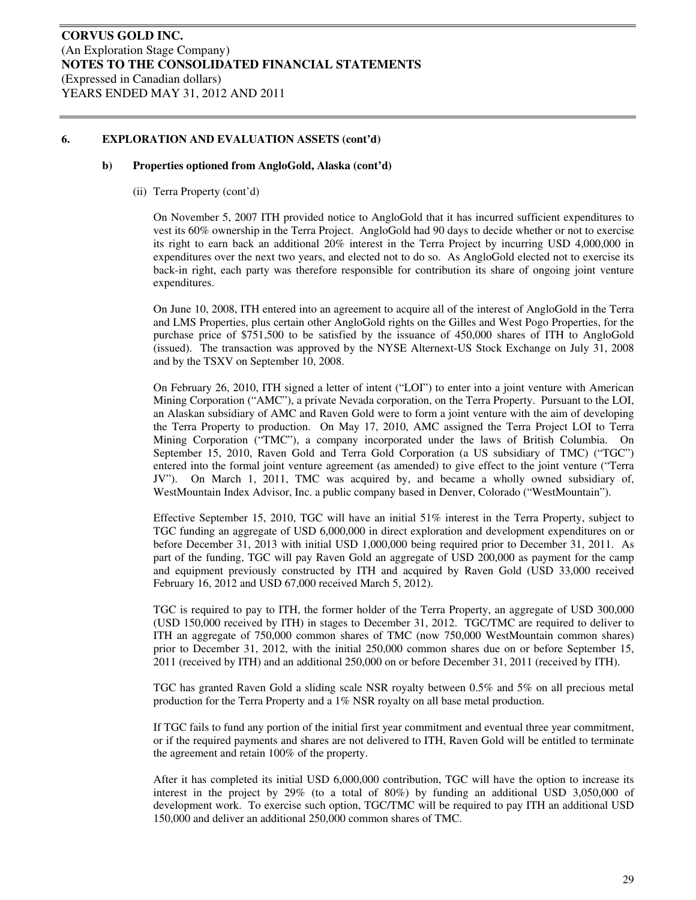#### **b) Properties optioned from AngloGold, Alaska (cont'd)**

(ii) Terra Property (cont'd)

On November 5, 2007 ITH provided notice to AngloGold that it has incurred sufficient expenditures to vest its 60% ownership in the Terra Project. AngloGold had 90 days to decide whether or not to exercise its right to earn back an additional 20% interest in the Terra Project by incurring USD 4,000,000 in expenditures over the next two years, and elected not to do so. As AngloGold elected not to exercise its back-in right, each party was therefore responsible for contribution its share of ongoing joint venture expenditures.

On June 10, 2008, ITH entered into an agreement to acquire all of the interest of AngloGold in the Terra and LMS Properties, plus certain other AngloGold rights on the Gilles and West Pogo Properties, for the purchase price of \$751,500 to be satisfied by the issuance of 450,000 shares of ITH to AngloGold (issued). The transaction was approved by the NYSE Alternext-US Stock Exchange on July 31, 2008 and by the TSXV on September 10, 2008.

On February 26, 2010, ITH signed a letter of intent ("LOI") to enter into a joint venture with American Mining Corporation ("AMC"), a private Nevada corporation, on the Terra Property. Pursuant to the LOI, an Alaskan subsidiary of AMC and Raven Gold were to form a joint venture with the aim of developing the Terra Property to production. On May 17, 2010, AMC assigned the Terra Project LOI to Terra Mining Corporation ("TMC"), a company incorporated under the laws of British Columbia. On September 15, 2010, Raven Gold and Terra Gold Corporation (a US subsidiary of TMC) ("TGC") entered into the formal joint venture agreement (as amended) to give effect to the joint venture ("Terra JV"). On March 1, 2011, TMC was acquired by, and became a wholly owned subsidiary of, WestMountain Index Advisor, Inc. a public company based in Denver, Colorado ("WestMountain").

Effective September 15, 2010, TGC will have an initial 51% interest in the Terra Property, subject to TGC funding an aggregate of USD 6,000,000 in direct exploration and development expenditures on or before December 31, 2013 with initial USD 1,000,000 being required prior to December 31, 2011. As part of the funding, TGC will pay Raven Gold an aggregate of USD 200,000 as payment for the camp and equipment previously constructed by ITH and acquired by Raven Gold (USD 33,000 received February 16, 2012 and USD 67,000 received March 5, 2012).

TGC is required to pay to ITH, the former holder of the Terra Property, an aggregate of USD 300,000 (USD 150,000 received by ITH) in stages to December 31, 2012. TGC/TMC are required to deliver to ITH an aggregate of 750,000 common shares of TMC (now 750,000 WestMountain common shares) prior to December 31, 2012, with the initial 250,000 common shares due on or before September 15, 2011 (received by ITH) and an additional 250,000 on or before December 31, 2011 (received by ITH).

TGC has granted Raven Gold a sliding scale NSR royalty between 0.5% and 5% on all precious metal production for the Terra Property and a 1% NSR royalty on all base metal production.

If TGC fails to fund any portion of the initial first year commitment and eventual three year commitment, or if the required payments and shares are not delivered to ITH, Raven Gold will be entitled to terminate the agreement and retain 100% of the property.

After it has completed its initial USD 6,000,000 contribution, TGC will have the option to increase its interest in the project by 29% (to a total of 80%) by funding an additional USD 3,050,000 of development work. To exercise such option, TGC/TMC will be required to pay ITH an additional USD 150,000 and deliver an additional 250,000 common shares of TMC.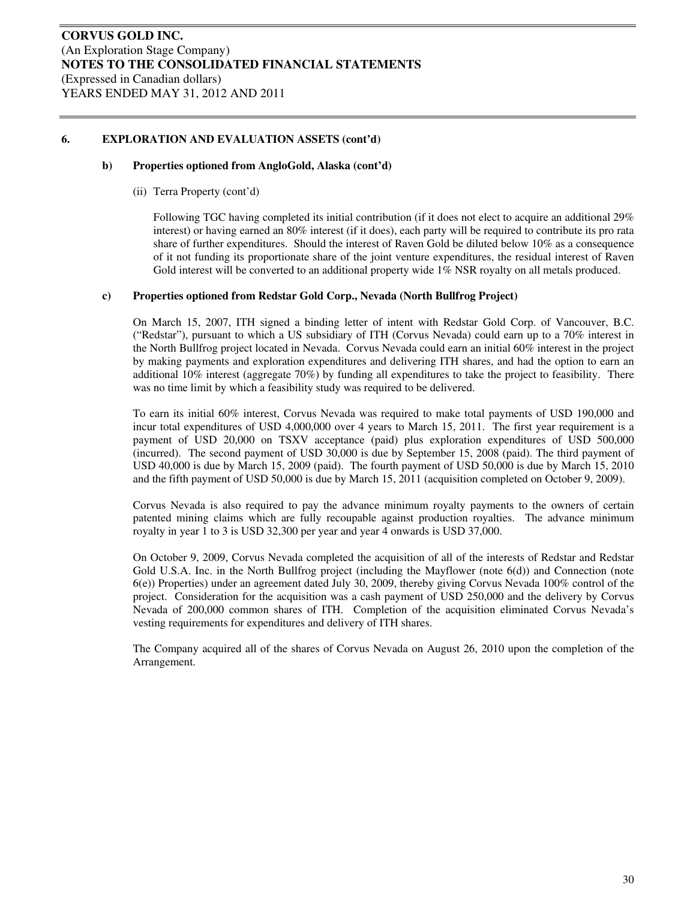#### **b) Properties optioned from AngloGold, Alaska (cont'd)**

(ii) Terra Property (cont'd)

Following TGC having completed its initial contribution (if it does not elect to acquire an additional 29% interest) or having earned an 80% interest (if it does), each party will be required to contribute its pro rata share of further expenditures. Should the interest of Raven Gold be diluted below 10% as a consequence of it not funding its proportionate share of the joint venture expenditures, the residual interest of Raven Gold interest will be converted to an additional property wide 1% NSR royalty on all metals produced.

#### **c) Properties optioned from Redstar Gold Corp., Nevada (North Bullfrog Project)**

On March 15, 2007, ITH signed a binding letter of intent with Redstar Gold Corp. of Vancouver, B.C. ("Redstar"), pursuant to which a US subsidiary of ITH (Corvus Nevada) could earn up to a 70% interest in the North Bullfrog project located in Nevada. Corvus Nevada could earn an initial 60% interest in the project by making payments and exploration expenditures and delivering ITH shares, and had the option to earn an additional 10% interest (aggregate 70%) by funding all expenditures to take the project to feasibility. There was no time limit by which a feasibility study was required to be delivered.

To earn its initial 60% interest, Corvus Nevada was required to make total payments of USD 190,000 and incur total expenditures of USD 4,000,000 over 4 years to March 15, 2011. The first year requirement is a payment of USD 20,000 on TSXV acceptance (paid) plus exploration expenditures of USD 500,000 (incurred). The second payment of USD 30,000 is due by September 15, 2008 (paid). The third payment of USD 40,000 is due by March 15, 2009 (paid). The fourth payment of USD 50,000 is due by March 15, 2010 and the fifth payment of USD 50,000 is due by March 15, 2011 (acquisition completed on October 9, 2009).

Corvus Nevada is also required to pay the advance minimum royalty payments to the owners of certain patented mining claims which are fully recoupable against production royalties. The advance minimum royalty in year 1 to 3 is USD 32,300 per year and year 4 onwards is USD 37,000.

On October 9, 2009, Corvus Nevada completed the acquisition of all of the interests of Redstar and Redstar Gold U.S.A. Inc. in the North Bullfrog project (including the Mayflower (note 6(d)) and Connection (note 6(e)) Properties) under an agreement dated July 30, 2009, thereby giving Corvus Nevada 100% control of the project. Consideration for the acquisition was a cash payment of USD 250,000 and the delivery by Corvus Nevada of 200,000 common shares of ITH. Completion of the acquisition eliminated Corvus Nevada's vesting requirements for expenditures and delivery of ITH shares.

The Company acquired all of the shares of Corvus Nevada on August 26, 2010 upon the completion of the Arrangement.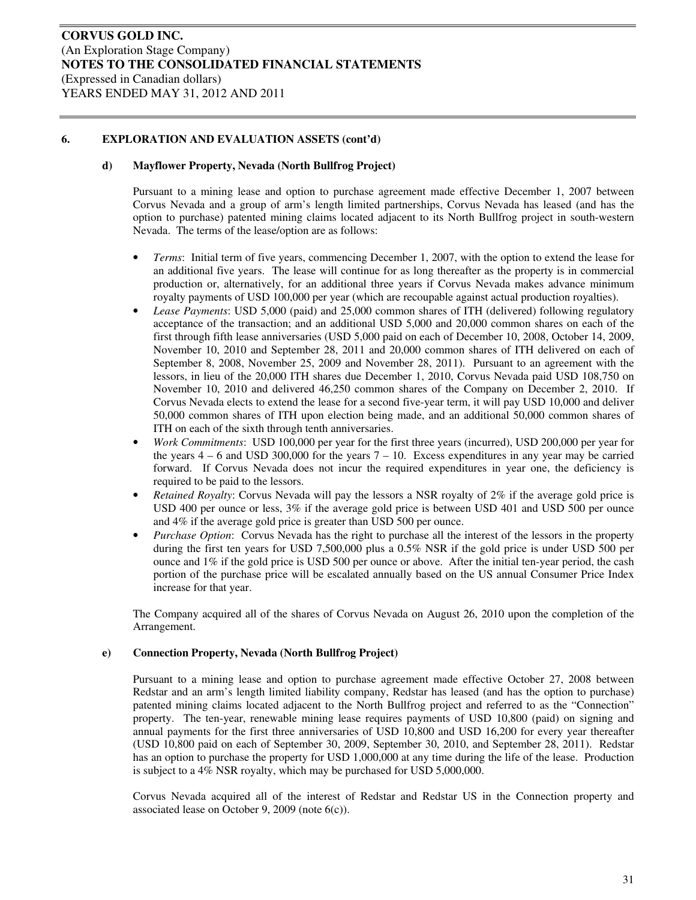#### **d) Mayflower Property, Nevada (North Bullfrog Project)**

Pursuant to a mining lease and option to purchase agreement made effective December 1, 2007 between Corvus Nevada and a group of arm's length limited partnerships, Corvus Nevada has leased (and has the option to purchase) patented mining claims located adjacent to its North Bullfrog project in south-western Nevada. The terms of the lease/option are as follows:

- *Terms*: Initial term of five years, commencing December 1, 2007, with the option to extend the lease for an additional five years. The lease will continue for as long thereafter as the property is in commercial production or, alternatively, for an additional three years if Corvus Nevada makes advance minimum royalty payments of USD 100,000 per year (which are recoupable against actual production royalties).
- *Lease Payments*: USD 5,000 (paid) and 25,000 common shares of ITH (delivered) following regulatory acceptance of the transaction; and an additional USD 5,000 and 20,000 common shares on each of the first through fifth lease anniversaries (USD 5,000 paid on each of December 10, 2008, October 14, 2009, November 10, 2010 and September 28, 2011 and 20,000 common shares of ITH delivered on each of September 8, 2008, November 25, 2009 and November 28, 2011). Pursuant to an agreement with the lessors, in lieu of the 20,000 ITH shares due December 1, 2010, Corvus Nevada paid USD 108,750 on November 10, 2010 and delivered 46,250 common shares of the Company on December 2, 2010. If Corvus Nevada elects to extend the lease for a second five-year term, it will pay USD 10,000 and deliver 50,000 common shares of ITH upon election being made, and an additional 50,000 common shares of ITH on each of the sixth through tenth anniversaries.
- *Work Commitments*: USD 100,000 per year for the first three years (incurred), USD 200,000 per year for the years  $4 - 6$  and USD 300,000 for the years  $7 - 10$ . Excess expenditures in any year may be carried forward. If Corvus Nevada does not incur the required expenditures in year one, the deficiency is required to be paid to the lessors.
- *Retained Royalty*: Corvus Nevada will pay the lessors a NSR royalty of 2% if the average gold price is USD 400 per ounce or less, 3% if the average gold price is between USD 401 and USD 500 per ounce and 4% if the average gold price is greater than USD 500 per ounce.
- *Purchase Option*: Corvus Nevada has the right to purchase all the interest of the lessors in the property during the first ten years for USD 7,500,000 plus a 0.5% NSR if the gold price is under USD 500 per ounce and 1% if the gold price is USD 500 per ounce or above. After the initial ten-year period, the cash portion of the purchase price will be escalated annually based on the US annual Consumer Price Index increase for that year.

The Company acquired all of the shares of Corvus Nevada on August 26, 2010 upon the completion of the Arrangement.

#### **e) Connection Property, Nevada (North Bullfrog Project)**

Pursuant to a mining lease and option to purchase agreement made effective October 27, 2008 between Redstar and an arm's length limited liability company, Redstar has leased (and has the option to purchase) patented mining claims located adjacent to the North Bullfrog project and referred to as the "Connection" property. The ten-year, renewable mining lease requires payments of USD 10,800 (paid) on signing and annual payments for the first three anniversaries of USD 10,800 and USD 16,200 for every year thereafter (USD 10,800 paid on each of September 30, 2009, September 30, 2010, and September 28, 2011). Redstar has an option to purchase the property for USD 1,000,000 at any time during the life of the lease. Production is subject to a 4% NSR royalty, which may be purchased for USD 5,000,000.

Corvus Nevada acquired all of the interest of Redstar and Redstar US in the Connection property and associated lease on October 9, 2009 (note 6(c)).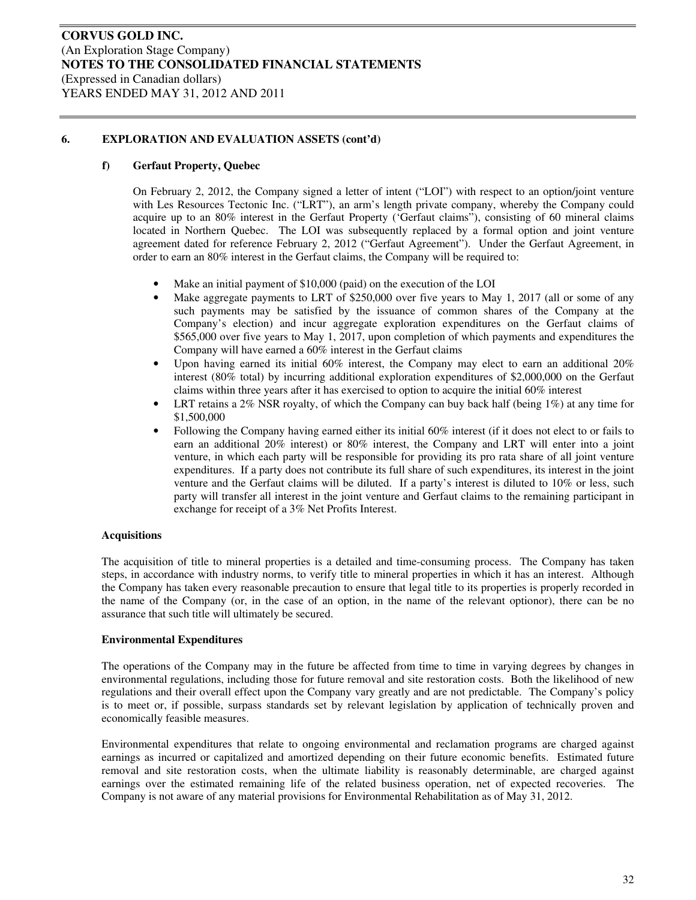#### **f) Gerfaut Property, Quebec**

On February 2, 2012, the Company signed a letter of intent ("LOI") with respect to an option/joint venture with Les Resources Tectonic Inc. ("LRT"), an arm's length private company, whereby the Company could acquire up to an 80% interest in the Gerfaut Property ('Gerfaut claims"), consisting of 60 mineral claims located in Northern Quebec. The LOI was subsequently replaced by a formal option and joint venture agreement dated for reference February 2, 2012 ("Gerfaut Agreement"). Under the Gerfaut Agreement, in order to earn an 80% interest in the Gerfaut claims, the Company will be required to:

- Make an initial payment of \$10,000 (paid) on the execution of the LOI
- Make aggregate payments to LRT of \$250,000 over five years to May 1, 2017 (all or some of any such payments may be satisfied by the issuance of common shares of the Company at the Company's election) and incur aggregate exploration expenditures on the Gerfaut claims of \$565,000 over five years to May 1, 2017, upon completion of which payments and expenditures the Company will have earned a 60% interest in the Gerfaut claims
- Upon having earned its initial  $60\%$  interest, the Company may elect to earn an additional  $20\%$ interest (80% total) by incurring additional exploration expenditures of \$2,000,000 on the Gerfaut claims within three years after it has exercised to option to acquire the initial 60% interest
- LRT retains a  $2\%$  NSR royalty, of which the Company can buy back half (being  $1\%$ ) at any time for \$1,500,000
- Following the Company having earned either its initial 60% interest (if it does not elect to or fails to earn an additional 20% interest) or 80% interest, the Company and LRT will enter into a joint venture, in which each party will be responsible for providing its pro rata share of all joint venture expenditures. If a party does not contribute its full share of such expenditures, its interest in the joint venture and the Gerfaut claims will be diluted. If a party's interest is diluted to 10% or less, such party will transfer all interest in the joint venture and Gerfaut claims to the remaining participant in exchange for receipt of a 3% Net Profits Interest.

#### **Acquisitions**

The acquisition of title to mineral properties is a detailed and time-consuming process. The Company has taken steps, in accordance with industry norms, to verify title to mineral properties in which it has an interest. Although the Company has taken every reasonable precaution to ensure that legal title to its properties is properly recorded in the name of the Company (or, in the case of an option, in the name of the relevant optionor), there can be no assurance that such title will ultimately be secured.

#### **Environmental Expenditures**

The operations of the Company may in the future be affected from time to time in varying degrees by changes in environmental regulations, including those for future removal and site restoration costs. Both the likelihood of new regulations and their overall effect upon the Company vary greatly and are not predictable. The Company's policy is to meet or, if possible, surpass standards set by relevant legislation by application of technically proven and economically feasible measures.

Environmental expenditures that relate to ongoing environmental and reclamation programs are charged against earnings as incurred or capitalized and amortized depending on their future economic benefits. Estimated future removal and site restoration costs, when the ultimate liability is reasonably determinable, are charged against earnings over the estimated remaining life of the related business operation, net of expected recoveries. The Company is not aware of any material provisions for Environmental Rehabilitation as of May 31, 2012.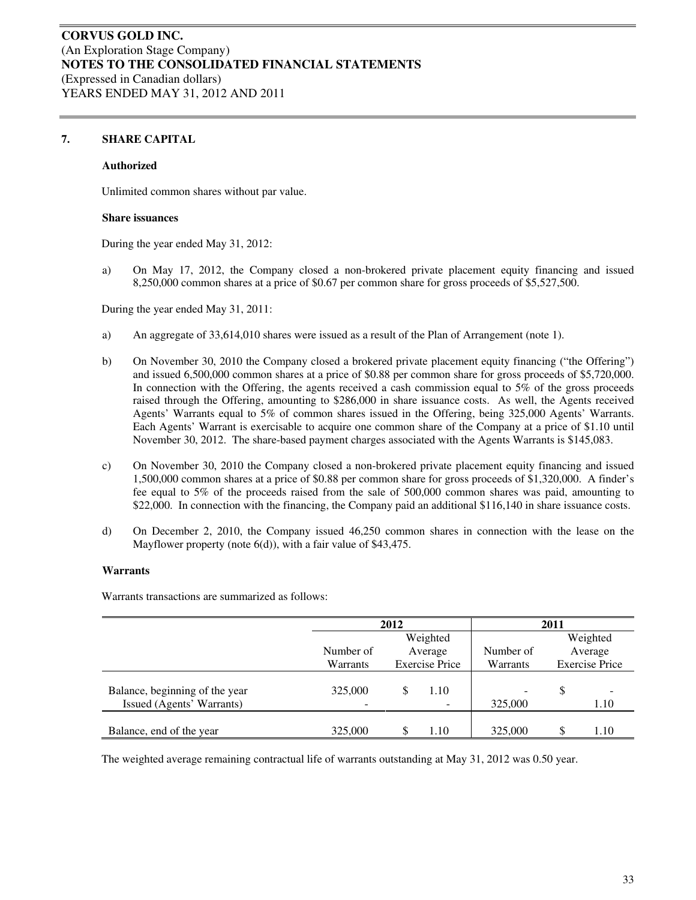#### **7. SHARE CAPITAL**

#### **Authorized**

Unlimited common shares without par value.

#### **Share issuances**

During the year ended May 31, 2012:

a) On May 17, 2012, the Company closed a non-brokered private placement equity financing and issued 8,250,000 common shares at a price of \$0.67 per common share for gross proceeds of \$5,527,500.

During the year ended May 31, 2011:

- a) An aggregate of 33,614,010 shares were issued as a result of the Plan of Arrangement (note 1).
- b) On November 30, 2010 the Company closed a brokered private placement equity financing ("the Offering") and issued 6,500,000 common shares at a price of \$0.88 per common share for gross proceeds of \$5,720,000. In connection with the Offering, the agents received a cash commission equal to 5% of the gross proceeds raised through the Offering, amounting to \$286,000 in share issuance costs. As well, the Agents received Agents' Warrants equal to 5% of common shares issued in the Offering, being 325,000 Agents' Warrants. Each Agents' Warrant is exercisable to acquire one common share of the Company at a price of \$1.10 until November 30, 2012. The share-based payment charges associated with the Agents Warrants is \$145,083.
- c) On November 30, 2010 the Company closed a non-brokered private placement equity financing and issued 1,500,000 common shares at a price of \$0.88 per common share for gross proceeds of \$1,320,000. A finder's fee equal to 5% of the proceeds raised from the sale of 500,000 common shares was paid, amounting to \$22,000. In connection with the financing, the Company paid an additional \$116,140 in share issuance costs.
- d) On December 2, 2010, the Company issued 46,250 common shares in connection with the lease on the Mayflower property (note 6(d)), with a fair value of \$43,475.

#### **Warrants**

Warrants transactions are summarized as follows:

|                                                             | 2012      |  |                                  | 2011                                |    |                       |  |
|-------------------------------------------------------------|-----------|--|----------------------------------|-------------------------------------|----|-----------------------|--|
|                                                             |           |  | Weighted                         |                                     |    | Weighted              |  |
|                                                             | Number of |  | Average                          | Number of                           |    | Average               |  |
|                                                             | Warrants  |  | <b>Exercise Price</b>            | Warrants                            |    | <b>Exercise Price</b> |  |
| Balance, beginning of the year<br>Issued (Agents' Warrants) | 325,000   |  | 1.10<br>$\overline{\phantom{0}}$ | $\overline{\phantom{0}}$<br>325,000 | \$ | 1.10                  |  |
| Balance, end of the year                                    | 325,000   |  | 1.10                             | 325,000                             |    | 1.10                  |  |

The weighted average remaining contractual life of warrants outstanding at May 31, 2012 was 0.50 year.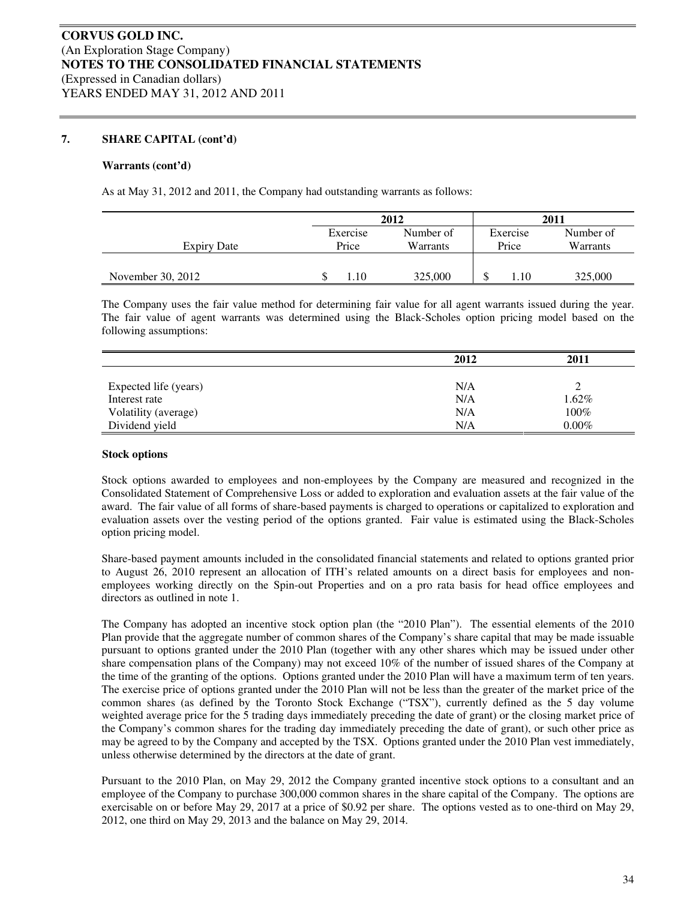#### **Warrants (cont'd)**

As at May 31, 2012 and 2011, the Company had outstanding warrants as follows:

|                   |                   | 2012                  |                   | 2011                  |
|-------------------|-------------------|-----------------------|-------------------|-----------------------|
| Expiry Date       | Exercise<br>Price | Number of<br>Warrants | Exercise<br>Price | Number of<br>Warrants |
| November 30, 2012 | . . 10            | 325,000               | 1.10<br>۰D        | 325,000               |

The Company uses the fair value method for determining fair value for all agent warrants issued during the year. The fair value of agent warrants was determined using the Black-Scholes option pricing model based on the following assumptions:

|                       | 2012 | 2011     |
|-----------------------|------|----------|
|                       |      |          |
| Expected life (years) | N/A  |          |
| Interest rate         | N/A  | 1.62%    |
| Volatility (average)  | N/A  | 100%     |
| Dividend yield        | N/A  | $0.00\%$ |

#### **Stock options**

Stock options awarded to employees and non-employees by the Company are measured and recognized in the Consolidated Statement of Comprehensive Loss or added to exploration and evaluation assets at the fair value of the award. The fair value of all forms of share-based payments is charged to operations or capitalized to exploration and evaluation assets over the vesting period of the options granted. Fair value is estimated using the Black-Scholes option pricing model.

Share-based payment amounts included in the consolidated financial statements and related to options granted prior to August 26, 2010 represent an allocation of ITH's related amounts on a direct basis for employees and nonemployees working directly on the Spin-out Properties and on a pro rata basis for head office employees and directors as outlined in note 1.

The Company has adopted an incentive stock option plan (the "2010 Plan"). The essential elements of the 2010 Plan provide that the aggregate number of common shares of the Company's share capital that may be made issuable pursuant to options granted under the 2010 Plan (together with any other shares which may be issued under other share compensation plans of the Company) may not exceed 10% of the number of issued shares of the Company at the time of the granting of the options. Options granted under the 2010 Plan will have a maximum term of ten years. The exercise price of options granted under the 2010 Plan will not be less than the greater of the market price of the common shares (as defined by the Toronto Stock Exchange ("TSX"), currently defined as the 5 day volume weighted average price for the 5 trading days immediately preceding the date of grant) or the closing market price of the Company's common shares for the trading day immediately preceding the date of grant), or such other price as may be agreed to by the Company and accepted by the TSX. Options granted under the 2010 Plan vest immediately, unless otherwise determined by the directors at the date of grant.

Pursuant to the 2010 Plan, on May 29, 2012 the Company granted incentive stock options to a consultant and an employee of the Company to purchase 300,000 common shares in the share capital of the Company. The options are exercisable on or before May 29, 2017 at a price of \$0.92 per share. The options vested as to one-third on May 29, 2012, one third on May 29, 2013 and the balance on May 29, 2014.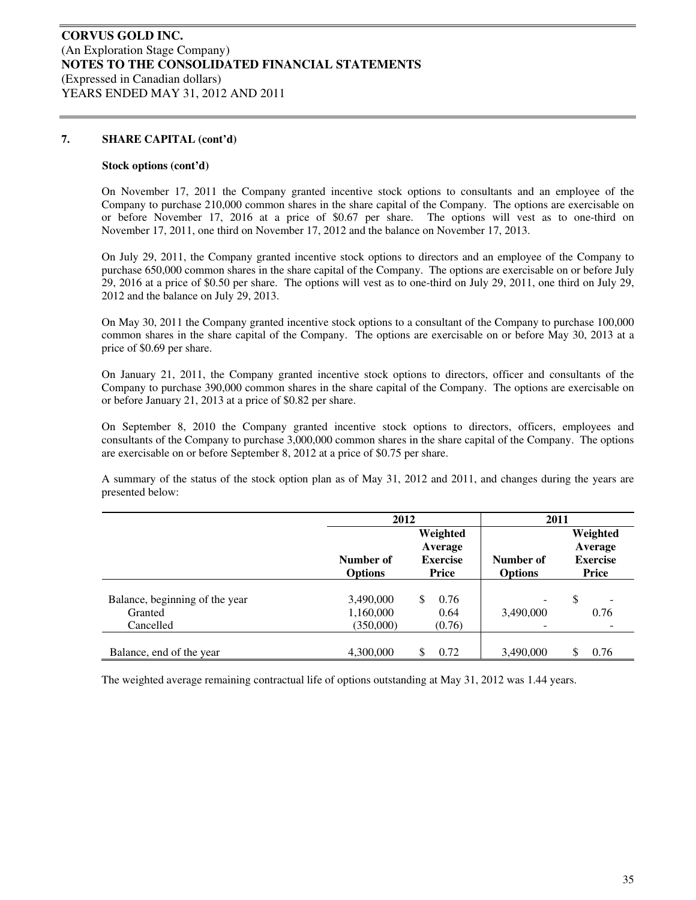#### **Stock options (cont'd)**

On November 17, 2011 the Company granted incentive stock options to consultants and an employee of the Company to purchase 210,000 common shares in the share capital of the Company. The options are exercisable on or before November 17, 2016 at a price of \$0.67 per share. The options will vest as to one-third on November 17, 2011, one third on November 17, 2012 and the balance on November 17, 2013.

On July 29, 2011, the Company granted incentive stock options to directors and an employee of the Company to purchase 650,000 common shares in the share capital of the Company. The options are exercisable on or before July 29, 2016 at a price of \$0.50 per share. The options will vest as to one-third on July 29, 2011, one third on July 29, 2012 and the balance on July 29, 2013.

On May 30, 2011 the Company granted incentive stock options to a consultant of the Company to purchase 100,000 common shares in the share capital of the Company. The options are exercisable on or before May 30, 2013 at a price of \$0.69 per share.

On January 21, 2011, the Company granted incentive stock options to directors, officer and consultants of the Company to purchase 390,000 common shares in the share capital of the Company. The options are exercisable on or before January 21, 2013 at a price of \$0.82 per share.

On September 8, 2010 the Company granted incentive stock options to directors, officers, employees and consultants of the Company to purchase 3,000,000 common shares in the share capital of the Company. The options are exercisable on or before September 8, 2012 at a price of \$0.75 per share.

A summary of the status of the stock option plan as of May 31, 2012 and 2011, and changes during the years are presented below:

|                                | 2012                        |                                                 | 2011                        |                                                 |
|--------------------------------|-----------------------------|-------------------------------------------------|-----------------------------|-------------------------------------------------|
|                                | Number of<br><b>Options</b> | Weighted<br>Average<br><b>Exercise</b><br>Price | Number of<br><b>Options</b> | Weighted<br>Average<br><b>Exercise</b><br>Price |
| Balance, beginning of the year | 3,490,000                   | 0.76<br>\$.                                     |                             | \$<br>-                                         |
| Granted<br>Cancelled           | 1,160,000<br>(350,000)      | 0.64<br>(0.76)                                  | 3,490,000                   | 0.76                                            |
| Balance, end of the year       | 4,300,000                   | 0.72<br>S                                       | 3,490,000                   | 0.76<br>\$                                      |

The weighted average remaining contractual life of options outstanding at May 31, 2012 was 1.44 years.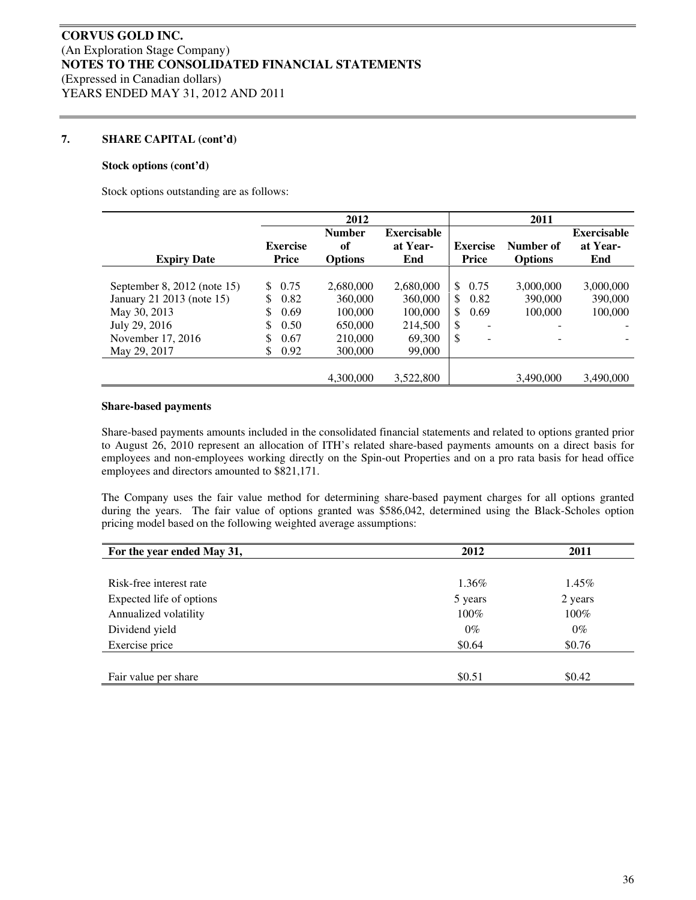#### **Stock options (cont'd)**

Stock options outstanding are as follows:

|                             |                 | 2012                |                                |                                           | 2011           |                                |
|-----------------------------|-----------------|---------------------|--------------------------------|-------------------------------------------|----------------|--------------------------------|
|                             | <b>Exercise</b> | <b>Number</b><br>of | <b>Exercisable</b><br>at Year- | <b>Exercise</b>                           | Number of      | <b>Exercisable</b><br>at Year- |
| <b>Expiry Date</b>          | Price           | <b>Options</b>      | End                            | <b>Price</b>                              | <b>Options</b> | End                            |
| September 8, 2012 (note 15) | 0.75<br>S.      | 2,680,000           | 2,680,000                      | \$<br>0.75                                | 3,000,000      | 3,000,000                      |
| January 21 2013 (note 15)   | \$.<br>0.82     | 360,000             | 360,000                        | 0.82<br>$\mathbb{S}$                      | 390,000        | 390,000                        |
| May 30, 2013                | S<br>0.69       | 100,000             | 100,000                        | $\mathbb{S}$<br>0.69                      | 100,000        | 100,000                        |
| July 29, 2016               | 0.50<br>S       | 650,000             | 214,500                        | \$                                        |                |                                |
| November 17, 2016           | \$<br>0.67      | 210,000             | 69,300                         | <sup>\$</sup><br>$\overline{\phantom{a}}$ |                |                                |
| May 29, 2017                | 0.92<br>\$.     | 300,000             | 99,000                         |                                           |                |                                |
|                             |                 |                     |                                |                                           |                |                                |
|                             |                 | 4,300,000           | 3,522,800                      |                                           | 3,490,000      | 3,490,000                      |

#### **Share-based payments**

Share-based payments amounts included in the consolidated financial statements and related to options granted prior to August 26, 2010 represent an allocation of ITH's related share-based payments amounts on a direct basis for employees and non-employees working directly on the Spin-out Properties and on a pro rata basis for head office employees and directors amounted to \$821,171.

The Company uses the fair value method for determining share-based payment charges for all options granted during the years. The fair value of options granted was \$586,042, determined using the Black-Scholes option pricing model based on the following weighted average assumptions:

| For the year ended May 31, | 2012    | 2011     |
|----------------------------|---------|----------|
|                            |         |          |
| Risk-free interest rate    | 1.36%   | $1.45\%$ |
| Expected life of options   | 5 years | 2 years  |
| Annualized volatility      | 100%    | $100\%$  |
| Dividend yield             | $0\%$   | $0\%$    |
| Exercise price             | \$0.64  | \$0.76   |
|                            |         |          |
| Fair value per share       | \$0.51  | \$0.42   |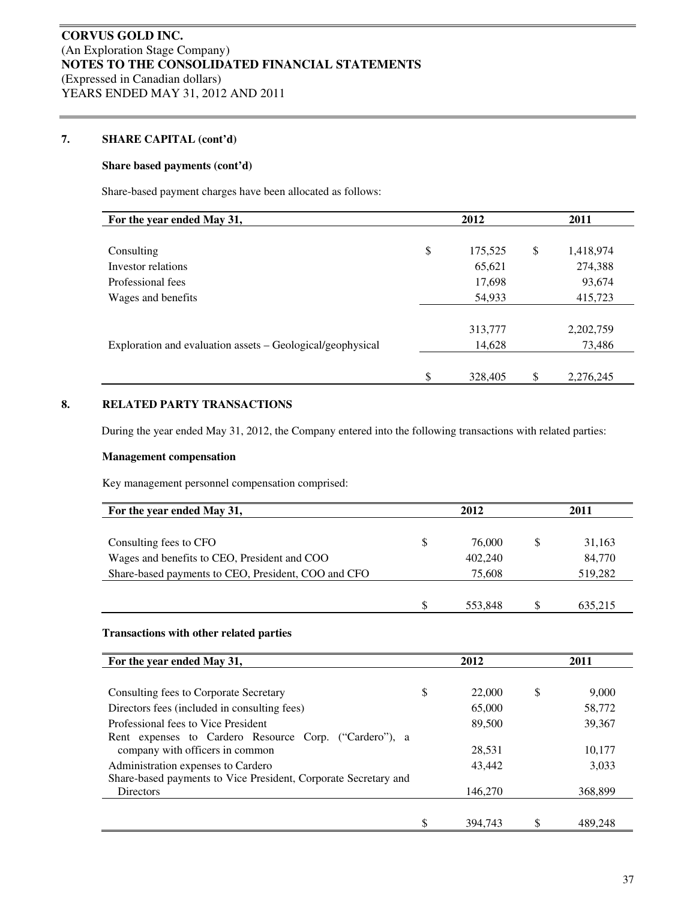#### **Share based payments (cont'd)**

Share-based payment charges have been allocated as follows:

| For the year ended May 31,                                 | 2012          |               | 2011      |  |  |
|------------------------------------------------------------|---------------|---------------|-----------|--|--|
|                                                            |               |               |           |  |  |
| Consulting                                                 | \$<br>175,525 | <sup>\$</sup> | 1,418,974 |  |  |
| Investor relations                                         | 65,621        |               | 274,388   |  |  |
| Professional fees                                          | 17,698        |               | 93,674    |  |  |
| Wages and benefits                                         | 54,933        |               | 415,723   |  |  |
|                                                            |               |               |           |  |  |
|                                                            | 313,777       |               | 2,202,759 |  |  |
| Exploration and evaluation assets – Geological/geophysical | 14,628        |               | 73,486    |  |  |
|                                                            |               |               |           |  |  |
|                                                            | \$<br>328,405 | \$            | 2,276,245 |  |  |

#### **8. RELATED PARTY TRANSACTIONS**

During the year ended May 31, 2012, the Company entered into the following transactions with related parties:

#### **Management compensation**

Key management personnel compensation comprised:

| For the year ended May 31,                          |   | 2012    | 2011    |  |  |
|-----------------------------------------------------|---|---------|---------|--|--|
| Consulting fees to CFO                              | S | 76,000  | 31,163  |  |  |
| Wages and benefits to CEO, President and COO        |   | 402,240 | 84,770  |  |  |
| Share-based payments to CEO, President, COO and CFO |   | 75,608  | 519,282 |  |  |
|                                                     |   |         |         |  |  |
|                                                     | S | 553.848 | 635.215 |  |  |

#### **Transactions with other related parties**

| For the year ended May 31,                                      | 2012 |         | 2011        |
|-----------------------------------------------------------------|------|---------|-------------|
|                                                                 |      |         |             |
| Consulting fees to Corporate Secretary                          | \$   | 22,000  | \$<br>9,000 |
| Directors fees (included in consulting fees)                    |      | 65,000  | 58,772      |
| Professional fees to Vice President                             |      | 89,500  | 39,367      |
| Rent expenses to Cardero Resource Corp. ("Cardero"), a          |      |         |             |
| company with officers in common                                 |      | 28,531  | 10,177      |
| Administration expenses to Cardero                              |      | 43,442  | 3,033       |
| Share-based payments to Vice President, Corporate Secretary and |      |         |             |
| Directors                                                       |      | 146,270 | 368,899     |
|                                                                 |      |         |             |
|                                                                 |      | 394.743 | 489,248     |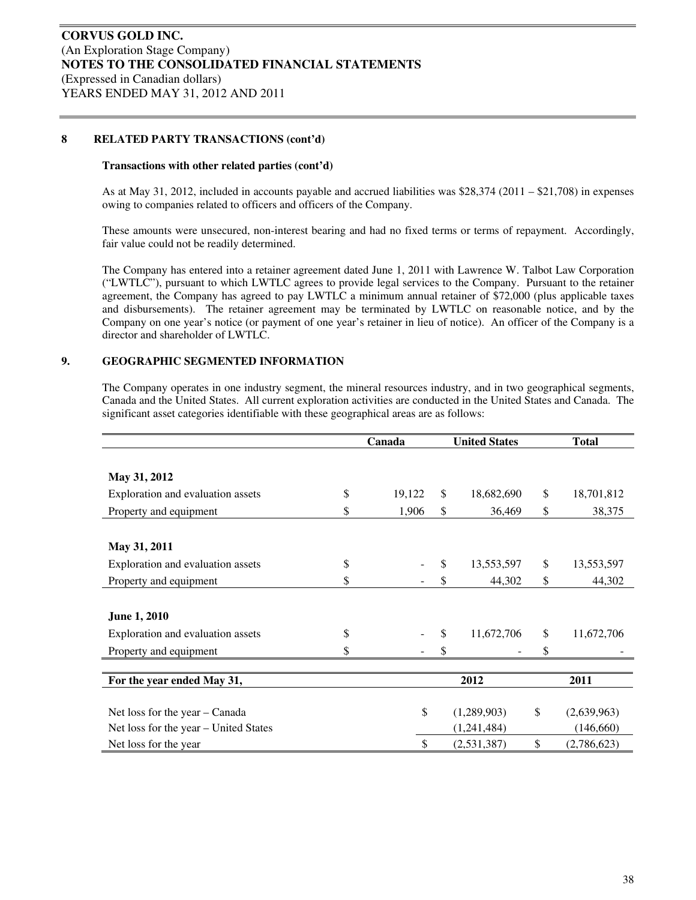#### **8 RELATED PARTY TRANSACTIONS (cont'd)**

#### **Transactions with other related parties (cont'd)**

As at May 31, 2012, included in accounts payable and accrued liabilities was \$28,374 (2011 – \$21,708) in expenses owing to companies related to officers and officers of the Company.

These amounts were unsecured, non-interest bearing and had no fixed terms or terms of repayment. Accordingly, fair value could not be readily determined.

The Company has entered into a retainer agreement dated June 1, 2011 with Lawrence W. Talbot Law Corporation ("LWTLC"), pursuant to which LWTLC agrees to provide legal services to the Company. Pursuant to the retainer agreement, the Company has agreed to pay LWTLC a minimum annual retainer of \$72,000 (plus applicable taxes and disbursements). The retainer agreement may be terminated by LWTLC on reasonable notice, and by the Company on one year's notice (or payment of one year's retainer in lieu of notice). An officer of the Company is a director and shareholder of LWTLC.

#### **9. GEOGRAPHIC SEGMENTED INFORMATION**

The Company operates in one industry segment, the mineral resources industry, and in two geographical segments, Canada and the United States. All current exploration activities are conducted in the United States and Canada. The significant asset categories identifiable with these geographical areas are as follows:

|                                       | Canada |        | <b>United States</b> | <b>Total</b>      |
|---------------------------------------|--------|--------|----------------------|-------------------|
|                                       |        |        |                      |                   |
| May 31, 2012                          |        |        |                      |                   |
| Exploration and evaluation assets     | \$     | 19,122 | \$<br>18,682,690     | \$<br>18,701,812  |
| Property and equipment                | \$     | 1,906  | \$<br>36,469         | \$<br>38,375      |
|                                       |        |        |                      |                   |
| May 31, 2011                          |        |        |                      |                   |
| Exploration and evaluation assets     | \$     |        | \$<br>13,553,597     | \$<br>13,553,597  |
| Property and equipment                | \$     |        | \$<br>44,302         | \$<br>44,302      |
|                                       |        |        |                      |                   |
| <b>June 1, 2010</b>                   |        |        |                      |                   |
| Exploration and evaluation assets     | \$     |        | \$<br>11,672,706     | \$<br>11,672,706  |
| Property and equipment                | \$     |        | \$                   | \$                |
|                                       |        |        |                      |                   |
| For the year ended May 31,            |        |        | 2012                 | 2011              |
|                                       |        |        |                      |                   |
| Net loss for the year – Canada        |        | \$     | (1,289,903)          | \$<br>(2,639,963) |
| Net loss for the year - United States |        |        | (1,241,484)          | (146, 660)        |
| Net loss for the year                 |        | \$     | (2,531,387)          | \$<br>(2,786,623) |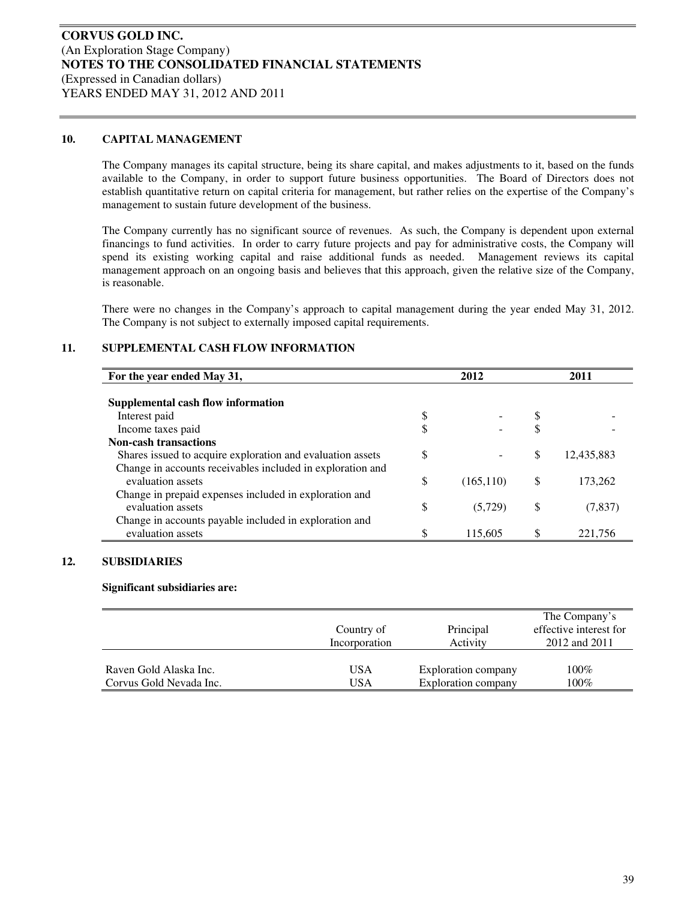#### **10. CAPITAL MANAGEMENT**

The Company manages its capital structure, being its share capital, and makes adjustments to it, based on the funds available to the Company, in order to support future business opportunities. The Board of Directors does not establish quantitative return on capital criteria for management, but rather relies on the expertise of the Company's management to sustain future development of the business.

The Company currently has no significant source of revenues. As such, the Company is dependent upon external financings to fund activities. In order to carry future projects and pay for administrative costs, the Company will spend its existing working capital and raise additional funds as needed. Management reviews its capital management approach on an ongoing basis and believes that this approach, given the relative size of the Company, is reasonable.

There were no changes in the Company's approach to capital management during the year ended May 31, 2012. The Company is not subject to externally imposed capital requirements.

#### **11. SUPPLEMENTAL CASH FLOW INFORMATION**

| For the year ended May 31,                                 | 2012             |   | 2011       |
|------------------------------------------------------------|------------------|---|------------|
|                                                            |                  |   |            |
| Supplemental cash flow information                         |                  |   |            |
| Interest paid                                              | \$               |   |            |
| Income taxes paid                                          | \$               |   |            |
| <b>Non-cash transactions</b>                               |                  |   |            |
| Shares issued to acquire exploration and evaluation assets | \$               | S | 12,435,883 |
| Change in accounts receivables included in exploration and |                  |   |            |
| evaluation assets                                          | \$<br>(165, 110) | S | 173,262    |
| Change in prepaid expenses included in exploration and     |                  |   |            |
| evaluation assets                                          | \$<br>(5,729)    | S | (7, 837)   |
| Change in accounts payable included in exploration and     |                  |   |            |
| evaluation assets                                          | 115,605          |   | 221,756    |

#### **12. SUBSIDIARIES**

#### **Significant subsidiaries are:**

|                         | Country of<br>Incorporation | Principal<br>Activity | The Company's<br>effective interest for<br>2012 and 2011 |
|-------------------------|-----------------------------|-----------------------|----------------------------------------------------------|
| Raven Gold Alaska Inc.  | USA                         | Exploration company   | $100\%$                                                  |
| Corvus Gold Nevada Inc. | USA                         | Exploration company   | 100%                                                     |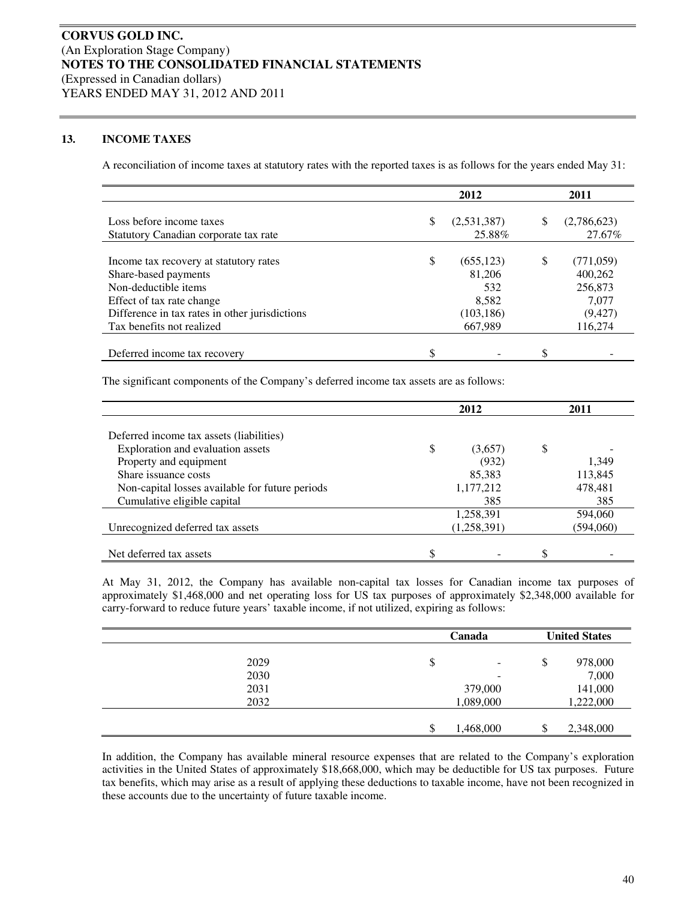#### **13. INCOME TAXES**

A reconciliation of income taxes at statutory rates with the reported taxes is as follows for the years ended May 31:

|                                                | 2012 |             |    | 2011        |
|------------------------------------------------|------|-------------|----|-------------|
|                                                |      |             |    |             |
| Loss before income taxes                       | \$   | (2,531,387) | \$ | (2,786,623) |
| Statutory Canadian corporate tax rate          |      | 25.88%      |    | 27.67%      |
|                                                |      |             |    |             |
| Income tax recovery at statutory rates         | \$   | (655, 123)  | S  | (771, 059)  |
| Share-based payments                           |      | 81,206      |    | 400,262     |
| Non-deductible items                           |      | 532         |    | 256,873     |
| Effect of tax rate change                      |      | 8,582       |    | 7,077       |
| Difference in tax rates in other jurisdictions |      | (103, 186)  |    | (9, 427)    |
| Tax benefits not realized                      |      | 667,989     |    | 116,274     |
|                                                |      |             |    |             |
| Deferred income tax recovery                   | \$   |             |    |             |

The significant components of the Company's deferred income tax assets are as follows:

|                                                 | 2012 |             | 2011      |
|-------------------------------------------------|------|-------------|-----------|
|                                                 |      |             |           |
| Deferred income tax assets (liabilities)        |      |             |           |
| Exploration and evaluation assets               | \$   | (3,657)     | \$        |
| Property and equipment                          |      | (932)       | 1,349     |
| Share issuance costs                            |      | 85,383      | 113,845   |
| Non-capital losses available for future periods |      | 1,177,212   | 478,481   |
| Cumulative eligible capital                     |      | 385         | 385       |
|                                                 |      | 1,258,391   | 594,060   |
| Unrecognized deferred tax assets                |      | (1,258,391) | (594,060) |
|                                                 |      |             |           |
| Net deferred tax assets                         | \$   |             | \$        |

At May 31, 2012, the Company has available non-capital tax losses for Canadian income tax purposes of approximately \$1,468,000 and net operating loss for US tax purposes of approximately \$2,348,000 available for carry-forward to reduce future years' taxable income, if not utilized, expiring as follows:

|      |     | Canada                   |    | <b>United States</b> |
|------|-----|--------------------------|----|----------------------|
| 2029 | \$  | $\overline{\phantom{0}}$ | \$ | 978,000              |
| 2030 |     | -                        |    | 7,000                |
| 2031 |     | 379,000                  |    | 141,000              |
| 2032 |     | 1,089,000                |    | 1,222,000            |
|      |     |                          |    |                      |
|      | \$. | 1,468,000                | ۰Π | 2,348,000            |

In addition, the Company has available mineral resource expenses that are related to the Company's exploration activities in the United States of approximately \$18,668,000, which may be deductible for US tax purposes. Future tax benefits, which may arise as a result of applying these deductions to taxable income, have not been recognized in these accounts due to the uncertainty of future taxable income.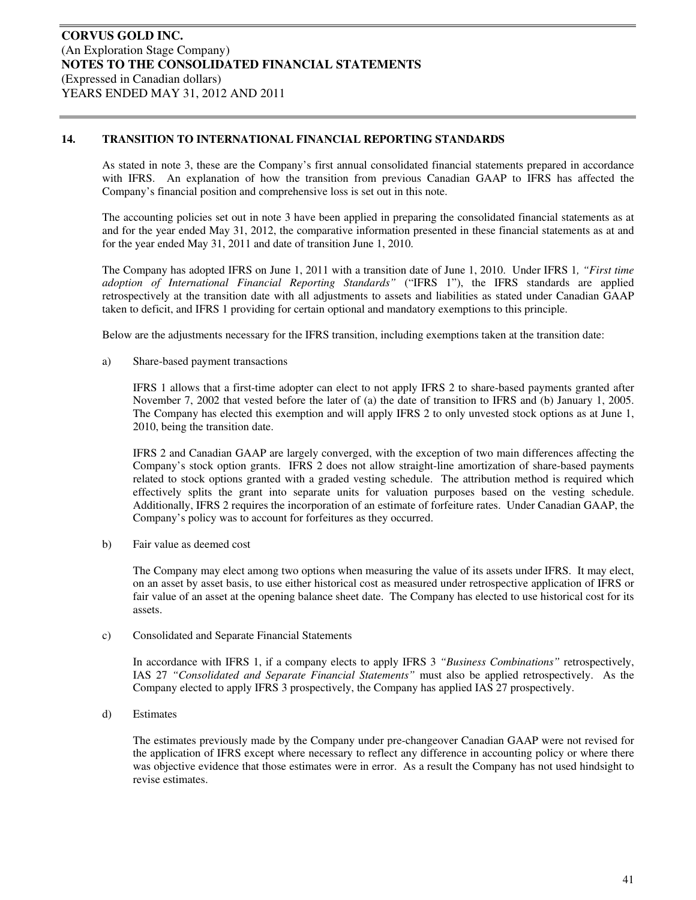As stated in note 3, these are the Company's first annual consolidated financial statements prepared in accordance with IFRS. An explanation of how the transition from previous Canadian GAAP to IFRS has affected the Company's financial position and comprehensive loss is set out in this note.

The accounting policies set out in note 3 have been applied in preparing the consolidated financial statements as at and for the year ended May 31, 2012, the comparative information presented in these financial statements as at and for the year ended May 31, 2011 and date of transition June 1, 2010.

The Company has adopted IFRS on June 1, 2011 with a transition date of June 1, 2010. Under IFRS 1*, "First time adoption of International Financial Reporting Standards"* ("IFRS 1"), the IFRS standards are applied retrospectively at the transition date with all adjustments to assets and liabilities as stated under Canadian GAAP taken to deficit, and IFRS 1 providing for certain optional and mandatory exemptions to this principle.

Below are the adjustments necessary for the IFRS transition, including exemptions taken at the transition date:

a) Share-based payment transactions

IFRS 1 allows that a first-time adopter can elect to not apply IFRS 2 to share-based payments granted after November 7, 2002 that vested before the later of (a) the date of transition to IFRS and (b) January 1, 2005. The Company has elected this exemption and will apply IFRS 2 to only unvested stock options as at June 1, 2010, being the transition date.

IFRS 2 and Canadian GAAP are largely converged, with the exception of two main differences affecting the Company's stock option grants. IFRS 2 does not allow straight-line amortization of share-based payments related to stock options granted with a graded vesting schedule. The attribution method is required which effectively splits the grant into separate units for valuation purposes based on the vesting schedule. Additionally, IFRS 2 requires the incorporation of an estimate of forfeiture rates. Under Canadian GAAP, the Company's policy was to account for forfeitures as they occurred.

b) Fair value as deemed cost

The Company may elect among two options when measuring the value of its assets under IFRS. It may elect, on an asset by asset basis, to use either historical cost as measured under retrospective application of IFRS or fair value of an asset at the opening balance sheet date. The Company has elected to use historical cost for its assets.

c) Consolidated and Separate Financial Statements

In accordance with IFRS 1, if a company elects to apply IFRS 3 *"Business Combinations"* retrospectively, IAS 27 *"Consolidated and Separate Financial Statements"* must also be applied retrospectively. As the Company elected to apply IFRS 3 prospectively, the Company has applied IAS 27 prospectively.

d) Estimates

The estimates previously made by the Company under pre-changeover Canadian GAAP were not revised for the application of IFRS except where necessary to reflect any difference in accounting policy or where there was objective evidence that those estimates were in error. As a result the Company has not used hindsight to revise estimates.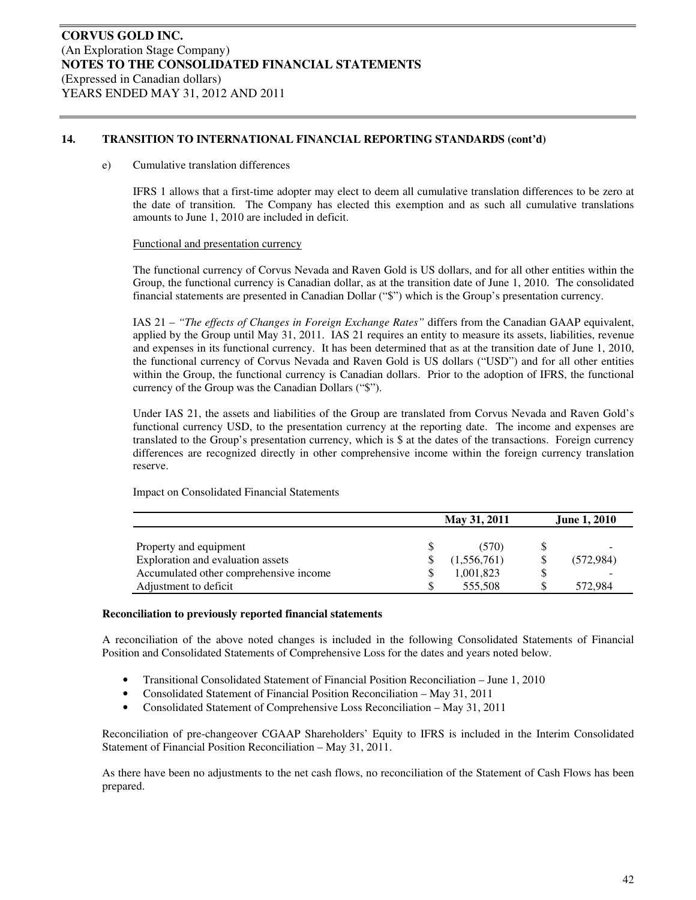#### e) Cumulative translation differences

IFRS 1 allows that a first-time adopter may elect to deem all cumulative translation differences to be zero at the date of transition. The Company has elected this exemption and as such all cumulative translations amounts to June 1, 2010 are included in deficit.

#### Functional and presentation currency

The functional currency of Corvus Nevada and Raven Gold is US dollars, and for all other entities within the Group, the functional currency is Canadian dollar, as at the transition date of June 1, 2010. The consolidated financial statements are presented in Canadian Dollar ("\$") which is the Group's presentation currency.

IAS 21 – *"The effects of Changes in Foreign Exchange Rates"* differs from the Canadian GAAP equivalent, applied by the Group until May 31, 2011. IAS 21 requires an entity to measure its assets, liabilities, revenue and expenses in its functional currency. It has been determined that as at the transition date of June 1, 2010, the functional currency of Corvus Nevada and Raven Gold is US dollars ("USD") and for all other entities within the Group, the functional currency is Canadian dollars. Prior to the adoption of IFRS, the functional currency of the Group was the Canadian Dollars ("\$").

Under IAS 21, the assets and liabilities of the Group are translated from Corvus Nevada and Raven Gold's functional currency USD, to the presentation currency at the reporting date. The income and expenses are translated to the Group's presentation currency, which is \$ at the dates of the transactions. Foreign currency differences are recognized directly in other comprehensive income within the foreign currency translation reserve.

Impact on Consolidated Financial Statements

|                                        | May 31, 2011 |             |  | <b>June 1, 2010</b> |
|----------------------------------------|--------------|-------------|--|---------------------|
|                                        |              |             |  |                     |
| Property and equipment                 |              | (570)       |  |                     |
| Exploration and evaluation assets      |              | (1,556,761) |  | (572, 984)          |
| Accumulated other comprehensive income |              | 1,001,823   |  |                     |
| Adjustment to deficit                  |              | 555,508     |  | 572.984             |

#### **Reconciliation to previously reported financial statements**

A reconciliation of the above noted changes is included in the following Consolidated Statements of Financial Position and Consolidated Statements of Comprehensive Loss for the dates and years noted below.

- Transitional Consolidated Statement of Financial Position Reconciliation June 1, 2010
- Consolidated Statement of Financial Position Reconciliation May 31, 2011
- Consolidated Statement of Comprehensive Loss Reconciliation May 31, 2011

Reconciliation of pre-changeover CGAAP Shareholders' Equity to IFRS is included in the Interim Consolidated Statement of Financial Position Reconciliation – May 31, 2011.

As there have been no adjustments to the net cash flows, no reconciliation of the Statement of Cash Flows has been prepared.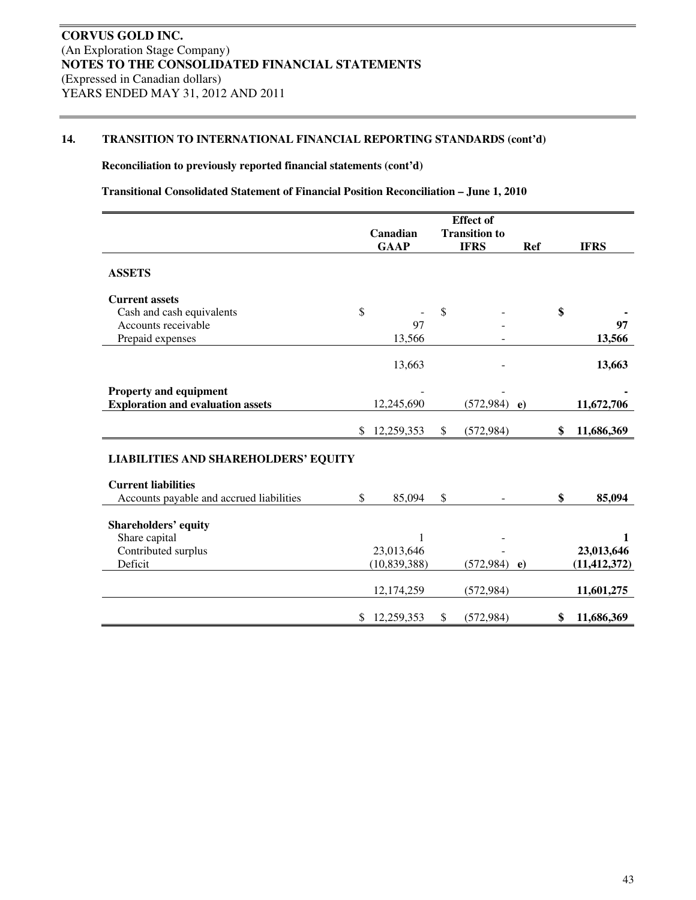#### **Reconciliation to previously reported financial statements (cont'd)**

**Transitional Consolidated Statement of Financial Position Reconciliation – June 1, 2010** 

|                                              |                  |               | <b>Effect of</b>     |          |                  |
|----------------------------------------------|------------------|---------------|----------------------|----------|------------------|
|                                              | Canadian         |               | <b>Transition to</b> |          |                  |
|                                              | <b>GAAP</b>      |               | <b>IFRS</b>          | Ref      | <b>IFRS</b>      |
| <b>ASSETS</b>                                |                  |               |                      |          |                  |
| <b>Current assets</b>                        |                  |               |                      |          |                  |
| Cash and cash equivalents                    | \$               | $\mathcal{S}$ |                      |          | \$               |
| Accounts receivable                          | 97               |               |                      |          | 97               |
| Prepaid expenses                             | 13,566           |               |                      |          | 13,566           |
|                                              | 13,663           |               |                      |          | 13,663           |
| Property and equipment                       |                  |               |                      |          |                  |
| <b>Exploration and evaluation assets</b>     | 12,245,690       |               | (572, 984)           | $\bf e)$ | 11,672,706       |
|                                              | \$<br>12,259,353 | \$            | (572, 984)           |          | \$<br>11,686,369 |
| <b>LIABILITIES AND SHAREHOLDERS' EQUITY</b>  |                  |               |                      |          |                  |
| <b>Current liabilities</b>                   |                  |               |                      |          |                  |
| Accounts payable and accrued liabilities     | \$<br>85,094     | \$            |                      |          | \$<br>85,094     |
|                                              |                  |               |                      |          |                  |
| <b>Shareholders' equity</b><br>Share capital | 1                |               |                      |          | 1                |
| Contributed surplus                          | 23,013,646       |               |                      |          | 23,013,646       |
| Deficit                                      | (10, 839, 388)   |               | $(572, 984)$ e)      |          | (11, 412, 372)   |
|                                              |                  |               |                      |          |                  |
|                                              | 12,174,259       |               | (572, 984)           |          | 11,601,275       |
|                                              | \$<br>12,259,353 | \$            | (572, 984)           |          | \$<br>11,686,369 |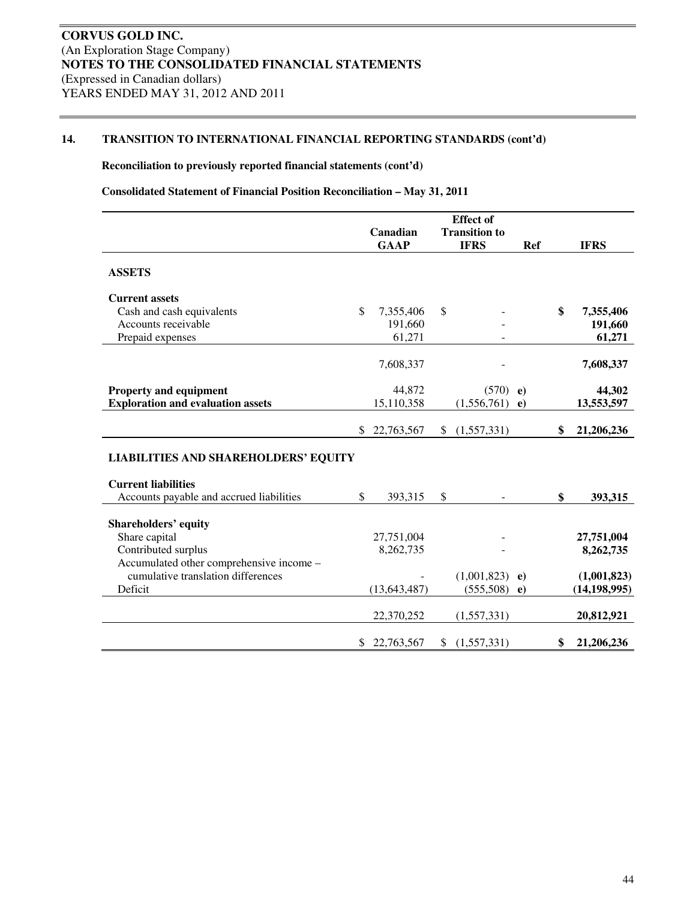#### **Reconciliation to previously reported financial statements (cont'd)**

#### **Consolidated Statement of Financial Position Reconciliation – May 31, 2011**

|                                             |                  |              | <b>Effect</b> of     |            |                  |
|---------------------------------------------|------------------|--------------|----------------------|------------|------------------|
|                                             | Canadian         |              | <b>Transition to</b> |            |                  |
|                                             | <b>GAAP</b>      |              | <b>IFRS</b>          | <b>Ref</b> | <b>IFRS</b>      |
| <b>ASSETS</b>                               |                  |              |                      |            |                  |
| <b>Current assets</b>                       |                  |              |                      |            |                  |
| Cash and cash equivalents                   | \$<br>7,355,406  | \$           |                      |            | \$<br>7,355,406  |
| Accounts receivable                         | 191,660          |              |                      |            | 191,660          |
| Prepaid expenses                            | 61,271           |              |                      |            | 61,271           |
|                                             | 7,608,337        |              |                      |            | 7,608,337        |
| <b>Property and equipment</b>               | 44,872           |              | (570)                | $\bf e)$   | 44,302           |
| <b>Exploration and evaluation assets</b>    | 15,110,358       |              | (1,556,761)          | $\bf e)$   | 13,553,597       |
|                                             | \$<br>22,763,567 | $\mathbb{S}$ | (1,557,331)          |            | \$<br>21,206,236 |
| <b>LIABILITIES AND SHAREHOLDERS' EQUITY</b> |                  |              |                      |            |                  |
| <b>Current liabilities</b>                  |                  |              |                      |            |                  |
| Accounts payable and accrued liabilities    | \$<br>393,315    | \$           |                      |            | \$<br>393,315    |
| <b>Shareholders' equity</b>                 |                  |              |                      |            |                  |
| Share capital                               | 27,751,004       |              |                      |            | 27,751,004       |
| Contributed surplus                         | 8,262,735        |              |                      |            | 8,262,735        |
| Accumulated other comprehensive income -    |                  |              |                      |            |                  |
| cumulative translation differences          |                  |              | (1,001,823)          | $\bf e)$   | (1,001,823)      |
| Deficit                                     | (13, 643, 487)   |              | (555,508)            | $\bf e)$   | (14, 198, 995)   |
|                                             | 22,370,252       |              | (1,557,331)          |            | 20,812,921       |
|                                             | \$22,763,567     |              | (1,557,331)          |            | \$<br>21,206,236 |